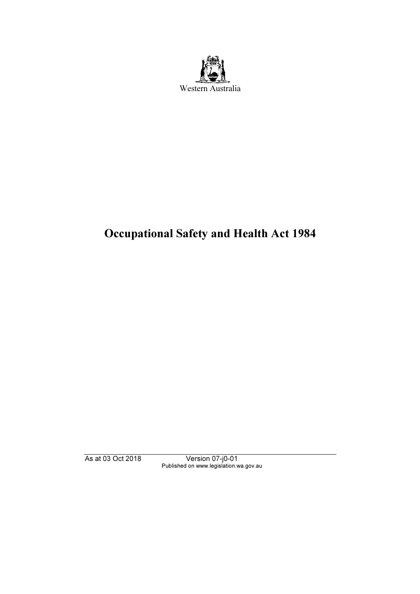

# Occupational Safety and Health Act 1984

As at 03 Oct 2018 Version 07-j0-01 Published on www.legislation.wa.gov.au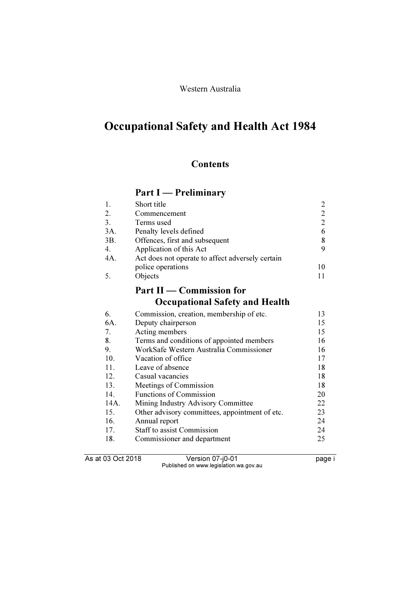### Western Australia

## Occupational Safety and Health Act 1984

### **Contents**

## Part I — Preliminary

| Short title                                      |    |
|--------------------------------------------------|----|
| Commencement                                     |    |
| Terms used                                       |    |
| Penalty levels defined                           | 6  |
| Offences, first and subsequent                   | 8  |
| Application of this Act                          | 9  |
| Act does not operate to affect adversely certain |    |
| police operations                                | 10 |
| Objects                                          |    |
|                                                  |    |

### Part II — Commission for Occupational Safety and Health

| 6.   | Commission, creation, membership of etc.       | 13 |
|------|------------------------------------------------|----|
| 6A.  | Deputy chairperson                             | 15 |
| 7.   | Acting members                                 | 15 |
| 8.   | Terms and conditions of appointed members      | 16 |
| 9.   | WorkSafe Western Australia Commissioner        | 16 |
| 10.  | Vacation of office                             | 17 |
| 11.  | Leave of absence                               | 18 |
| 12.  | Casual vacancies                               | 18 |
| 13.  | Meetings of Commission                         | 18 |
| 14.  | <b>Functions of Commission</b>                 | 20 |
| 14A. | Mining Industry Advisory Committee             | 22 |
| 15.  | Other advisory committees, appointment of etc. | 23 |
| 16.  | Annual report                                  | 24 |
| 17.  | Staff to assist Commission                     | 24 |
| 18.  | Commissioner and department                    | 25 |
|      |                                                |    |

As at 03 Oct 2018 Version 07-j0-01 page i Published on www.legislation.wa.gov.au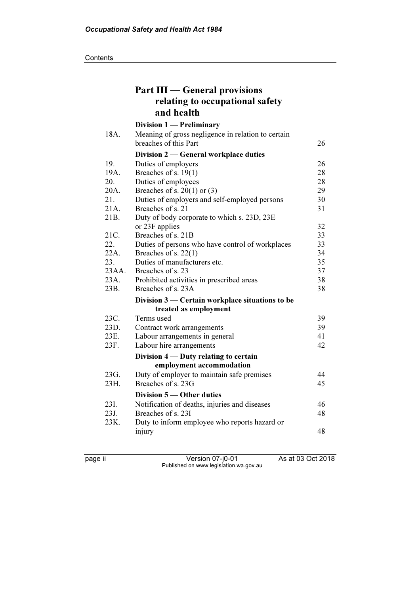#### **Contents**

|       | <b>Part III — General provisions</b>               |    |
|-------|----------------------------------------------------|----|
|       | relating to occupational safety                    |    |
|       | and health                                         |    |
|       | Division 1 - Preliminary                           |    |
| 18A.  | Meaning of gross negligence in relation to certain |    |
|       | breaches of this Part                              | 26 |
|       | Division 2 - General workplace duties              |    |
| 19.   | Duties of employers                                | 26 |
| 19A.  | Breaches of s. $19(1)$                             | 28 |
| 20.   | Duties of employees                                | 28 |
| 20A.  | Breaches of s. $20(1)$ or (3)                      | 29 |
| 21.   | Duties of employers and self-employed persons      | 30 |
| 21A.  | Breaches of s. 21                                  | 31 |
| 21B.  | Duty of body corporate to which s. 23D, 23E        |    |
|       | or 23F applies                                     | 32 |
| 21C.  | Breaches of s. 21B                                 | 33 |
| 22.   | Duties of persons who have control of workplaces   | 33 |
| 22A.  | Breaches of s. $22(1)$                             | 34 |
| 23.   | Duties of manufacturers etc.                       | 35 |
| 23AA. | Breaches of s. 23                                  | 37 |
| 23A.  | Prohibited activities in prescribed areas          | 38 |
| 23B.  | Breaches of s. 23A                                 | 38 |
|       | Division 3 — Certain workplace situations to be    |    |
|       | treated as employment                              |    |
| 23C.  | Terms used                                         | 39 |
| 23D.  | Contract work arrangements                         | 39 |
| 23E.  | Labour arrangements in general                     | 41 |
| 23F.  | Labour hire arrangements                           | 42 |
|       | Division 4 – Duty relating to certain              |    |
|       | employment accommodation                           |    |
| 23G.  | Duty of employer to maintain safe premises         | 44 |
| 23H.  | Breaches of s. 23G                                 | 45 |
|       | Division 5 	— Other duties                         |    |
| 23I.  | Notification of deaths, injuries and diseases      | 46 |
| 23J.  | Breaches of s. 23I                                 | 48 |
| 23K.  | Duty to inform employee who reports hazard or      |    |
|       | injury                                             | 48 |
|       |                                                    |    |

page ii Version 07-j0-01 As at 03 Oct 2018 Published on www.legislation.wa.gov.au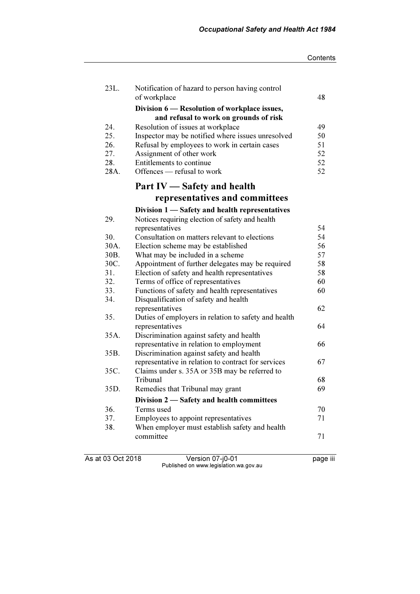| Contents |
|----------|
|----------|

| 23L.    | Notification of hazard to person having control<br>of workplace                        | 48 |
|---------|----------------------------------------------------------------------------------------|----|
|         |                                                                                        |    |
|         | Division 6 — Resolution of workplace issues,<br>and refusal to work on grounds of risk |    |
| 24.     | Resolution of issues at workplace                                                      | 49 |
| 25.     | Inspector may be notified where issues unresolved                                      | 50 |
| 26.     |                                                                                        | 51 |
| 27.     | Refusal by employees to work in certain cases                                          | 52 |
| 28.     | Assignment of other work<br>Entitlements to continue                                   | 52 |
| $28A$ . |                                                                                        | 52 |
|         | Offences — refusal to work                                                             |    |
|         | Part IV - Safety and health                                                            |    |
|         | representatives and committees                                                         |    |
|         | Division 1 - Safety and health representatives                                         |    |
| 29.     | Notices requiring election of safety and health                                        |    |
|         | representatives                                                                        | 54 |
| 30.     | Consultation on matters relevant to elections                                          | 54 |
| 30A.    | Election scheme may be established                                                     | 56 |
| 30B.    | What may be included in a scheme                                                       | 57 |
| 30C.    | Appointment of further delegates may be required                                       | 58 |
| 31.     | Election of safety and health representatives                                          | 58 |
| 32.     | Terms of office of representatives                                                     | 60 |
| 33.     | Functions of safety and health representatives                                         | 60 |
| 34.     | Disqualification of safety and health                                                  |    |
|         | representatives                                                                        | 62 |
| 35.     | Duties of employers in relation to safety and health                                   |    |
|         | representatives                                                                        | 64 |
| 35A.    | Discrimination against safety and health                                               |    |
|         | representative in relation to employment                                               | 66 |
| 35B.    | Discrimination against safety and health                                               |    |
|         | representative in relation to contract for services                                    | 67 |
| 35C.    | Claims under s. 35A or 35B may be referred to                                          |    |
|         | Tribunal                                                                               | 68 |
| 35D.    | Remedies that Tribunal may grant                                                       | 69 |
|         | Division 2 - Safety and health committees                                              |    |
| 36.     | Terms used                                                                             | 70 |
| 37.     | Employees to appoint representatives                                                   | 71 |
| 38.     | When employer must establish safety and health                                         |    |
|         | committee                                                                              | 71 |
|         |                                                                                        |    |

As at 03 Oct 2018 Version 07-j0-01 page iii Published on www.legislation.wa.gov.au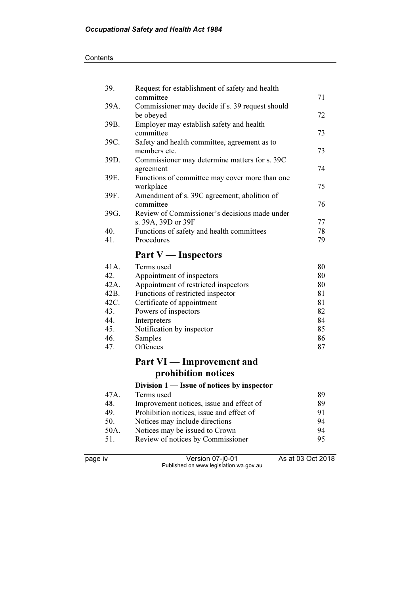| 39.  | Request for establishment of safety and health<br>committee | 71 |
|------|-------------------------------------------------------------|----|
| 39A. | Commissioner may decide if s. 39 request should             |    |
|      | be obeyed                                                   | 72 |
| 39B. | Employer may establish safety and health                    |    |
|      | committee                                                   | 73 |
| 39C. | Safety and health committee, agreement as to                |    |
|      | members etc.                                                | 73 |
| 39D. | Commissioner may determine matters for s. 39C               |    |
|      | agreement                                                   | 74 |
| 39E. | Functions of committee may cover more than one              |    |
| 39F. | workplace<br>Amendment of s. 39C agreement; abolition of    | 75 |
|      | committee                                                   | 76 |
| 39G. | Review of Commissioner's decisions made under               |    |
|      | s. 39A, 39D or 39F                                          | 77 |
| 40.  | Functions of safety and health committees                   | 78 |
| 41.  | Procedures                                                  | 79 |
|      | <b>Part V</b> — Inspectors                                  |    |
| 41A. | Terms used                                                  | 80 |
| 42.  | Appointment of inspectors                                   | 80 |
| 42A. | Appointment of restricted inspectors                        | 80 |
| 42B. | Functions of restricted inspector                           | 81 |
| 42C. | Certificate of appointment                                  | 81 |
| 43.  | Powers of inspectors                                        | 82 |
| 44.  | Interpreters                                                | 84 |
| 45.  | Notification by inspector                                   | 85 |
| 46.  | Samples                                                     | 86 |
| 47.  | Offences                                                    | 87 |
|      | Part VI — Improvement and                                   |    |
|      | prohibition notices                                         |    |
|      | Division 1 — Issue of notices by inspector                  |    |
| 47A. | Terms used                                                  | 89 |
| 48.  | Improvement notices, issue and effect of                    | 89 |
| 49.  | Prohibition notices, issue and effect of                    | 91 |
| 50.  | Notices may include directions                              | 94 |
| 50A. | Notices may be issued to Crown                              | 94 |
| 51.  | Review of notices by Commissioner                           | 95 |
|      |                                                             |    |

page iv Version 07-j0-01 As at 03 Oct 2018 Published on www.legislation.wa.gov.au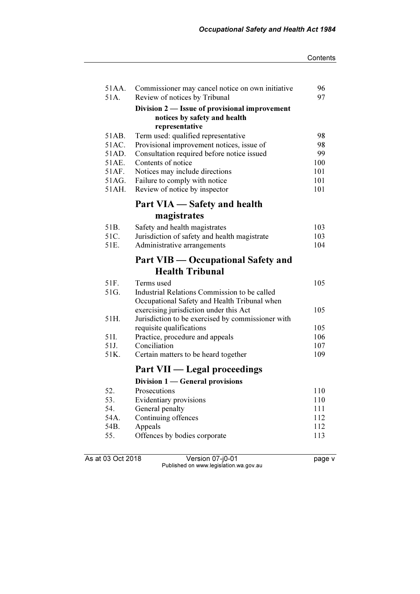| 51AA.          | Commissioner may cancel notice on own initiative                | 96         |
|----------------|-----------------------------------------------------------------|------------|
| 51A.           | Review of notices by Tribunal                                   | 97         |
|                | Division 2 - Issue of provisional improvement                   |            |
|                | notices by safety and health                                    |            |
|                | representative                                                  |            |
| 51AB.          | Term used: qualified representative                             | 98         |
| 51AC.          | Provisional improvement notices, issue of                       | 98         |
| 51AD.          | Consultation required before notice issued                      | 99         |
| 51AE.<br>51AF. | Contents of notice                                              | 100<br>101 |
| 51AG.          | Notices may include directions<br>Failure to comply with notice | 101        |
| 51AH.          | Review of notice by inspector                                   | 101        |
|                |                                                                 |            |
|                | Part VIA - Safety and health                                    |            |
|                | magistrates                                                     |            |
| 51B.           | Safety and health magistrates                                   | 103        |
| 51C.           | Jurisdiction of safety and health magistrate                    | 103        |
| 51E.           | Administrative arrangements                                     | 104        |
|                |                                                                 |            |
|                | Part VIB — Occupational Safety and                              |            |
|                | <b>Health Tribunal</b>                                          |            |
| 51F.           | Terms used                                                      | 105        |
| 51G.           | Industrial Relations Commission to be called                    |            |
|                | Occupational Safety and Health Tribunal when                    |            |
|                | exercising jurisdiction under this Act                          | 105        |
| 51H.           | Jurisdiction to be exercised by commissioner with               |            |
|                | requisite qualifications                                        | 105        |
| 51I.           | Practice, procedure and appeals                                 | 106        |
| 51J.           | Conciliation                                                    | 107        |
| 51K.           | Certain matters to be heard together                            | 109        |
|                | Part VII — Legal proceedings                                    |            |
|                | Division 1 — General provisions                                 |            |
| 52.            | Prosecutions                                                    | 110        |
| 53.            | Evidentiary provisions                                          | 110        |
| 54.            | General penalty                                                 | 111        |
| 54A.           | Continuing offences                                             | 112        |
| 54B.           | Appeals                                                         | 112        |
| 55.            | Offences by bodies corporate                                    | 113        |
|                |                                                                 |            |

As at 03 Oct 2018 Version 07-j0-01 page v Published on www.legislation.wa.gov.au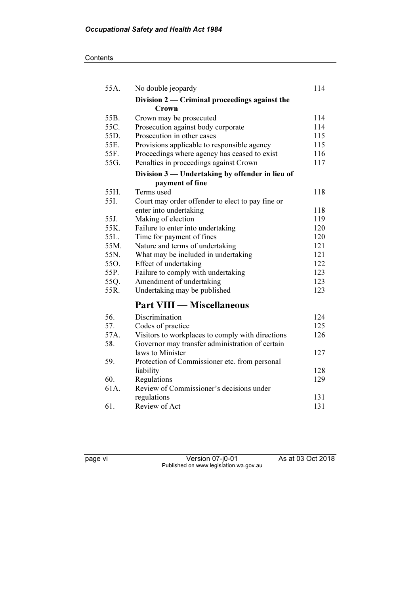#### **Contents**

| 55A. | No double jeopardy                               | 114 |
|------|--------------------------------------------------|-----|
|      | Division 2 — Criminal proceedings against the    |     |
|      | Crown                                            |     |
| 55B. | Crown may be prosecuted                          | 114 |
| 55C. | Prosecution against body corporate               | 114 |
| 55D. | Prosecution in other cases                       | 115 |
| 55E. | Provisions applicable to responsible agency      | 115 |
| 55F. | Proceedings where agency has ceased to exist     | 116 |
| 55G. | Penalties in proceedings against Crown           | 117 |
|      | Division 3 — Undertaking by offender in lieu of  |     |
|      | payment of fine                                  |     |
| 55H. | Terms used                                       | 118 |
| 55I. | Court may order offender to elect to pay fine or |     |
|      | enter into undertaking                           | 118 |
| 55J. | Making of election                               | 119 |
| 55K. | Failure to enter into undertaking                | 120 |
| 55L. | Time for payment of fines                        | 120 |
| 55M. | Nature and terms of undertaking                  | 121 |
| 55N. | What may be included in undertaking              | 121 |
| 55O. | Effect of undertaking                            | 122 |
| 55P. | Failure to comply with undertaking               | 123 |
| 55Q. | Amendment of undertaking                         | 123 |
| 55R. | Undertaking may be published                     | 123 |
|      | <b>Part VIII — Miscellaneous</b>                 |     |
| 56.  | Discrimination                                   | 124 |
| 57.  | Codes of practice                                | 125 |
| 57A. | Visitors to workplaces to comply with directions | 126 |
| 58.  | Governor may transfer administration of certain  |     |
|      | laws to Minister                                 | 127 |
| 59.  | Protection of Commissioner etc. from personal    |     |
|      | liability                                        | 128 |
| 60.  | Regulations                                      | 129 |
| 61A. | Review of Commissioner's decisions under         |     |
|      | regulations                                      | 131 |
| 61.  | Review of Act                                    | 131 |

page vi Version 07-j0-01 As at 03 Oct 2018 Published on www.legislation.wa.gov.au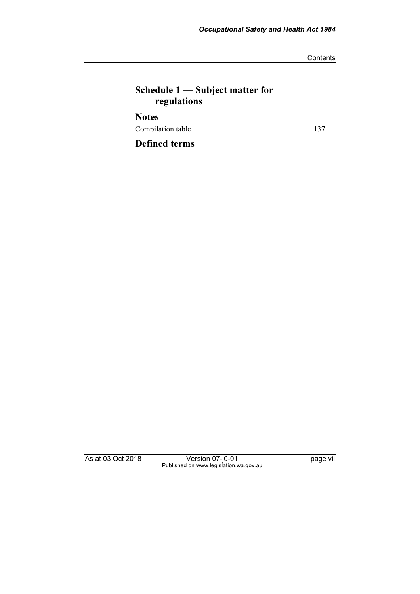**Contents** 

## Schedule 1 — Subject matter for regulations Notes Compilation table 137 Defined terms

As at 03 Oct 2018 Version 07-j0-01 page vii Published on www.legislation.wa.gov.au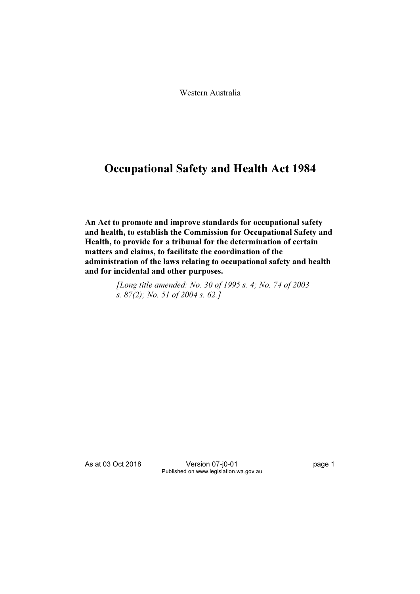Western Australia

## Occupational Safety and Health Act 1984

An Act to promote and improve standards for occupational safety and health, to establish the Commission for Occupational Safety and Health, to provide for a tribunal for the determination of certain matters and claims, to facilitate the coordination of the administration of the laws relating to occupational safety and health and for incidental and other purposes.

> [Long title amended: No. 30 of 1995 s. 4; No. 74 of 2003 s. 87(2); No. 51 of 2004 s. 62.]

As at 03 Oct 2018 Version 07-j0-01 page 1 Published on www.legislation.wa.gov.au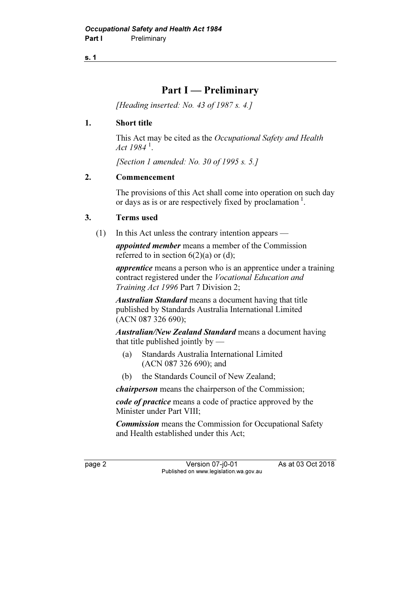### Part I — Preliminary

[Heading inserted: No. 43 of 1987 s. 4.]

### 1. Short title

 This Act may be cited as the Occupational Safety and Health Act  $1984$ <sup>1</sup>.

[Section 1 amended: No. 30 of 1995 s. 5.]

### 2. Commencement

 The provisions of this Act shall come into operation on such day or days as is or are respectively fixed by proclamation<sup>1</sup>.

### 3. Terms used

(1) In this Act unless the contrary intention appears —

appointed member means a member of the Commission referred to in section  $6(2)(a)$  or  $(d)$ ;

**apprentice** means a person who is an apprentice under a training contract registered under the Vocational Education and Training Act 1996 Part 7 Division 2;

Australian Standard means a document having that title published by Standards Australia International Limited (ACN 087 326 690);

Australian/New Zealand Standard means a document having that title published jointly by —

- (a) Standards Australia International Limited (ACN 087 326 690); and
- (b) the Standards Council of New Zealand;

chairperson means the chairperson of the Commission;

code of practice means a code of practice approved by the Minister under Part VIII;

**Commission** means the Commission for Occupational Safety and Health established under this Act;

page 2 Version 07-j0-01 As at 03 Oct 2018 Published on www.legislation.wa.gov.au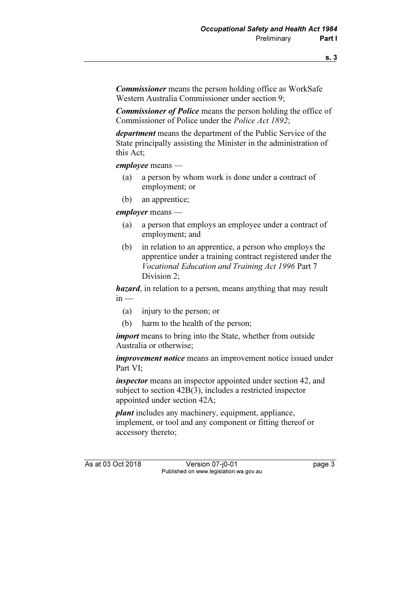Commissioner means the person holding office as WorkSafe Western Australia Commissioner under section 9;

**Commissioner of Police** means the person holding the office of Commissioner of Police under the Police Act 1892;

department means the department of the Public Service of the State principally assisting the Minister in the administration of this Act;

employee means —

- (a) a person by whom work is done under a contract of employment; or
- (b) an apprentice;

employer means —

- (a) a person that employs an employee under a contract of employment; and
- (b) in relation to an apprentice, a person who employs the apprentice under a training contract registered under the Vocational Education and Training Act 1996 Part 7 Division 2;

hazard, in relation to a person, means anything that may result  $in -$ 

- (a) injury to the person; or
- (b) harm to the health of the person;

import means to bring into the State, whether from outside Australia or otherwise;

*improvement notice* means an improvement notice issued under Part VI;

inspector means an inspector appointed under section 42, and subject to section 42B(3), includes a restricted inspector appointed under section 42A;

plant includes any machinery, equipment, appliance, implement, or tool and any component or fitting thereof or accessory thereto;

As at 03 Oct 2018 Version 07-j0-01 page 3 Published on www.legislation.wa.gov.au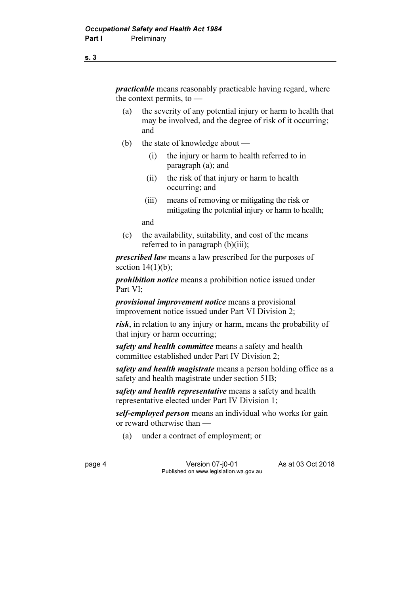practicable means reasonably practicable having regard, where the context permits, to —

- (a) the severity of any potential injury or harm to health that may be involved, and the degree of risk of it occurring; and
- (b) the state of knowledge about
	- (i) the injury or harm to health referred to in paragraph (a); and
	- (ii) the risk of that injury or harm to health occurring; and
	- (iii) means of removing or mitigating the risk or mitigating the potential injury or harm to health;

and

 (c) the availability, suitability, and cost of the means referred to in paragraph (b)(iii);

prescribed law means a law prescribed for the purposes of section  $14(1)(b)$ ;

prohibition notice means a prohibition notice issued under Part VI;

provisional improvement notice means a provisional improvement notice issued under Part VI Division 2;

risk, in relation to any injury or harm, means the probability of that injury or harm occurring;

safety and health committee means a safety and health committee established under Part IV Division 2;

safety and health magistrate means a person holding office as a safety and health magistrate under section 51B;

safety and health representative means a safety and health representative elected under Part IV Division 1;

self-employed person means an individual who works for gain or reward otherwise than —

(a) under a contract of employment; or

page 4 Version 07-j0-01 As at 03 Oct 2018 Published on www.legislation.wa.gov.au

s. 3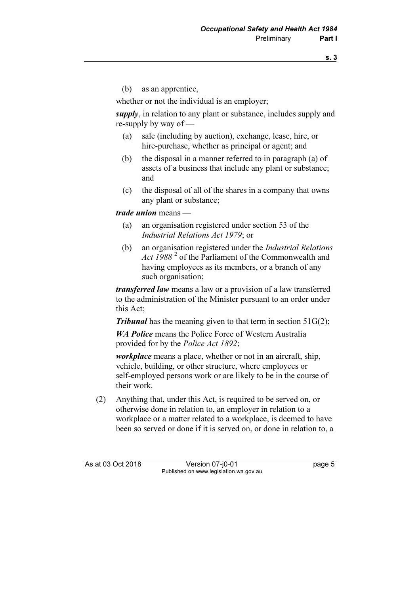(b) as an apprentice,

whether or not the individual is an employer;

supply, in relation to any plant or substance, includes supply and re-supply by way of —

- (a) sale (including by auction), exchange, lease, hire, or hire-purchase, whether as principal or agent; and
- (b) the disposal in a manner referred to in paragraph (a) of assets of a business that include any plant or substance; and
- (c) the disposal of all of the shares in a company that owns any plant or substance;

trade union means —

- (a) an organisation registered under section 53 of the Industrial Relations Act 1979; or
- (b) an organisation registered under the Industrial Relations Act 1988<sup>2</sup> of the Parliament of the Commonwealth and having employees as its members, or a branch of any such organisation;

transferred law means a law or a provision of a law transferred to the administration of the Minister pursuant to an order under this Act;

**Tribunal** has the meaning given to that term in section  $51G(2)$ ;

WA Police means the Police Force of Western Australia provided for by the Police Act 1892;

*workplace* means a place, whether or not in an aircraft, ship, vehicle, building, or other structure, where employees or self-employed persons work or are likely to be in the course of their work.

 (2) Anything that, under this Act, is required to be served on, or otherwise done in relation to, an employer in relation to a workplace or a matter related to a workplace, is deemed to have been so served or done if it is served on, or done in relation to, a

As at 03 Oct 2018 Version 07-j0-01 page 5 Published on www.legislation.wa.gov.au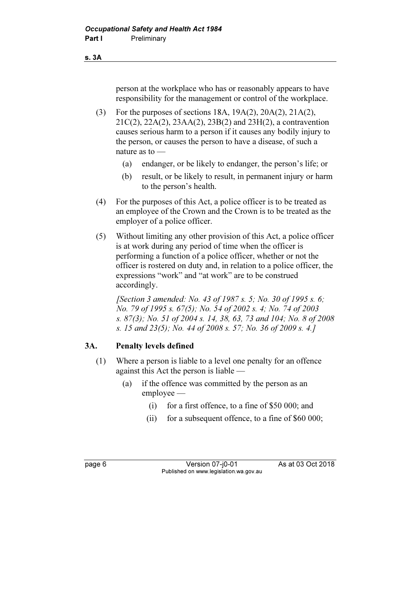#### s. 3A

person at the workplace who has or reasonably appears to have responsibility for the management or control of the workplace.

- (3) For the purposes of sections 18A, 19A(2), 20A(2), 21A(2), 21C(2), 22A(2), 23AA(2), 23B(2) and 23H(2), a contravention causes serious harm to a person if it causes any bodily injury to the person, or causes the person to have a disease, of such a nature as to —
	- (a) endanger, or be likely to endanger, the person's life; or
	- (b) result, or be likely to result, in permanent injury or harm to the person's health.
- (4) For the purposes of this Act, a police officer is to be treated as an employee of the Crown and the Crown is to be treated as the employer of a police officer.
- (5) Without limiting any other provision of this Act, a police officer is at work during any period of time when the officer is performing a function of a police officer, whether or not the officer is rostered on duty and, in relation to a police officer, the expressions "work" and "at work" are to be construed accordingly.

[Section 3 amended: No. 43 of 1987 s. 5; No. 30 of 1995 s. 6; No. 79 of 1995 s. 67(5); No. 54 of 2002 s. 4; No. 74 of 2003 s. 87(3); No. 51 of 2004 s. 14, 38, 63, 73 and 104; No. 8 of 2008 s. 15 and 23(5); No. 44 of 2008 s. 57; No. 36 of 2009 s. 4.]

### 3A. Penalty levels defined

- (1) Where a person is liable to a level one penalty for an offence against this Act the person is liable —
	- (a) if the offence was committed by the person as an employee —
		- (i) for a first offence, to a fine of \$50 000; and
		- (ii) for a subsequent offence, to a fine of \$60 000;

page 6 Version 07-j0-01 As at 03 Oct 2018 Published on www.legislation.wa.gov.au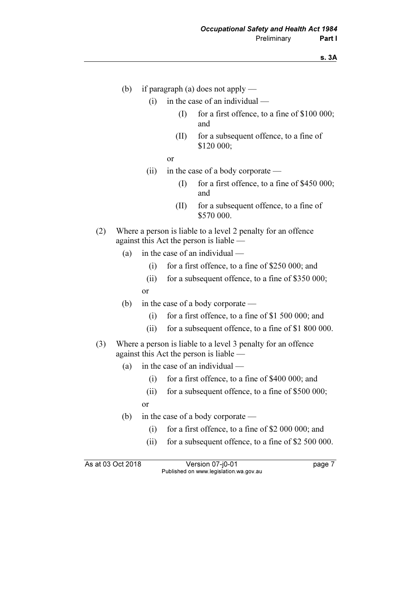- (b) if paragraph (a) does not apply
	- $(i)$  in the case of an individual
		- (I) for a first offence, to a fine of  $$100,000$ ; and
		- (II) for a subsequent offence, to a fine of \$120 000;
- or
	- (ii) in the case of a body corporate
		- (I) for a first offence, to a fine of \$450 000; and
		- (II) for a subsequent offence, to a fine of \$570 000.
	- (2) Where a person is liable to a level 2 penalty for an offence against this Act the person is liable —
		- (a) in the case of an individual
			- (i) for a first offence, to a fine of \$250 000; and
			- (ii) for a subsequent offence, to a fine of \$350 000; or
		- (b) in the case of a body corporate
			- (i) for a first offence, to a fine of \$1 500 000; and
			- (ii) for a subsequent offence, to a fine of \$1 800 000.
	- (3) Where a person is liable to a level 3 penalty for an offence against this Act the person is liable —
		- (a) in the case of an individual
			- (i) for a first offence, to a fine of \$400 000; and
			- (ii) for a subsequent offence, to a fine of \$500 000;
			- or
		- (b) in the case of a body corporate
			- (i) for a first offence, to a fine of \$2 000 000; and
			- (ii) for a subsequent offence, to a fine of \$2 500 000.

As at 03 Oct 2018 Version 07-j0-01 page 7 Published on www.legislation.wa.gov.au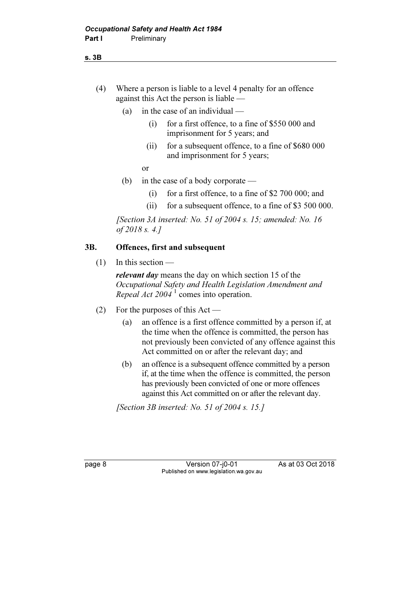s. 3B

- (4) Where a person is liable to a level 4 penalty for an offence against this Act the person is liable —
	- (a) in the case of an individual
		- (i) for a first offence, to a fine of \$550 000 and imprisonment for 5 years; and
		- (ii) for a subsequent offence, to a fine of \$680 000 and imprisonment for 5 years;

or

- (b) in the case of a body corporate
	- (i) for a first offence, to a fine of \$2 700 000; and
	- (ii) for a subsequent offence, to a fine of \$3 500 000.

 [Section 3A inserted: No. 51 of 2004 s. 15; amended: No. 16 of 2018 s. 4.]

#### 3B. Offences, first and subsequent

(1) In this section —

relevant day means the day on which section 15 of the Occupational Safety and Health Legislation Amendment and Repeal Act  $2004<sup>1</sup>$  comes into operation.

- (2) For the purposes of this Act
	- (a) an offence is a first offence committed by a person if, at the time when the offence is committed, the person has not previously been convicted of any offence against this Act committed on or after the relevant day; and
	- (b) an offence is a subsequent offence committed by a person if, at the time when the offence is committed, the person has previously been convicted of one or more offences against this Act committed on or after the relevant day.

[Section 3B inserted: No. 51 of 2004 s. 15.]

page 8 Version 07-j0-01 As at 03 Oct 2018 Published on www.legislation.wa.gov.au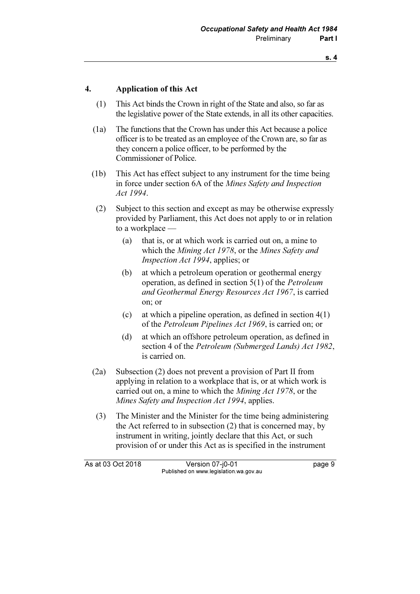### 4. Application of this Act

- (1) This Act binds the Crown in right of the State and also, so far as the legislative power of the State extends, in all its other capacities.
- (1a) The functions that the Crown has under this Act because a police officer is to be treated as an employee of the Crown are, so far as they concern a police officer, to be performed by the Commissioner of Police.
- (1b) This Act has effect subject to any instrument for the time being in force under section 6A of the Mines Safety and Inspection Act 1994.
- (2) Subject to this section and except as may be otherwise expressly provided by Parliament, this Act does not apply to or in relation to a workplace —
	- (a) that is, or at which work is carried out on, a mine to which the Mining Act 1978, or the Mines Safety and Inspection Act 1994, applies; or
	- (b) at which a petroleum operation or geothermal energy operation, as defined in section 5(1) of the Petroleum and Geothermal Energy Resources Act 1967, is carried on; or
	- (c) at which a pipeline operation, as defined in section 4(1) of the Petroleum Pipelines Act 1969, is carried on; or
	- (d) at which an offshore petroleum operation, as defined in section 4 of the Petroleum (Submerged Lands) Act 1982, is carried on.
- (2a) Subsection (2) does not prevent a provision of Part II from applying in relation to a workplace that is, or at which work is carried out on, a mine to which the Mining Act 1978, or the Mines Safety and Inspection Act 1994, applies.
- (3) The Minister and the Minister for the time being administering the Act referred to in subsection (2) that is concerned may, by instrument in writing, jointly declare that this Act, or such provision of or under this Act as is specified in the instrument

As at 03 Oct 2018 Version 07-i0-01 page 9 Published on www.legislation.wa.gov.au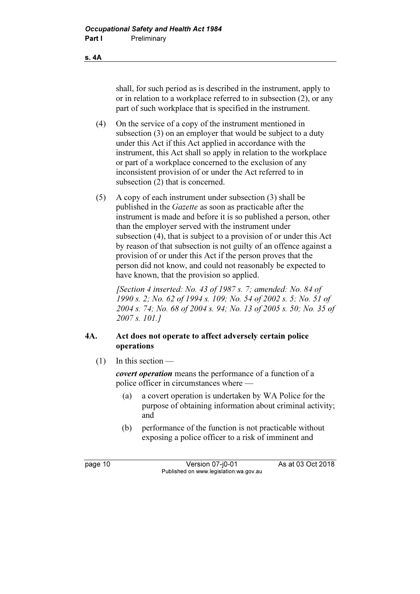shall, for such period as is described in the instrument, apply to or in relation to a workplace referred to in subsection (2), or any part of such workplace that is specified in the instrument.

- (4) On the service of a copy of the instrument mentioned in subsection (3) on an employer that would be subject to a duty under this Act if this Act applied in accordance with the instrument, this Act shall so apply in relation to the workplace or part of a workplace concerned to the exclusion of any inconsistent provision of or under the Act referred to in subsection (2) that is concerned.
- (5) A copy of each instrument under subsection (3) shall be published in the Gazette as soon as practicable after the instrument is made and before it is so published a person, other than the employer served with the instrument under subsection (4), that is subject to a provision of or under this Act by reason of that subsection is not guilty of an offence against a provision of or under this Act if the person proves that the person did not know, and could not reasonably be expected to have known, that the provision so applied.

 [Section 4 inserted: No. 43 of 1987 s. 7; amended: No. 84 of 1990 s. 2; No. 62 of 1994 s. 109; No. 54 of 2002 s. 5; No. 51 of 2004 s. 74; No. 68 of 2004 s. 94; No. 13 of 2005 s. 50; No. 35 of 2007 s. 101.]

### 4A. Act does not operate to affect adversely certain police operations

(1) In this section —

covert operation means the performance of a function of a police officer in circumstances where —

- (a) a covert operation is undertaken by WA Police for the purpose of obtaining information about criminal activity; and
- (b) performance of the function is not practicable without exposing a police officer to a risk of imminent and

page 10 Version 07-j0-01 As at 03 Oct 2018 Published on www.legislation.wa.gov.au

s. 4A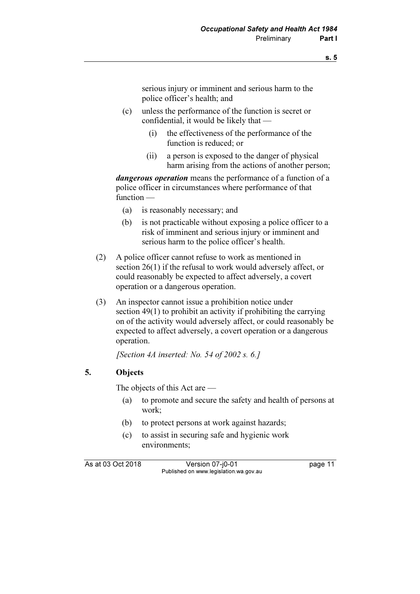serious injury or imminent and serious harm to the police officer's health; and

- (c) unless the performance of the function is secret or confidential, it would be likely that —
	- (i) the effectiveness of the performance of the function is reduced; or
	- (ii) a person is exposed to the danger of physical harm arising from the actions of another person;

dangerous operation means the performance of a function of a police officer in circumstances where performance of that function —

- (a) is reasonably necessary; and
- (b) is not practicable without exposing a police officer to a risk of imminent and serious injury or imminent and serious harm to the police officer's health.
- (2) A police officer cannot refuse to work as mentioned in section 26(1) if the refusal to work would adversely affect, or could reasonably be expected to affect adversely, a covert operation or a dangerous operation.
- (3) An inspector cannot issue a prohibition notice under section 49(1) to prohibit an activity if prohibiting the carrying on of the activity would adversely affect, or could reasonably be expected to affect adversely, a covert operation or a dangerous operation.

[Section 4A inserted: No. 54 of 2002 s. 6.]

### 5. Objects

The objects of this Act are —

- (a) to promote and secure the safety and health of persons at work;
- (b) to protect persons at work against hazards;
- (c) to assist in securing safe and hygienic work environments;

As at 03 Oct 2018 Version 07-j0-01 page 11 Published on www.legislation.wa.gov.au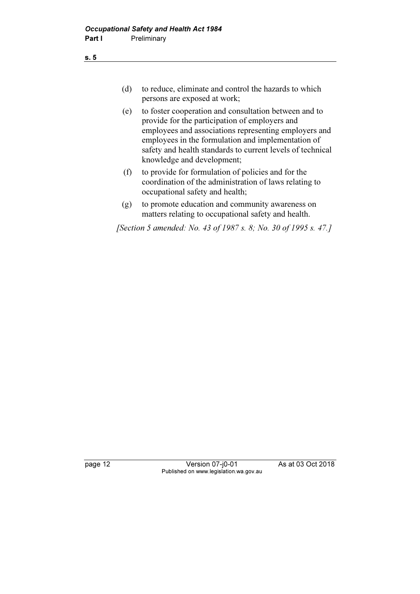- (d) to reduce, eliminate and control the hazards to which persons are exposed at work;
- (e) to foster cooperation and consultation between and to provide for the participation of employers and employees and associations representing employers and employees in the formulation and implementation of safety and health standards to current levels of technical knowledge and development;
- (f) to provide for formulation of policies and for the coordination of the administration of laws relating to occupational safety and health;
- (g) to promote education and community awareness on matters relating to occupational safety and health.

[Section 5 amended: No. 43 of 1987 s. 8; No. 30 of 1995 s. 47.]

page 12 Version 07-j0-01 As at 03 Oct 2018 Published on www.legislation.wa.gov.au

s. 5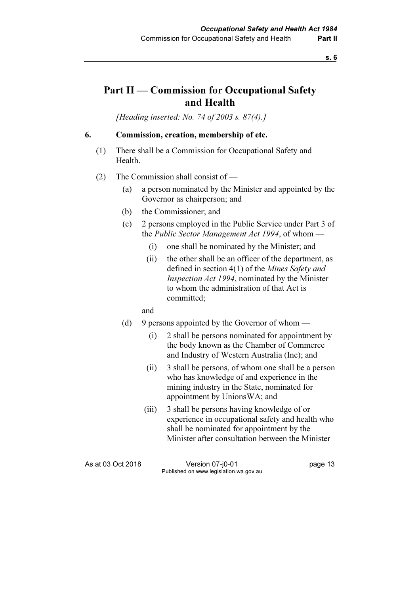### Part II — Commission for Occupational Safety and Health

[Heading inserted: No. 74 of 2003 s. 87(4).]

### 6. Commission, creation, membership of etc.

- (1) There shall be a Commission for Occupational Safety and Health.
- (2) The Commission shall consist of
	- (a) a person nominated by the Minister and appointed by the Governor as chairperson; and
	- (b) the Commissioner; and
	- (c) 2 persons employed in the Public Service under Part 3 of the Public Sector Management Act 1994, of whom —
		- (i) one shall be nominated by the Minister; and
		- (ii) the other shall be an officer of the department, as defined in section 4(1) of the Mines Safety and Inspection Act 1994, nominated by the Minister to whom the administration of that Act is committed;
		- and
	- (d) 9 persons appointed by the Governor of whom
		- (i) 2 shall be persons nominated for appointment by the body known as the Chamber of Commerce and Industry of Western Australia (Inc); and
		- (ii) 3 shall be persons, of whom one shall be a person who has knowledge of and experience in the mining industry in the State, nominated for appointment by UnionsWA; and
		- (iii) 3 shall be persons having knowledge of or experience in occupational safety and health who shall be nominated for appointment by the Minister after consultation between the Minister

As at 03 Oct 2018 Version 07-i0-01 page 13 Published on www.legislation.wa.gov.au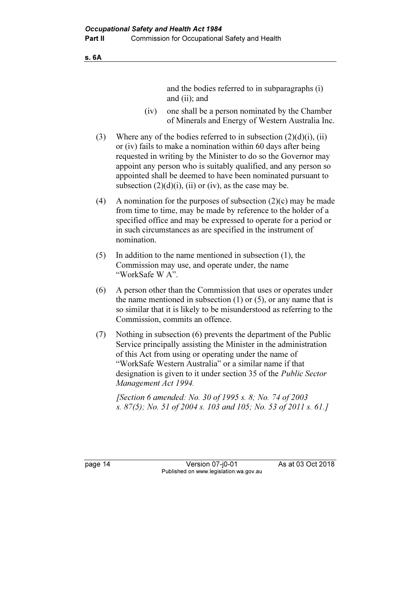s. 6A

and the bodies referred to in subparagraphs (i) and (ii); and

- (iv) one shall be a person nominated by the Chamber of Minerals and Energy of Western Australia Inc.
- (3) Where any of the bodies referred to in subsection  $(2)(d)(i)$ , (ii) or (iv) fails to make a nomination within 60 days after being requested in writing by the Minister to do so the Governor may appoint any person who is suitably qualified, and any person so appointed shall be deemed to have been nominated pursuant to subsection  $(2)(d)(i)$ ,  $(ii)$  or  $(iv)$ , as the case may be.
- (4) A nomination for the purposes of subsection  $(2)(c)$  may be made from time to time, may be made by reference to the holder of a specified office and may be expressed to operate for a period or in such circumstances as are specified in the instrument of nomination.
- (5) In addition to the name mentioned in subsection (1), the Commission may use, and operate under, the name "WorkSafe W A".
- (6) A person other than the Commission that uses or operates under the name mentioned in subsection  $(1)$  or  $(5)$ , or any name that is so similar that it is likely to be misunderstood as referring to the Commission, commits an offence.
- (7) Nothing in subsection (6) prevents the department of the Public Service principally assisting the Minister in the administration of this Act from using or operating under the name of "WorkSafe Western Australia" or a similar name if that designation is given to it under section 35 of the Public Sector Management Act 1994.

[Section 6 amended: No. 30 of 1995 s. 8; No. 74 of 2003] s. 87(5); No. 51 of 2004 s. 103 and 105; No. 53 of 2011 s. 61.]

page 14 Version 07-j0-01 As at 03 Oct 2018 Published on www.legislation.wa.gov.au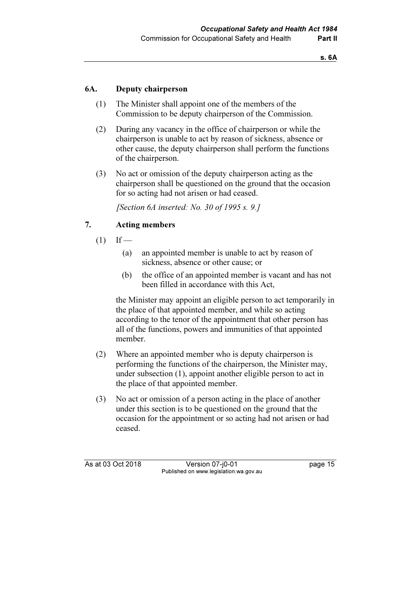### s. 6A

### 6A. Deputy chairperson

- (1) The Minister shall appoint one of the members of the Commission to be deputy chairperson of the Commission.
- (2) During any vacancy in the office of chairperson or while the chairperson is unable to act by reason of sickness, absence or other cause, the deputy chairperson shall perform the functions of the chairperson.
- (3) No act or omission of the deputy chairperson acting as the chairperson shall be questioned on the ground that the occasion for so acting had not arisen or had ceased.

[Section 6A inserted: No. 30 of 1995 s. 9.]

### 7. Acting members

- $(1)$  If
	- (a) an appointed member is unable to act by reason of sickness, absence or other cause; or
	- (b) the office of an appointed member is vacant and has not been filled in accordance with this Act,

 the Minister may appoint an eligible person to act temporarily in the place of that appointed member, and while so acting according to the tenor of the appointment that other person has all of the functions, powers and immunities of that appointed member.

- (2) Where an appointed member who is deputy chairperson is performing the functions of the chairperson, the Minister may, under subsection (1), appoint another eligible person to act in the place of that appointed member.
- (3) No act or omission of a person acting in the place of another under this section is to be questioned on the ground that the occasion for the appointment or so acting had not arisen or had ceased.

As at 03 Oct 2018 Version 07-i0-01 page 15 Published on www.legislation.wa.gov.au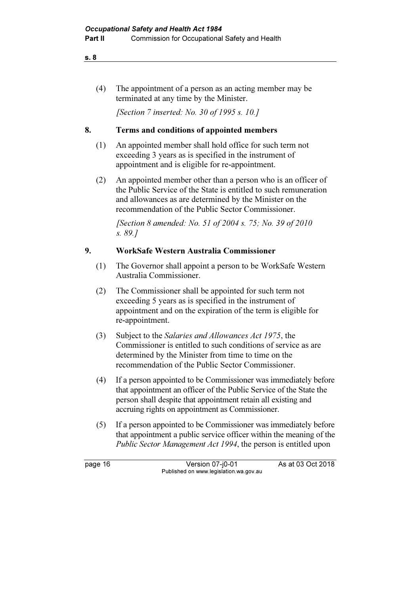(4) The appointment of a person as an acting member may be terminated at any time by the Minister.

[Section 7 inserted: No. 30 of 1995 s. 10.]

### 8. Terms and conditions of appointed members

- (1) An appointed member shall hold office for such term not exceeding 3 years as is specified in the instrument of appointment and is eligible for re-appointment.
- (2) An appointed member other than a person who is an officer of the Public Service of the State is entitled to such remuneration and allowances as are determined by the Minister on the recommendation of the Public Sector Commissioner.

 [Section 8 amended: No. 51 of 2004 s. 75; No. 39 of 2010 s. 89.]

### 9. WorkSafe Western Australia Commissioner

- (1) The Governor shall appoint a person to be WorkSafe Western Australia Commissioner.
- (2) The Commissioner shall be appointed for such term not exceeding 5 years as is specified in the instrument of appointment and on the expiration of the term is eligible for re-appointment.
- (3) Subject to the Salaries and Allowances Act 1975, the Commissioner is entitled to such conditions of service as are determined by the Minister from time to time on the recommendation of the Public Sector Commissioner.
- (4) If a person appointed to be Commissioner was immediately before that appointment an officer of the Public Service of the State the person shall despite that appointment retain all existing and accruing rights on appointment as Commissioner.
- (5) If a person appointed to be Commissioner was immediately before that appointment a public service officer within the meaning of the Public Sector Management Act 1994, the person is entitled upon

page 16 Version 07-j0-01 As at 03 Oct 2018 Published on www.legislation.wa.gov.au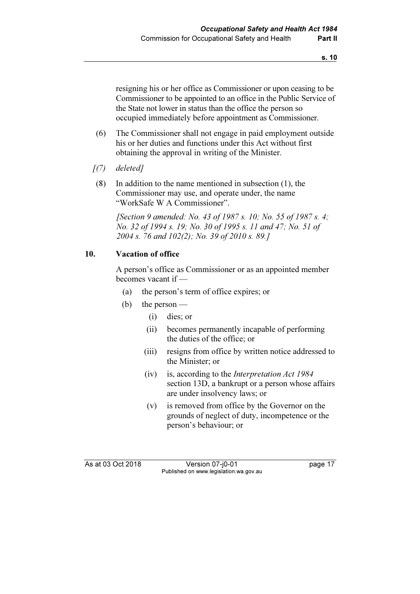resigning his or her office as Commissioner or upon ceasing to be Commissioner to be appointed to an office in the Public Service of the State not lower in status than the office the person so occupied immediately before appointment as Commissioner.

- (6) The Commissioner shall not engage in paid employment outside his or her duties and functions under this Act without first obtaining the approval in writing of the Minister.
- $(7)$  deleted]
- (8) In addition to the name mentioned in subsection (1), the Commissioner may use, and operate under, the name "WorkSafe W A Commissioner".

[Section 9 amended: No. 43 of 1987 s. 10; No. 55 of 1987 s. 4; No. 32 of 1994 s. 19; No. 30 of 1995 s. 11 and 47; No. 51 of 2004 s. 76 and 102(2); No. 39 of 2010 s. 89.]

### 10. Vacation of office

 A person's office as Commissioner or as an appointed member becomes vacant if —

- (a) the person's term of office expires; or
- (b) the person
	- (i) dies; or
	- (ii) becomes permanently incapable of performing the duties of the office; or
	- (iii) resigns from office by written notice addressed to the Minister; or
	- (iv) is, according to the Interpretation Act 1984 section 13D, a bankrupt or a person whose affairs are under insolvency laws; or
	- (v) is removed from office by the Governor on the grounds of neglect of duty, incompetence or the person's behaviour; or

As at 03 Oct 2018 Version 07-j0-01 page 17 Published on www.legislation.wa.gov.au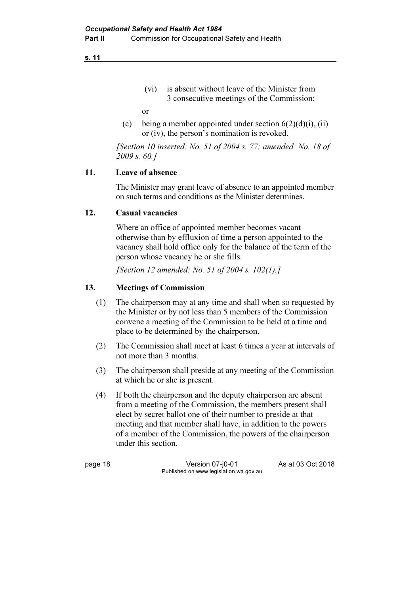(vi) is absent without leave of the Minister from 3 consecutive meetings of the Commission;

or

(c) being a member appointed under section  $6(2)(d)(i)$ , (ii) or (iv), the person's nomination is revoked.

[Section 10 inserted: No. 51 of 2004 s. 77; amended: No. 18 of 2009 s. 60.]

### 11. Leave of absence

 The Minister may grant leave of absence to an appointed member on such terms and conditions as the Minister determines.

### 12. Casual vacancies

 Where an office of appointed member becomes vacant otherwise than by effluxion of time a person appointed to the vacancy shall hold office only for the balance of the term of the person whose vacancy he or she fills.

[Section 12 amended: No. 51 of 2004 s. 102(1).]

### 13. Meetings of Commission

- (1) The chairperson may at any time and shall when so requested by the Minister or by not less than 5 members of the Commission convene a meeting of the Commission to be held at a time and place to be determined by the chairperson.
- (2) The Commission shall meet at least 6 times a year at intervals of not more than 3 months.
- (3) The chairperson shall preside at any meeting of the Commission at which he or she is present.
- (4) If both the chairperson and the deputy chairperson are absent from a meeting of the Commission, the members present shall elect by secret ballot one of their number to preside at that meeting and that member shall have, in addition to the powers of a member of the Commission, the powers of the chairperson under this section.

page 18 Version 07-j0-01 As at 03 Oct 2018 Published on www.legislation.wa.gov.au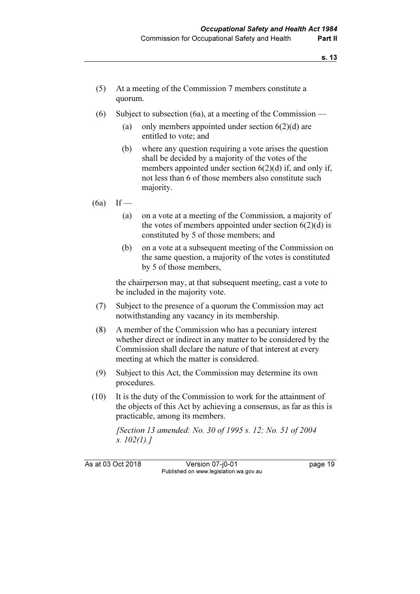- (5) At a meeting of the Commission 7 members constitute a quorum.
- (6) Subject to subsection (6a), at a meeting of the Commission
	- (a) only members appointed under section  $6(2)(d)$  are entitled to vote; and
	- (b) where any question requiring a vote arises the question shall be decided by a majority of the votes of the members appointed under section  $6(2)(d)$  if, and only if, not less than 6 of those members also constitute such majority.
- $(6a)$  If
	- (a) on a vote at a meeting of the Commission, a majority of the votes of members appointed under section  $6(2)(d)$  is constituted by 5 of those members; and
	- (b) on a vote at a subsequent meeting of the Commission on the same question, a majority of the votes is constituted by 5 of those members,

 the chairperson may, at that subsequent meeting, cast a vote to be included in the majority vote.

- (7) Subject to the presence of a quorum the Commission may act notwithstanding any vacancy in its membership.
- (8) A member of the Commission who has a pecuniary interest whether direct or indirect in any matter to be considered by the Commission shall declare the nature of that interest at every meeting at which the matter is considered.
- (9) Subject to this Act, the Commission may determine its own procedures.
- (10) It is the duty of the Commission to work for the attainment of the objects of this Act by achieving a consensus, as far as this is practicable, among its members.

 [Section 13 amended: No. 30 of 1995 s. 12; No. 51 of 2004 s. 102(1).]

As at 03 Oct 2018 Version 07-j0-01 page 19 Published on www.legislation.wa.gov.au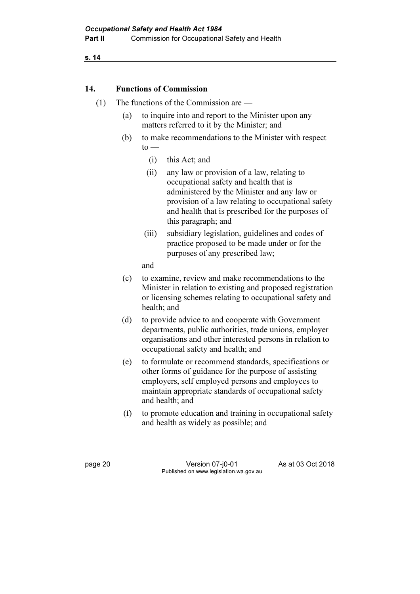### 14. Functions of Commission

- (1) The functions of the Commission are
	- (a) to inquire into and report to the Minister upon any matters referred to it by the Minister; and
	- (b) to make recommendations to the Minister with respect  $to$ 
		- (i) this Act; and
		- (ii) any law or provision of a law, relating to occupational safety and health that is administered by the Minister and any law or provision of a law relating to occupational safety and health that is prescribed for the purposes of this paragraph; and
		- (iii) subsidiary legislation, guidelines and codes of practice proposed to be made under or for the purposes of any prescribed law;

and

- (c) to examine, review and make recommendations to the Minister in relation to existing and proposed registration or licensing schemes relating to occupational safety and health; and
- (d) to provide advice to and cooperate with Government departments, public authorities, trade unions, employer organisations and other interested persons in relation to occupational safety and health; and
- (e) to formulate or recommend standards, specifications or other forms of guidance for the purpose of assisting employers, self employed persons and employees to maintain appropriate standards of occupational safety and health; and
- (f) to promote education and training in occupational safety and health as widely as possible; and

page 20 Version 07-j0-01 As at 03 Oct 2018 Published on www.legislation.wa.gov.au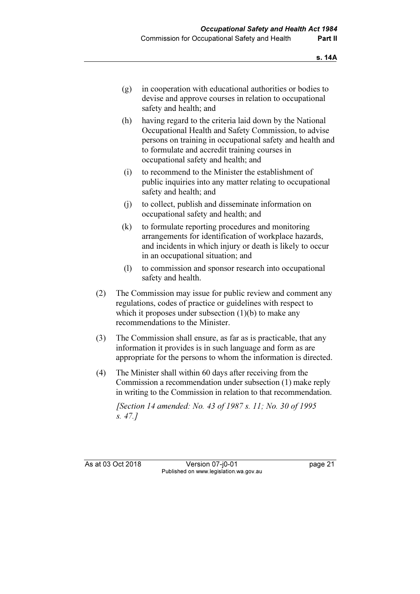- (g) in cooperation with educational authorities or bodies to devise and approve courses in relation to occupational safety and health; and
- (h) having regard to the criteria laid down by the National Occupational Health and Safety Commission, to advise persons on training in occupational safety and health and to formulate and accredit training courses in occupational safety and health; and
- (i) to recommend to the Minister the establishment of public inquiries into any matter relating to occupational safety and health; and
- (j) to collect, publish and disseminate information on occupational safety and health; and
- (k) to formulate reporting procedures and monitoring arrangements for identification of workplace hazards, and incidents in which injury or death is likely to occur in an occupational situation; and
- (l) to commission and sponsor research into occupational safety and health.
- (2) The Commission may issue for public review and comment any regulations, codes of practice or guidelines with respect to which it proposes under subsection  $(1)(b)$  to make any recommendations to the Minister.
- (3) The Commission shall ensure, as far as is practicable, that any information it provides is in such language and form as are appropriate for the persons to whom the information is directed.
- (4) The Minister shall within 60 days after receiving from the Commission a recommendation under subsection (1) make reply in writing to the Commission in relation to that recommendation.

 [Section 14 amended: No. 43 of 1987 s. 11; No. 30 of 1995 s. 47.]

As at 03 Oct 2018 Version 07-j0-01 page 21 Published on www.legislation.wa.gov.au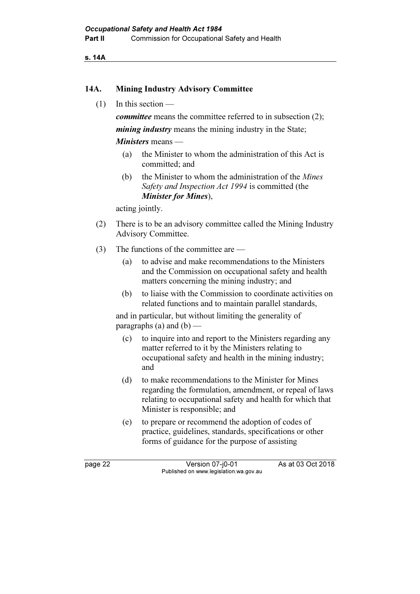s. 14A

### 14A. Mining Industry Advisory Committee

(1) In this section —

committee means the committee referred to in subsection (2);

*mining industry* means the mining industry in the State;

Ministers means —

- (a) the Minister to whom the administration of this Act is committed; and
- (b) the Minister to whom the administration of the Mines Safety and Inspection Act 1994 is committed (the Minister for Mines),

acting jointly.

- (2) There is to be an advisory committee called the Mining Industry Advisory Committee.
- (3) The functions of the committee are
	- (a) to advise and make recommendations to the Ministers and the Commission on occupational safety and health matters concerning the mining industry; and
	- (b) to liaise with the Commission to coordinate activities on related functions and to maintain parallel standards,

 and in particular, but without limiting the generality of paragraphs (a) and  $(b)$  —

- (c) to inquire into and report to the Ministers regarding any matter referred to it by the Ministers relating to occupational safety and health in the mining industry; and
- (d) to make recommendations to the Minister for Mines regarding the formulation, amendment, or repeal of laws relating to occupational safety and health for which that Minister is responsible; and
- (e) to prepare or recommend the adoption of codes of practice, guidelines, standards, specifications or other forms of guidance for the purpose of assisting

page 22 Version 07-j0-01 As at 03 Oct 2018 Published on www.legislation.wa.gov.au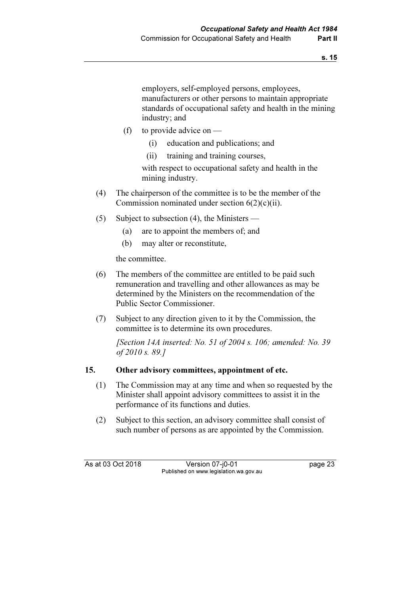employers, self-employed persons, employees, manufacturers or other persons to maintain appropriate standards of occupational safety and health in the mining industry; and

- (f) to provide advice on
	- (i) education and publications; and
	- (ii) training and training courses,

 with respect to occupational safety and health in the mining industry.

- (4) The chairperson of the committee is to be the member of the Commission nominated under section  $6(2)(c)(ii)$ .
- (5) Subject to subsection (4), the Ministers
	- (a) are to appoint the members of; and
	- (b) may alter or reconstitute,

the committee.

- (6) The members of the committee are entitled to be paid such remuneration and travelling and other allowances as may be determined by the Ministers on the recommendation of the Public Sector Commissioner.
- (7) Subject to any direction given to it by the Commission, the committee is to determine its own procedures.

[Section 14A inserted: No. 51 of 2004 s. 106; amended: No. 39 of 2010 s. 89.]

### 15. Other advisory committees, appointment of etc.

- (1) The Commission may at any time and when so requested by the Minister shall appoint advisory committees to assist it in the performance of its functions and duties.
- (2) Subject to this section, an advisory committee shall consist of such number of persons as are appointed by the Commission.

As at 03 Oct 2018 Version 07-j0-01 page 23 Published on www.legislation.wa.gov.au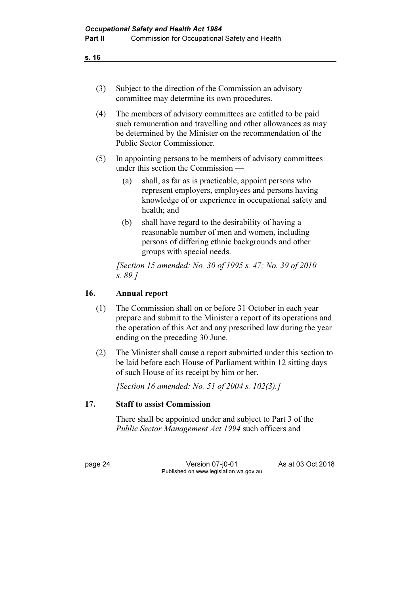- (3) Subject to the direction of the Commission an advisory committee may determine its own procedures.
- (4) The members of advisory committees are entitled to be paid such remuneration and travelling and other allowances as may be determined by the Minister on the recommendation of the Public Sector Commissioner.
- (5) In appointing persons to be members of advisory committees under this section the Commission —
	- (a) shall, as far as is practicable, appoint persons who represent employers, employees and persons having knowledge of or experience in occupational safety and health; and
	- (b) shall have regard to the desirability of having a reasonable number of men and women, including persons of differing ethnic backgrounds and other groups with special needs.

 [Section 15 amended: No. 30 of 1995 s. 47; No. 39 of 2010 s. 89.]

### 16. Annual report

- (1) The Commission shall on or before 31 October in each year prepare and submit to the Minister a report of its operations and the operation of this Act and any prescribed law during the year ending on the preceding 30 June.
- (2) The Minister shall cause a report submitted under this section to be laid before each House of Parliament within 12 sitting days of such House of its receipt by him or her.

[Section 16 amended: No. 51 of 2004 s. 102(3).]

#### 17. Staff to assist Commission

 There shall be appointed under and subject to Part 3 of the Public Sector Management Act 1994 such officers and

page 24 Version 07-j0-01 As at 03 Oct 2018 Published on www.legislation.wa.gov.au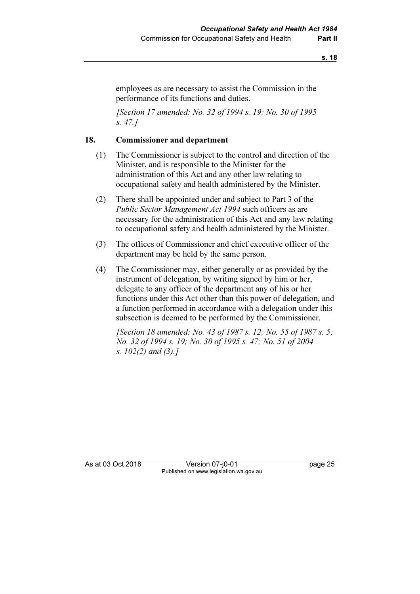employees as are necessary to assist the Commission in the performance of its functions and duties.

[Section 17 amended: No. 32 of 1994 s. 19; No. 30 of 1995] s. 47.]

### 18. Commissioner and department

- (1) The Commissioner is subject to the control and direction of the Minister, and is responsible to the Minister for the administration of this Act and any other law relating to occupational safety and health administered by the Minister.
- (2) There shall be appointed under and subject to Part 3 of the Public Sector Management Act 1994 such officers as are necessary for the administration of this Act and any law relating to occupational safety and health administered by the Minister.
- (3) The offices of Commissioner and chief executive officer of the department may be held by the same person.
- (4) The Commissioner may, either generally or as provided by the instrument of delegation, by writing signed by him or her, delegate to any officer of the department any of his or her functions under this Act other than this power of delegation, and a function performed in accordance with a delegation under this subsection is deemed to be performed by the Commissioner.

[Section 18 amended: No. 43 of 1987 s. 12; No. 55 of 1987 s. 5; No. 32 of 1994 s. 19; No. 30 of 1995 s. 47; No. 51 of 2004 s. 102(2) and (3).]

As at 03 Oct 2018 Version 07-j0-01 page 25 Published on www.legislation.wa.gov.au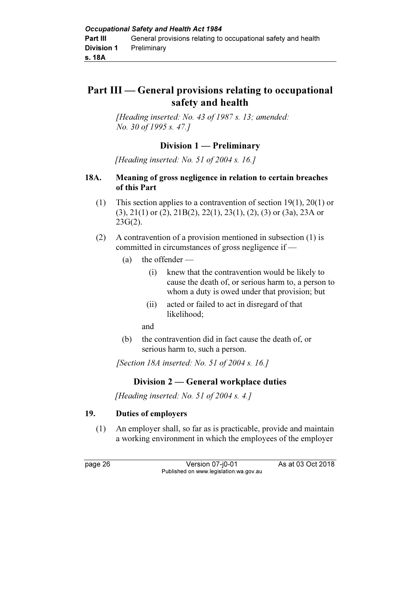### Part III — General provisions relating to occupational safety and health

[Heading inserted: No. 43 of 1987 s. 13; amended: No. 30 of 1995 s. 47.]

### Division 1 — Preliminary

[Heading inserted: No. 51 of 2004 s. 16.]

### 18A. Meaning of gross negligence in relation to certain breaches of this Part

- (1) This section applies to a contravention of section 19(1), 20(1) or (3), 21(1) or (2), 21B(2), 22(1), 23(1), (2), (3) or (3a), 23A or  $23G(2)$ .
- (2) A contravention of a provision mentioned in subsection (1) is committed in circumstances of gross negligence if —
	- (a) the offender
		- (i) knew that the contravention would be likely to cause the death of, or serious harm to, a person to whom a duty is owed under that provision; but
		- (ii) acted or failed to act in disregard of that likelihood;

and

 (b) the contravention did in fact cause the death of, or serious harm to, such a person.

[Section 18A inserted: No. 51 of 2004 s. 16.]

### Division 2 — General workplace duties

[Heading inserted: No. 51 of 2004 s. 4.]

### 19. Duties of employers

 (1) An employer shall, so far as is practicable, provide and maintain a working environment in which the employees of the employer

page 26 Version 07-j0-01 As at 03 Oct 2018 Published on www.legislation.wa.gov.au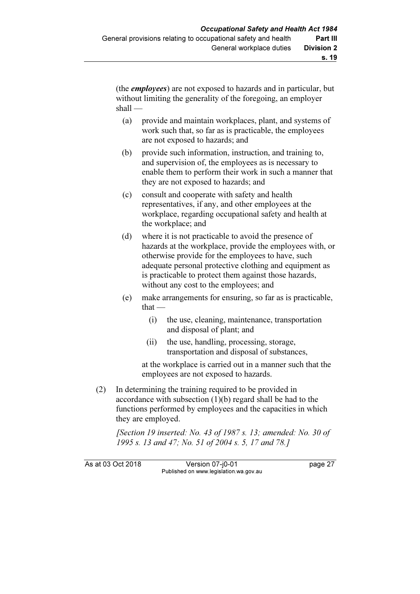(the employees) are not exposed to hazards and in particular, but without limiting the generality of the foregoing, an employer shall —

- (a) provide and maintain workplaces, plant, and systems of work such that, so far as is practicable, the employees are not exposed to hazards; and
- (b) provide such information, instruction, and training to, and supervision of, the employees as is necessary to enable them to perform their work in such a manner that they are not exposed to hazards; and
- (c) consult and cooperate with safety and health representatives, if any, and other employees at the workplace, regarding occupational safety and health at the workplace; and
- (d) where it is not practicable to avoid the presence of hazards at the workplace, provide the employees with, or otherwise provide for the employees to have, such adequate personal protective clothing and equipment as is practicable to protect them against those hazards, without any cost to the employees; and
- (e) make arrangements for ensuring, so far as is practicable, that —
	- (i) the use, cleaning, maintenance, transportation and disposal of plant; and
	- (ii) the use, handling, processing, storage, transportation and disposal of substances,

 at the workplace is carried out in a manner such that the employees are not exposed to hazards.

 (2) In determining the training required to be provided in accordance with subsection (1)(b) regard shall be had to the functions performed by employees and the capacities in which they are employed.

[Section 19 inserted: No. 43 of 1987 s. 13; amended: No. 30 of 1995 s. 13 and 47; No. 51 of 2004 s. 5, 17 and 78.]

As at 03 Oct 2018 Version 07-i0-01 page 27 Published on www.legislation.wa.gov.au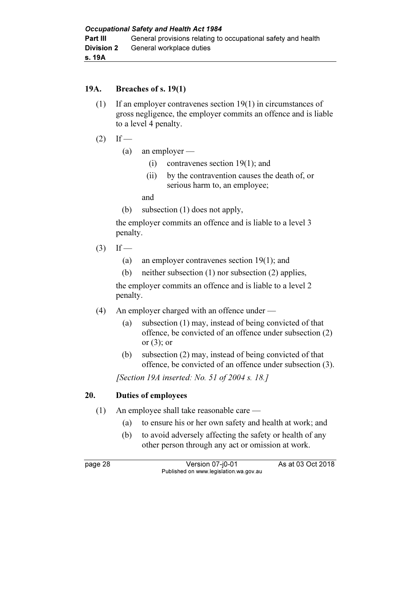#### 19A. Breaches of s. 19(1)

- (1) If an employer contravenes section 19(1) in circumstances of gross negligence, the employer commits an offence and is liable to a level 4 penalty.
- $(2)$  If
	- (a) an employer
		- (i) contravenes section 19(1); and
		- (ii) by the contravention causes the death of, or serious harm to, an employee;

and

(b) subsection (1) does not apply,

 the employer commits an offence and is liable to a level 3 penalty.

- $(3)$  If
	- (a) an employer contravenes section 19(1); and
	- (b) neither subsection (1) nor subsection (2) applies,

 the employer commits an offence and is liable to a level 2 penalty.

- (4) An employer charged with an offence under
	- (a) subsection (1) may, instead of being convicted of that offence, be convicted of an offence under subsection (2) or (3); or
	- (b) subsection (2) may, instead of being convicted of that offence, be convicted of an offence under subsection (3).

[Section 19A inserted: No. 51 of 2004 s. 18.1]

#### 20. Duties of employees

- (1) An employee shall take reasonable care
	- (a) to ensure his or her own safety and health at work; and
	- (b) to avoid adversely affecting the safety or health of any other person through any act or omission at work.

page 28 Version 07-j0-01 As at 03 Oct 2018 Published on www.legislation.wa.gov.au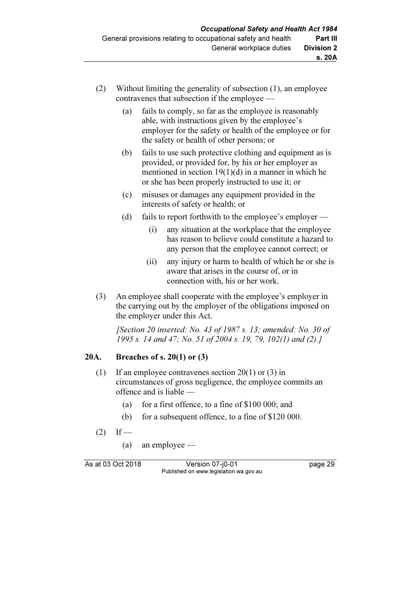- (2) Without limiting the generality of subsection (1), an employee contravenes that subsection if the employee —
	- (a) fails to comply, so far as the employee is reasonably able, with instructions given by the employee's employer for the safety or health of the employee or for the safety or health of other persons; or
	- (b) fails to use such protective clothing and equipment as is provided, or provided for, by his or her employer as mentioned in section 19(1)(d) in a manner in which he or she has been properly instructed to use it; or
	- (c) misuses or damages any equipment provided in the interests of safety or health; or
	- (d) fails to report forthwith to the employee's employer
		- (i) any situation at the workplace that the employee has reason to believe could constitute a hazard to any person that the employee cannot correct; or
		- (ii) any injury or harm to health of which he or she is aware that arises in the course of, or in connection with, his or her work.
- (3) An employee shall cooperate with the employee's employer in the carrying out by the employer of the obligations imposed on the employer under this Act.

[Section 20 inserted: No. 43 of 1987 s. 13; amended: No. 30 of 1995 s. 14 and 47; No. 51 of 2004 s. 19, 79, 102(1) and (2).]

## 20A. Breaches of s. 20(1) or (3)

- (1) If an employee contravenes section 20(1) or (3) in circumstances of gross negligence, the employee commits an offence and is liable —
	- (a) for a first offence, to a fine of \$100 000; and
	- (b) for a subsequent offence, to a fine of \$120 000.
- $(2)$  If
	- (a) an employee —

As at 03 Oct 2018 Version 07-j0-01 page 29 Published on www.legislation.wa.gov.au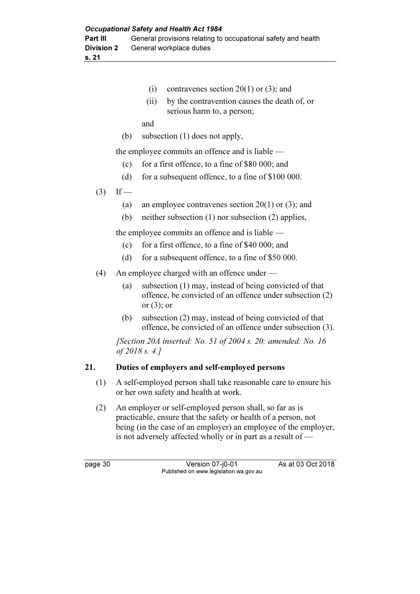s. 21

- (i) contravenes section  $20(1)$  or (3); and
- (ii) by the contravention causes the death of, or serious harm to, a person;

and

(b) subsection (1) does not apply,

the employee commits an offence and is liable —

- (c) for a first offence, to a fine of \$80 000; and
- (d) for a subsequent offence, to a fine of \$100 000.
- $(3)$  If
	- (a) an employee contravenes section 20(1) or (3); and
	- (b) neither subsection (1) nor subsection (2) applies,

the employee commits an offence and is liable —

- (c) for a first offence, to a fine of \$40 000; and
- (d) for a subsequent offence, to a fine of \$50 000.
- (4) An employee charged with an offence under
	- (a) subsection (1) may, instead of being convicted of that offence, be convicted of an offence under subsection (2) or (3); or
	- (b) subsection (2) may, instead of being convicted of that offence, be convicted of an offence under subsection (3).

[Section 20A inserted: No. 51 of 2004 s. 20; amended: No. 16 of 2018 s. 4.]

## 21. Duties of employers and self-employed persons

- (1) A self-employed person shall take reasonable care to ensure his or her own safety and health at work.
- (2) An employer or self-employed person shall, so far as is practicable, ensure that the safety or health of a person, not being (in the case of an employer) an employee of the employer, is not adversely affected wholly or in part as a result of —

page 30 Version 07-j0-01 As at 03 Oct 2018 Published on www.legislation.wa.gov.au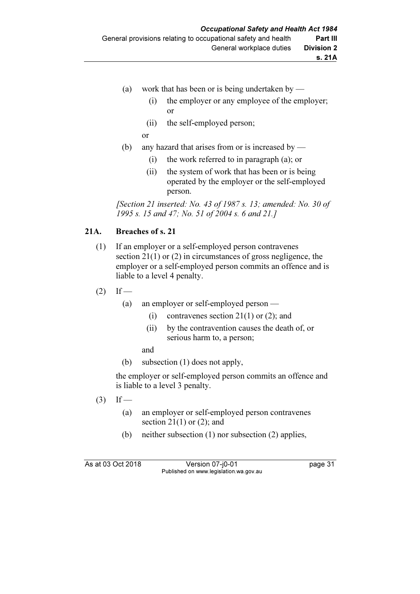- (a) work that has been or is being undertaken by
	- (i) the employer or any employee of the employer; or
	- (ii) the self-employed person;

or

- (b) any hazard that arises from or is increased by
	- (i) the work referred to in paragraph (a); or
	- (ii) the system of work that has been or is being operated by the employer or the self-employed person.

[Section 21 inserted: No. 43 of 1987 s. 13; amended: No. 30 of 1995 s. 15 and 47; No. 51 of 2004 s. 6 and 21.]

## 21A. Breaches of s. 21

- (1) If an employer or a self-employed person contravenes section 21(1) or (2) in circumstances of gross negligence, the employer or a self-employed person commits an offence and is liable to a level 4 penalty.
- $(2)$  If
	- (a) an employer or self-employed person
		- (i) contravenes section  $21(1)$  or (2); and
		- (ii) by the contravention causes the death of, or serious harm to, a person;

and

(b) subsection (1) does not apply,

 the employer or self-employed person commits an offence and is liable to a level 3 penalty.

- $(3)$  If
	- (a) an employer or self-employed person contravenes section  $21(1)$  or  $(2)$ ; and
	- (b) neither subsection (1) nor subsection (2) applies,

As at 03 Oct 2018 Version 07-j0-01 page 31 Published on www.legislation.wa.gov.au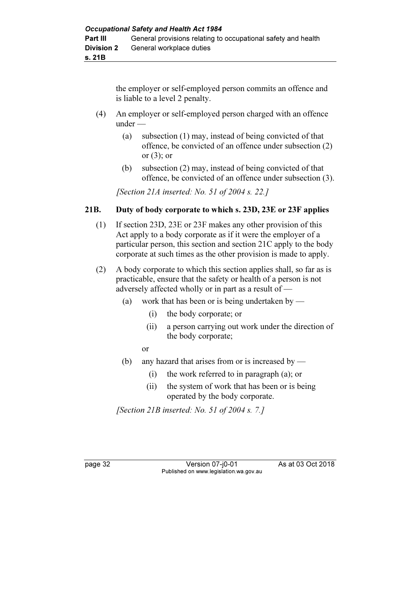the employer or self-employed person commits an offence and is liable to a level 2 penalty.

- (4) An employer or self-employed person charged with an offence under —
	- (a) subsection (1) may, instead of being convicted of that offence, be convicted of an offence under subsection (2) or (3); or
	- (b) subsection (2) may, instead of being convicted of that offence, be convicted of an offence under subsection (3).

[Section 21A inserted: No. 51 of 2004 s. 22.]

## 21B. Duty of body corporate to which s. 23D, 23E or 23F applies

- (1) If section 23D, 23E or 23F makes any other provision of this Act apply to a body corporate as if it were the employer of a particular person, this section and section 21C apply to the body corporate at such times as the other provision is made to apply.
- (2) A body corporate to which this section applies shall, so far as is practicable, ensure that the safety or health of a person is not adversely affected wholly or in part as a result of —
	- (a) work that has been or is being undertaken by
		- (i) the body corporate; or
		- (ii) a person carrying out work under the direction of the body corporate;
		- or
	- (b) any hazard that arises from or is increased by
		- (i) the work referred to in paragraph (a); or
		- (ii) the system of work that has been or is being operated by the body corporate.

[Section 21B inserted: No. 51 of 2004 s. 7.]

page 32 **Version 07-j0-01** As at 03 Oct 2018 Published on www.legislation.wa.gov.au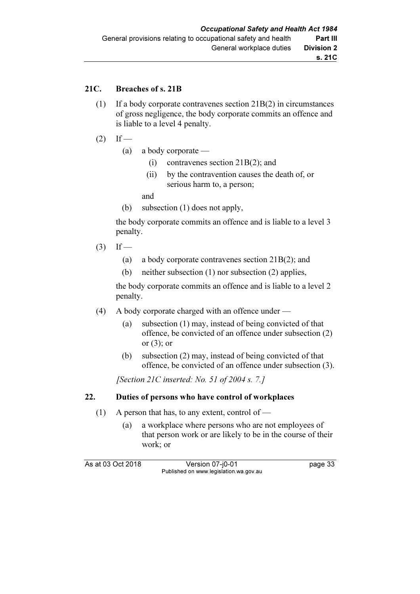### 21C. Breaches of s. 21B

- (1) If a body corporate contravenes section 21B(2) in circumstances of gross negligence, the body corporate commits an offence and is liable to a level 4 penalty.
- $(2)$  If
	- (a) a body corporate
		- (i) contravenes section 21B(2); and
		- (ii) by the contravention causes the death of, or serious harm to, a person;

and

(b) subsection (1) does not apply,

 the body corporate commits an offence and is liable to a level 3 penalty.

- $(3)$  If
	- (a) a body corporate contravenes section 21B(2); and
	- (b) neither subsection (1) nor subsection (2) applies,

 the body corporate commits an offence and is liable to a level 2 penalty.

- (4) A body corporate charged with an offence under
	- (a) subsection (1) may, instead of being convicted of that offence, be convicted of an offence under subsection (2) or (3); or
	- (b) subsection (2) may, instead of being convicted of that offence, be convicted of an offence under subsection (3).

[Section 21C inserted: No. 51 of 2004 s. 7.]

#### 22. Duties of persons who have control of workplaces

- (1) A person that has, to any extent, control of
	- (a) a workplace where persons who are not employees of that person work or are likely to be in the course of their work; or

As at 03 Oct 2018 Version 07-j0-01 page 33 Published on www.legislation.wa.gov.au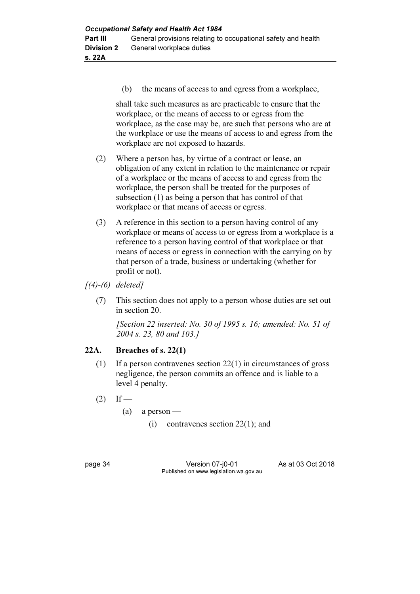(b) the means of access to and egress from a workplace,

 shall take such measures as are practicable to ensure that the workplace, or the means of access to or egress from the workplace, as the case may be, are such that persons who are at the workplace or use the means of access to and egress from the workplace are not exposed to hazards.

- (2) Where a person has, by virtue of a contract or lease, an obligation of any extent in relation to the maintenance or repair of a workplace or the means of access to and egress from the workplace, the person shall be treated for the purposes of subsection (1) as being a person that has control of that workplace or that means of access or egress.
- (3) A reference in this section to a person having control of any workplace or means of access to or egress from a workplace is a reference to a person having control of that workplace or that means of access or egress in connection with the carrying on by that person of a trade, business or undertaking (whether for profit or not).

## $[(4)-(6)$  deleted]

 (7) This section does not apply to a person whose duties are set out in section 20.

[Section 22 inserted: No. 30 of 1995 s. 16; amended: No. 51 of 2004 s. 23, 80 and 103.]

## 22A. Breaches of s. 22(1)

- (1) If a person contravenes section 22(1) in circumstances of gross negligence, the person commits an offence and is liable to a level 4 penalty.
- $(2)$  If
	- $(a)$  a person
		- (i) contravenes section 22(1); and

page 34 Version 07-j0-01 As at 03 Oct 2018 Published on www.legislation.wa.gov.au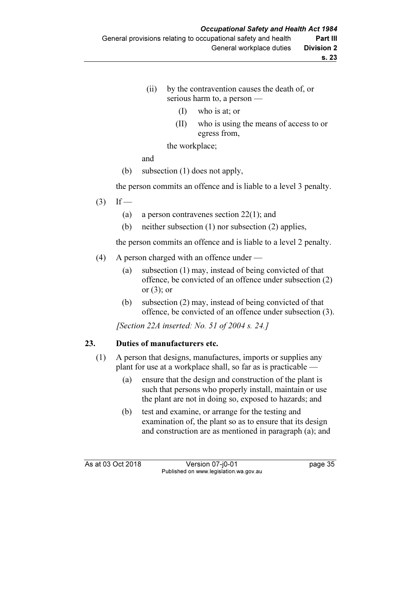- (ii) by the contravention causes the death of, or serious harm to, a person —
	- (I) who is at; or
	- (II) who is using the means of access to or egress from,

the workplace;

and

(b) subsection (1) does not apply,

the person commits an offence and is liable to a level 3 penalty.

- $(3)$  If
	- (a) a person contravenes section 22(1); and
	- (b) neither subsection (1) nor subsection (2) applies,

the person commits an offence and is liable to a level 2 penalty.

- (4) A person charged with an offence under
	- (a) subsection (1) may, instead of being convicted of that offence, be convicted of an offence under subsection (2) or  $(3)$ ; or
	- (b) subsection (2) may, instead of being convicted of that offence, be convicted of an offence under subsection (3).

[Section 22A inserted: No. 51 of 2004 s. 24.]

## 23. Duties of manufacturers etc.

- (1) A person that designs, manufactures, imports or supplies any plant for use at a workplace shall, so far as is practicable —
	- (a) ensure that the design and construction of the plant is such that persons who properly install, maintain or use the plant are not in doing so, exposed to hazards; and
	- (b) test and examine, or arrange for the testing and examination of, the plant so as to ensure that its design and construction are as mentioned in paragraph (a); and

As at 03 Oct 2018 Version 07-j0-01 page 35 Published on www.legislation.wa.gov.au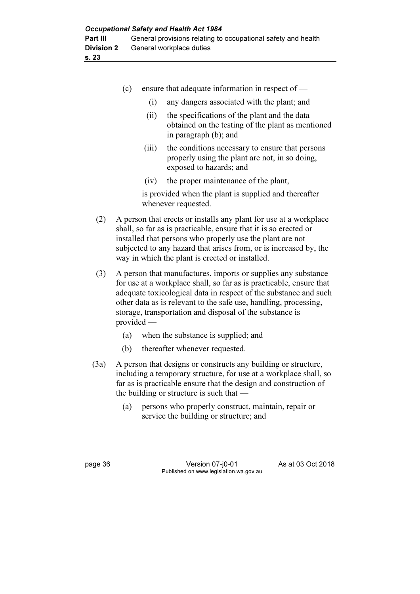- (c) ensure that adequate information in respect of
	- (i) any dangers associated with the plant; and
	- (ii) the specifications of the plant and the data obtained on the testing of the plant as mentioned in paragraph (b); and
	- (iii) the conditions necessary to ensure that persons properly using the plant are not, in so doing, exposed to hazards; and
	- (iv) the proper maintenance of the plant,

 is provided when the plant is supplied and thereafter whenever requested.

- (2) A person that erects or installs any plant for use at a workplace shall, so far as is practicable, ensure that it is so erected or installed that persons who properly use the plant are not subjected to any hazard that arises from, or is increased by, the way in which the plant is erected or installed.
- (3) A person that manufactures, imports or supplies any substance for use at a workplace shall, so far as is practicable, ensure that adequate toxicological data in respect of the substance and such other data as is relevant to the safe use, handling, processing, storage, transportation and disposal of the substance is provided —
	- (a) when the substance is supplied; and
	- (b) thereafter whenever requested.
- (3a) A person that designs or constructs any building or structure, including a temporary structure, for use at a workplace shall, so far as is practicable ensure that the design and construction of the building or structure is such that —
	- (a) persons who properly construct, maintain, repair or service the building or structure; and

page 36 Version 07-j0-01 As at 03 Oct 2018 Published on www.legislation.wa.gov.au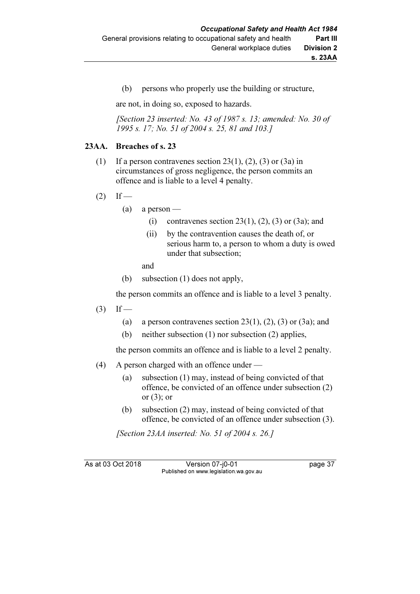(b) persons who properly use the building or structure,

are not, in doing so, exposed to hazards.

[Section 23 inserted: No. 43 of 1987 s. 13; amended: No. 30 of 1995 s. 17; No. 51 of 2004 s. 25, 81 and 103.]

#### 23AA. Breaches of s. 23

- (1) If a person contravenes section 23(1), (2), (3) or (3a) in circumstances of gross negligence, the person commits an offence and is liable to a level 4 penalty.
- $(2)$  If
	- $(a)$  a person
		- (i) contravenes section  $23(1)$ ,  $(2)$ ,  $(3)$  or  $(3a)$ ; and
		- (ii) by the contravention causes the death of, or serious harm to, a person to whom a duty is owed under that subsection;
		- and
	- (b) subsection (1) does not apply,

the person commits an offence and is liable to a level 3 penalty.

- $(3)$  If
	- (a) a person contravenes section  $23(1)$ ,  $(2)$ ,  $(3)$  or  $(3a)$ ; and
	- (b) neither subsection (1) nor subsection (2) applies,

the person commits an offence and is liable to a level 2 penalty.

- (4) A person charged with an offence under
	- (a) subsection (1) may, instead of being convicted of that offence, be convicted of an offence under subsection (2) or  $(3)$ ; or
	- (b) subsection (2) may, instead of being convicted of that offence, be convicted of an offence under subsection (3).

[Section 23AA inserted: No. 51 of 2004 s. 26.]

As at 03 Oct 2018 Version 07-j0-01 page 37 Published on www.legislation.wa.gov.au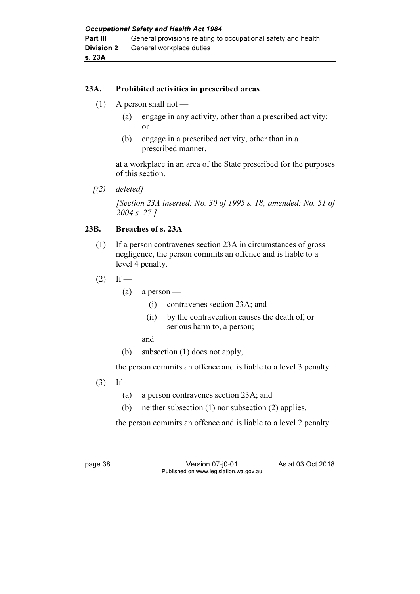### 23A. Prohibited activities in prescribed areas

- (1) A person shall not
	- (a) engage in any activity, other than a prescribed activity; or
	- (b) engage in a prescribed activity, other than in a prescribed manner,

 at a workplace in an area of the State prescribed for the purposes of this section.

 $(2)$  deleted]

 [Section 23A inserted: No. 30 of 1995 s. 18; amended: No. 51 of 2004 s. 27.]

#### 23B. Breaches of s. 23A

- (1) If a person contravenes section 23A in circumstances of gross negligence, the person commits an offence and is liable to a level 4 penalty.
- $(2)$  If
	- $(a)$  a person
		- (i) contravenes section 23A; and
		- (ii) by the contravention causes the death of, or serious harm to, a person;
		- and
	- (b) subsection (1) does not apply,

the person commits an offence and is liable to a level 3 penalty.

- $(3)$  If
	- (a) a person contravenes section 23A; and
	- (b) neither subsection (1) nor subsection (2) applies,

the person commits an offence and is liable to a level 2 penalty.

page 38 Version 07-j0-01 As at 03 Oct 2018 Published on www.legislation.wa.gov.au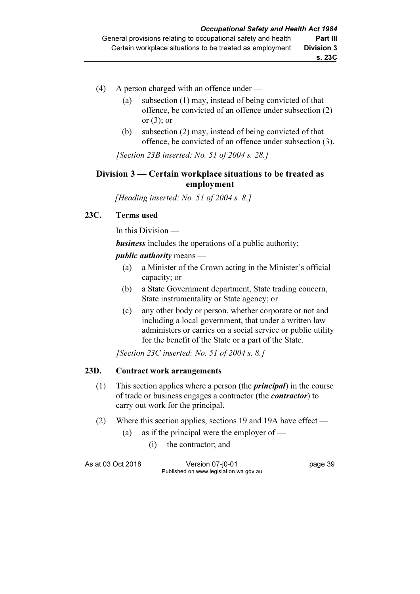- (4) A person charged with an offence under
	- (a) subsection (1) may, instead of being convicted of that offence, be convicted of an offence under subsection (2) or (3); or
	- (b) subsection (2) may, instead of being convicted of that offence, be convicted of an offence under subsection (3).

[Section 23B inserted: No. 51 of 2004 s. 28.]

## Division 3 — Certain workplace situations to be treated as employment

[Heading inserted: No. 51 of 2004 s. 8.]

## 23C. Terms used

In this Division —

**business** includes the operations of a public authority;

#### public authority means —

- (a) a Minister of the Crown acting in the Minister's official capacity; or
- (b) a State Government department, State trading concern, State instrumentality or State agency; or
- (c) any other body or person, whether corporate or not and including a local government, that under a written law administers or carries on a social service or public utility for the benefit of the State or a part of the State.

[Section 23C inserted: No. 51 of 2004 s. 8.]

## 23D. Contract work arrangements

- (1) This section applies where a person (the *principal*) in the course of trade or business engages a contractor (the contractor) to carry out work for the principal.
- (2) Where this section applies, sections 19 and 19A have effect
	- (a) as if the principal were the employer of
		- (i) the contractor; and

As at 03 Oct 2018 Version 07-j0-01 page 39 Published on www.legislation.wa.gov.au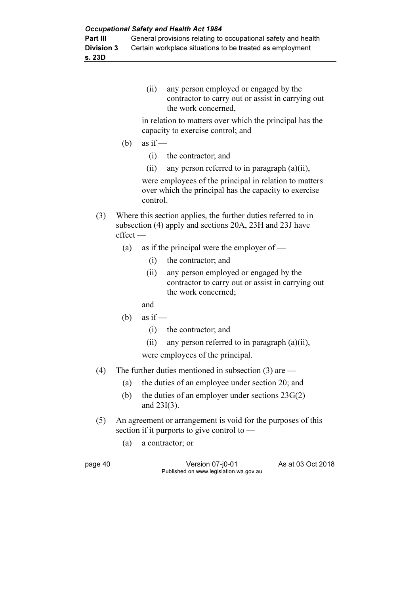(ii) any person employed or engaged by the contractor to carry out or assist in carrying out the work concerned,

 in relation to matters over which the principal has the capacity to exercise control; and

- (b) as if  $-$ 
	- (i) the contractor; and
	- (ii) any person referred to in paragraph (a)(ii),

 were employees of the principal in relation to matters over which the principal has the capacity to exercise control.

- (3) Where this section applies, the further duties referred to in subsection (4) apply and sections 20A, 23H and 23J have effect —
	- (a) as if the principal were the employer of
		- (i) the contractor; and
		- (ii) any person employed or engaged by the contractor to carry out or assist in carrying out the work concerned;

and

- (b) as if  $-$ 
	- (i) the contractor; and
	- (ii) any person referred to in paragraph (a)(ii),

were employees of the principal.

- (4) The further duties mentioned in subsection (3) are
	- (a) the duties of an employee under section 20; and
	- (b) the duties of an employer under sections  $23G(2)$ and 23I(3).
- (5) An agreement or arrangement is void for the purposes of this section if it purports to give control to —
	- (a) a contractor; or

page 40 Version 07-j0-01 As at 03 Oct 2018 Published on www.legislation.wa.gov.au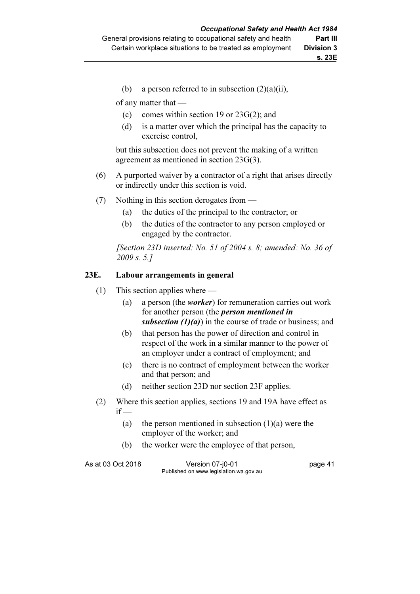(b) a person referred to in subsection  $(2)(a)(ii)$ ,

of any matter that —

- (c) comes within section 19 or  $23G(2)$ ; and
- (d) is a matter over which the principal has the capacity to exercise control,

 but this subsection does not prevent the making of a written agreement as mentioned in section 23G(3).

- (6) A purported waiver by a contractor of a right that arises directly or indirectly under this section is void.
- (7) Nothing in this section derogates from
	- (a) the duties of the principal to the contractor; or
	- (b) the duties of the contractor to any person employed or engaged by the contractor.

[Section 23D inserted: No. 51 of 2004 s. 8; amended: No. 36 of 2009 s. 5.]

#### 23E. Labour arrangements in general

- (1) This section applies where
	- (a) a person (the worker) for remuneration carries out work for another person (the person mentioned in subsection  $(1)(a)$  in the course of trade or business; and
	- (b) that person has the power of direction and control in respect of the work in a similar manner to the power of an employer under a contract of employment; and
	- (c) there is no contract of employment between the worker and that person; and
	- (d) neither section 23D nor section 23F applies.
- (2) Where this section applies, sections 19 and 19A have effect as  $if -$ 
	- (a) the person mentioned in subsection  $(1)(a)$  were the employer of the worker; and
	- (b) the worker were the employee of that person,

As at 03 Oct 2018 Version 07-j0-01 page 41 Published on www.legislation.wa.gov.au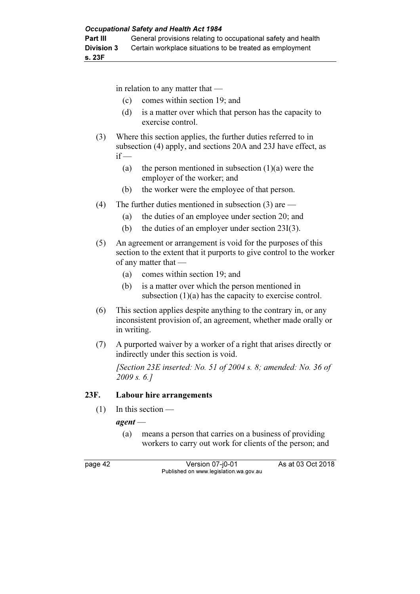in relation to any matter that —

- (c) comes within section 19; and
- (d) is a matter over which that person has the capacity to exercise control.
- (3) Where this section applies, the further duties referred to in subsection (4) apply, and sections 20A and 23J have effect, as  $if -$ 
	- (a) the person mentioned in subsection  $(1)(a)$  were the employer of the worker; and
	- (b) the worker were the employee of that person.
- (4) The further duties mentioned in subsection (3) are
	- (a) the duties of an employee under section 20; and
	- (b) the duties of an employer under section 23I(3).
- (5) An agreement or arrangement is void for the purposes of this section to the extent that it purports to give control to the worker of any matter that —
	- (a) comes within section 19; and
	- (b) is a matter over which the person mentioned in subsection (1)(a) has the capacity to exercise control.
- (6) This section applies despite anything to the contrary in, or any inconsistent provision of, an agreement, whether made orally or in writing.
- (7) A purported waiver by a worker of a right that arises directly or indirectly under this section is void.

[Section 23E inserted: No. 51 of 2004 s. 8; amended: No. 36 of 2009 s. 6.]

#### 23F. Labour hire arrangements

 $(1)$  In this section —

agent —

 (a) means a person that carries on a business of providing workers to carry out work for clients of the person; and

page 42 Version 07-j0-01 As at 03 Oct 2018 Published on www.legislation.wa.gov.au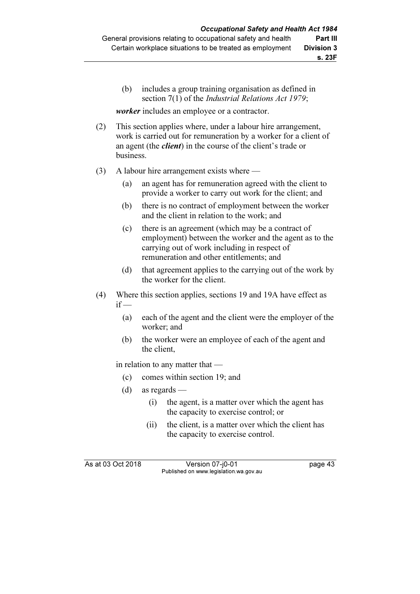(b) includes a group training organisation as defined in section 7(1) of the *Industrial Relations Act 1979*;

*worker* includes an employee or a contractor.

- (2) This section applies where, under a labour hire arrangement, work is carried out for remuneration by a worker for a client of an agent (the *client*) in the course of the client's trade or business.
- (3) A labour hire arrangement exists where
	- (a) an agent has for remuneration agreed with the client to provide a worker to carry out work for the client; and
	- (b) there is no contract of employment between the worker and the client in relation to the work; and
	- (c) there is an agreement (which may be a contract of employment) between the worker and the agent as to the carrying out of work including in respect of remuneration and other entitlements; and
	- (d) that agreement applies to the carrying out of the work by the worker for the client.
- (4) Where this section applies, sections 19 and 19A have effect as  $if -$ 
	- (a) each of the agent and the client were the employer of the worker; and
	- (b) the worker were an employee of each of the agent and the client,

in relation to any matter that —

- (c) comes within section 19; and
- (d) as regards
	- (i) the agent, is a matter over which the agent has the capacity to exercise control; or
	- (ii) the client, is a matter over which the client has the capacity to exercise control.

As at 03 Oct 2018 Version 07-j0-01 page 43 Published on www.legislation.wa.gov.au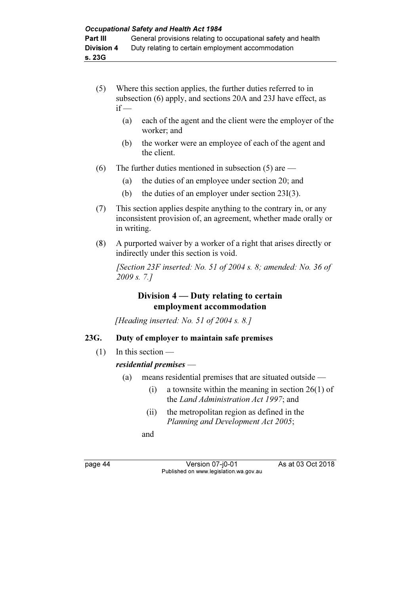- (5) Where this section applies, the further duties referred to in subsection (6) apply, and sections 20A and 23J have effect, as  $if -$ 
	- (a) each of the agent and the client were the employer of the worker; and
	- (b) the worker were an employee of each of the agent and the client.
- (6) The further duties mentioned in subsection (5) are
	- (a) the duties of an employee under section 20; and
	- (b) the duties of an employer under section 23I(3).
- (7) This section applies despite anything to the contrary in, or any inconsistent provision of, an agreement, whether made orally or in writing.
- (8) A purported waiver by a worker of a right that arises directly or indirectly under this section is void.

[Section 23F inserted: No. 51 of 2004 s. 8; amended: No. 36 of 2009 s. 7.]

## Division 4 — Duty relating to certain employment accommodation

[Heading inserted: No. 51 of 2004 s. 8.]

## 23G. Duty of employer to maintain safe premises

(1) In this section —

## residential premises —

- (a) means residential premises that are situated outside
	- (i) a townsite within the meaning in section  $26(1)$  of the Land Administration Act 1997; and
	- (ii) the metropolitan region as defined in the Planning and Development Act 2005;

and

page 44 Version 07-j0-01 As at 03 Oct 2018 Published on www.legislation.wa.gov.au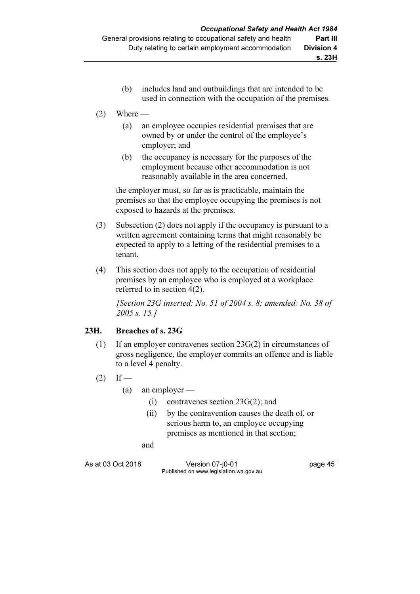(b) includes land and outbuildings that are intended to be used in connection with the occupation of the premises.

## $(2)$  Where —

- (a) an employee occupies residential premises that are owned by or under the control of the employee's employer; and
- (b) the occupancy is necessary for the purposes of the employment because other accommodation is not reasonably available in the area concerned,

 the employer must, so far as is practicable, maintain the premises so that the employee occupying the premises is not exposed to hazards at the premises.

- (3) Subsection (2) does not apply if the occupancy is pursuant to a written agreement containing terms that might reasonably be expected to apply to a letting of the residential premises to a tenant.
- (4) This section does not apply to the occupation of residential premises by an employee who is employed at a workplace referred to in section 4(2).

[Section 23G inserted: No. 51 of 2004 s. 8; amended: No. 38 of 2005 s. 15.]

#### 23H. Breaches of s. 23G

- (1) If an employer contravenes section 23G(2) in circumstances of gross negligence, the employer commits an offence and is liable to a level 4 penalty.
- $(2)$  If
	- (a) an employer
		- (i) contravenes section 23G(2); and
		- (ii) by the contravention causes the death of, or serious harm to, an employee occupying premises as mentioned in that section;

and

As at 03 Oct 2018 Version 07-j0-01 page 45 Published on www.legislation.wa.gov.au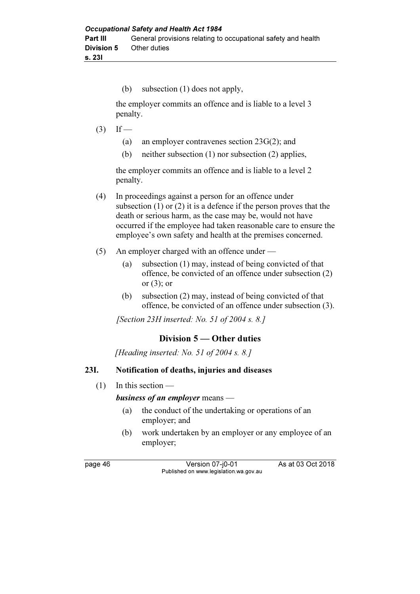(b) subsection (1) does not apply,

 the employer commits an offence and is liable to a level 3 penalty.

- $(3)$  If
	- (a) an employer contravenes section 23G(2); and
	- (b) neither subsection (1) nor subsection (2) applies,

 the employer commits an offence and is liable to a level 2 penalty.

- (4) In proceedings against a person for an offence under subsection (1) or (2) it is a defence if the person proves that the death or serious harm, as the case may be, would not have occurred if the employee had taken reasonable care to ensure the employee's own safety and health at the premises concerned.
- (5) An employer charged with an offence under
	- (a) subsection (1) may, instead of being convicted of that offence, be convicted of an offence under subsection (2) or  $(3)$ ; or
	- (b) subsection (2) may, instead of being convicted of that offence, be convicted of an offence under subsection (3).

[Section 23H inserted: No. 51 of 2004 s. 8.]

#### Division 5 — Other duties

[Heading inserted: No. 51 of 2004 s. 8.]

#### 23I. Notification of deaths, injuries and diseases

 $(1)$  In this section —

#### business of an employer means —

- (a) the conduct of the undertaking or operations of an employer; and
- (b) work undertaken by an employer or any employee of an employer;

page 46 Version 07-j0-01 As at 03 Oct 2018 Published on www.legislation.wa.gov.au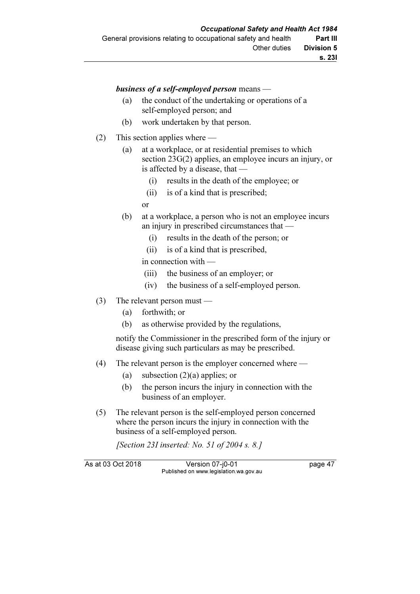### business of a self-employed person means -

- (a) the conduct of the undertaking or operations of a self-employed person; and
- (b) work undertaken by that person.
- (2) This section applies where
	- (a) at a workplace, or at residential premises to which section 23G(2) applies, an employee incurs an injury, or is affected by a disease, that —
		- (i) results in the death of the employee; or
		- (ii) is of a kind that is prescribed;

or

- (b) at a workplace, a person who is not an employee incurs an injury in prescribed circumstances that —
	- (i) results in the death of the person; or
	- (ii) is of a kind that is prescribed,

in connection with —

- (iii) the business of an employer; or
- (iv) the business of a self-employed person.
- (3) The relevant person must
	- (a) forthwith; or
	- (b) as otherwise provided by the regulations,

 notify the Commissioner in the prescribed form of the injury or disease giving such particulars as may be prescribed.

- (4) The relevant person is the employer concerned where
	- (a) subsection (2)(a) applies; or
	- (b) the person incurs the injury in connection with the business of an employer.
- (5) The relevant person is the self-employed person concerned where the person incurs the injury in connection with the business of a self-employed person.

[Section 23I inserted: No. 51 of 2004 s. 8.]

As at 03 Oct 2018 Version 07-j0-01 page 47 Published on www.legislation.wa.gov.au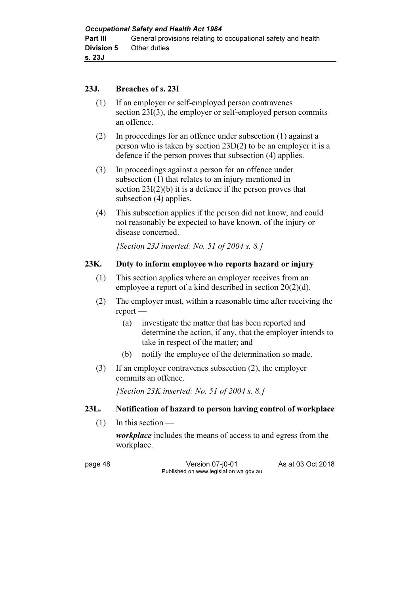#### 23J. Breaches of s. 23I

- (1) If an employer or self-employed person contravenes section 23I(3), the employer or self-employed person commits an offence.
- (2) In proceedings for an offence under subsection (1) against a person who is taken by section 23D(2) to be an employer it is a defence if the person proves that subsection (4) applies.
- (3) In proceedings against a person for an offence under subsection (1) that relates to an injury mentioned in section 23I(2)(b) it is a defence if the person proves that subsection (4) applies.
- (4) This subsection applies if the person did not know, and could not reasonably be expected to have known, of the injury or disease concerned.

[Section 23J inserted: No. 51 of 2004 s. 8.]

#### 23K. Duty to inform employee who reports hazard or injury

- (1) This section applies where an employer receives from an employee a report of a kind described in section 20(2)(d).
- (2) The employer must, within a reasonable time after receiving the report —
	- (a) investigate the matter that has been reported and determine the action, if any, that the employer intends to take in respect of the matter; and
	- (b) notify the employee of the determination so made.
- (3) If an employer contravenes subsection (2), the employer commits an offence.

[Section 23K inserted: No. 51 of 2004 s. 8.]

#### 23L. Notification of hazard to person having control of workplace

(1) In this section —

workplace includes the means of access to and egress from the workplace.

page 48 Version 07-j0-01 As at 03 Oct 2018 Published on www.legislation.wa.gov.au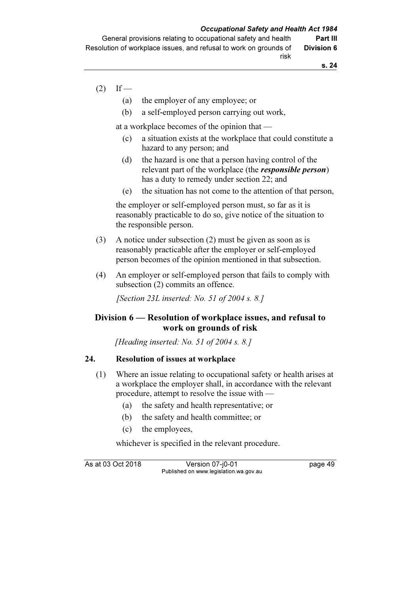General provisions relating to occupational safety and health **Part III** Resolution of workplace issues, and refusal to work on grounds of risk Division 6

- $(2)$  If
	- (a) the employer of any employee; or
	- (b) a self-employed person carrying out work,

at a workplace becomes of the opinion that —

- (c) a situation exists at the workplace that could constitute a hazard to any person; and
- (d) the hazard is one that a person having control of the relevant part of the workplace (the responsible person) has a duty to remedy under section 22; and
- (e) the situation has not come to the attention of that person,

 the employer or self-employed person must, so far as it is reasonably practicable to do so, give notice of the situation to the responsible person.

- (3) A notice under subsection (2) must be given as soon as is reasonably practicable after the employer or self-employed person becomes of the opinion mentioned in that subsection.
- (4) An employer or self-employed person that fails to comply with subsection (2) commits an offence.

[Section 23L inserted: No. 51 of 2004 s. 8.]

## Division 6 — Resolution of workplace issues, and refusal to work on grounds of risk

[Heading inserted: No. 51 of 2004 s. 8.]

#### 24. Resolution of issues at workplace

- (1) Where an issue relating to occupational safety or health arises at a workplace the employer shall, in accordance with the relevant procedure, attempt to resolve the issue with —
	- (a) the safety and health representative; or
	- (b) the safety and health committee; or
	- (c) the employees,

whichever is specified in the relevant procedure.

As at 03 Oct 2018 Version 07-i0-01 page 49 Published on www.legislation.wa.gov.au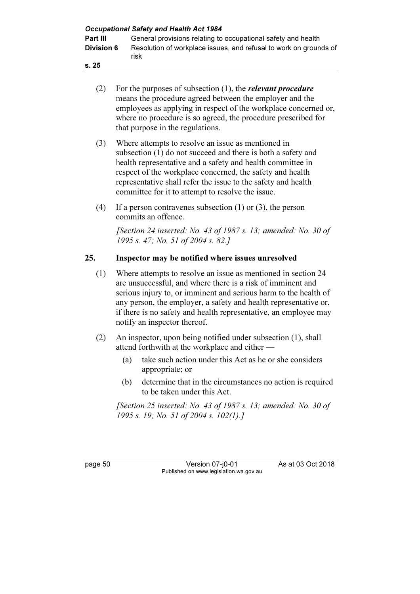|                   | <b>Occupational Safety and Health Act 1984</b>                            |
|-------------------|---------------------------------------------------------------------------|
| <b>Part III</b>   | General provisions relating to occupational safety and health             |
| <b>Division 6</b> | Resolution of workplace issues, and refusal to work on grounds of<br>risk |
| s.25              |                                                                           |

- (2) For the purposes of subsection  $(1)$ , the *relevant procedure* means the procedure agreed between the employer and the employees as applying in respect of the workplace concerned or, where no procedure is so agreed, the procedure prescribed for that purpose in the regulations.
- (3) Where attempts to resolve an issue as mentioned in subsection (1) do not succeed and there is both a safety and health representative and a safety and health committee in respect of the workplace concerned, the safety and health representative shall refer the issue to the safety and health committee for it to attempt to resolve the issue.
- (4) If a person contravenes subsection (1) or (3), the person commits an offence.

[Section 24 inserted: No. 43 of 1987 s. 13; amended: No. 30 of 1995 s. 47; No. 51 of 2004 s. 82.]

## 25. Inspector may be notified where issues unresolved

- (1) Where attempts to resolve an issue as mentioned in section 24 are unsuccessful, and where there is a risk of imminent and serious injury to, or imminent and serious harm to the health of any person, the employer, a safety and health representative or, if there is no safety and health representative, an employee may notify an inspector thereof.
- (2) An inspector, upon being notified under subsection (1), shall attend forthwith at the workplace and either —
	- (a) take such action under this Act as he or she considers appropriate; or
	- (b) determine that in the circumstances no action is required to be taken under this Act.

[Section 25 inserted: No. 43 of 1987 s. 13; amended: No. 30 of 1995 s. 19; No. 51 of 2004 s. 102(1).]

page 50 Version 07-j0-01 As at 03 Oct 2018 Published on www.legislation.wa.gov.au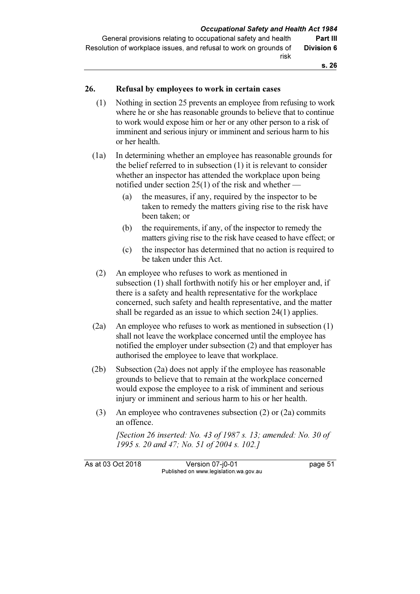#### 26. Refusal by employees to work in certain cases

- (1) Nothing in section 25 prevents an employee from refusing to work where he or she has reasonable grounds to believe that to continue to work would expose him or her or any other person to a risk of imminent and serious injury or imminent and serious harm to his or her health.
- (1a) In determining whether an employee has reasonable grounds for the belief referred to in subsection (1) it is relevant to consider whether an inspector has attended the workplace upon being notified under section 25(1) of the risk and whether —
	- (a) the measures, if any, required by the inspector to be taken to remedy the matters giving rise to the risk have been taken; or
	- (b) the requirements, if any, of the inspector to remedy the matters giving rise to the risk have ceased to have effect; or
	- (c) the inspector has determined that no action is required to be taken under this Act.
- (2) An employee who refuses to work as mentioned in subsection (1) shall forthwith notify his or her employer and, if there is a safety and health representative for the workplace concerned, such safety and health representative, and the matter shall be regarded as an issue to which section 24(1) applies.
- (2a) An employee who refuses to work as mentioned in subsection (1) shall not leave the workplace concerned until the employee has notified the employer under subsection (2) and that employer has authorised the employee to leave that workplace.
- (2b) Subsection (2a) does not apply if the employee has reasonable grounds to believe that to remain at the workplace concerned would expose the employee to a risk of imminent and serious injury or imminent and serious harm to his or her health.
- (3) An employee who contravenes subsection (2) or (2a) commits an offence.

[Section 26 inserted: No. 43 of 1987 s. 13; amended: No. 30 of 1995 s. 20 and 47; No. 51 of 2004 s. 102.]

As at 03 Oct 2018 Version 07-j0-01 page 51 Published on www.legislation.wa.gov.au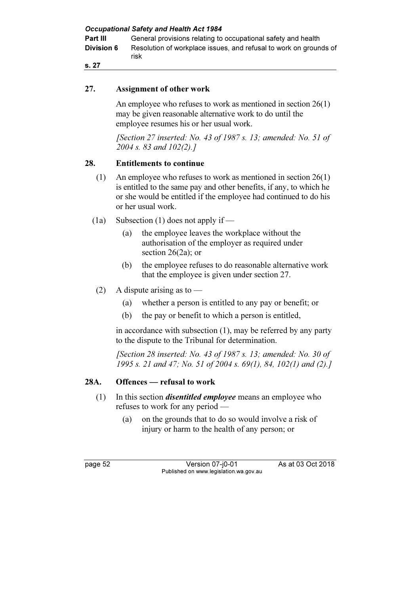| <b>Occupational Safety and Health Act 1984</b> |  |  |  |
|------------------------------------------------|--|--|--|
|                                                |  |  |  |

Part III General provisions relating to occupational safety and health **Division 6** Resolution of workplace issues, and refusal to work on grounds of risk

#### s. 27

#### 27. Assignment of other work

 An employee who refuses to work as mentioned in section 26(1) may be given reasonable alternative work to do until the employee resumes his or her usual work.

 [Section 27 inserted: No. 43 of 1987 s. 13; amended: No. 51 of 2004 s. 83 and 102(2).]

## 28. Entitlements to continue

- (1) An employee who refuses to work as mentioned in section 26(1) is entitled to the same pay and other benefits, if any, to which he or she would be entitled if the employee had continued to do his or her usual work.
- (1a) Subsection (1) does not apply if
	- (a) the employee leaves the workplace without the authorisation of the employer as required under section 26(2a); or
	- (b) the employee refuses to do reasonable alternative work that the employee is given under section 27.
- (2) A dispute arising as to  $-$ 
	- (a) whether a person is entitled to any pay or benefit; or
	- (b) the pay or benefit to which a person is entitled,

 in accordance with subsection (1), may be referred by any party to the dispute to the Tribunal for determination.

[Section 28 inserted: No. 43 of 1987 s. 13; amended: No. 30 of 1995 s. 21 and 47; No. 51 of 2004 s. 69(1), 84, 102(1) and (2).]

#### 28A. Offences — refusal to work

- (1) In this section *disentitled employee* means an employee who refuses to work for any period —
	- (a) on the grounds that to do so would involve a risk of injury or harm to the health of any person; or

page 52 Version 07-j0-01 As at 03 Oct 2018 Published on www.legislation.wa.gov.au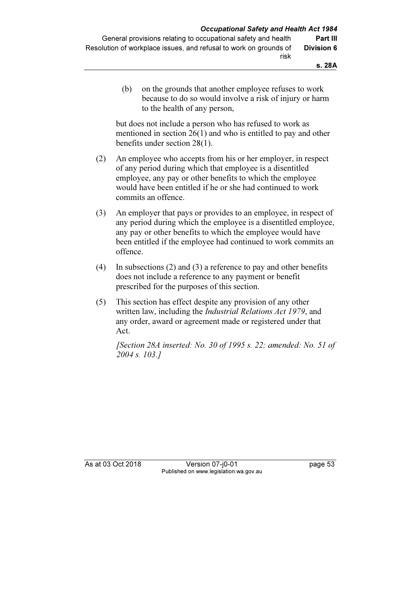(b) on the grounds that another employee refuses to work because to do so would involve a risk of injury or harm to the health of any person,

 but does not include a person who has refused to work as mentioned in section 26(1) and who is entitled to pay and other benefits under section 28(1).

- (2) An employee who accepts from his or her employer, in respect of any period during which that employee is a disentitled employee, any pay or other benefits to which the employee would have been entitled if he or she had continued to work commits an offence.
- (3) An employer that pays or provides to an employee, in respect of any period during which the employee is a disentitled employee, any pay or other benefits to which the employee would have been entitled if the employee had continued to work commits an offence.
- (4) In subsections (2) and (3) a reference to pay and other benefits does not include a reference to any payment or benefit prescribed for the purposes of this section.
- (5) This section has effect despite any provision of any other written law, including the Industrial Relations Act 1979, and any order, award or agreement made or registered under that Act.

 [Section 28A inserted: No. 30 of 1995 s. 22; amended: No. 51 of 2004 s. 103.]

As at 03 Oct 2018 Version 07-j0-01 page 53 Published on www.legislation.wa.gov.au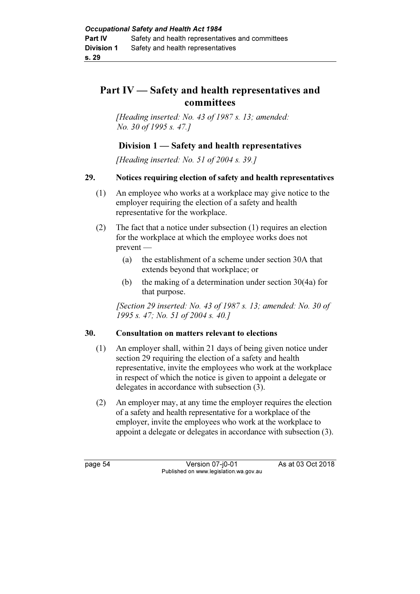# Part IV — Safety and health representatives and committees

[Heading inserted: No. 43 of 1987 s. 13; amended: No. 30 of 1995 s. 47.]

## Division 1 — Safety and health representatives

[Heading inserted: No. 51 of 2004 s. 39.]

#### 29. Notices requiring election of safety and health representatives

- (1) An employee who works at a workplace may give notice to the employer requiring the election of a safety and health representative for the workplace.
- (2) The fact that a notice under subsection (1) requires an election for the workplace at which the employee works does not prevent —
	- (a) the establishment of a scheme under section 30A that extends beyond that workplace; or
	- (b) the making of a determination under section 30(4a) for that purpose.

[Section 29 inserted: No. 43 of 1987 s. 13; amended: No. 30 of 1995 s. 47; No. 51 of 2004 s. 40.]

## 30. Consultation on matters relevant to elections

- (1) An employer shall, within 21 days of being given notice under section 29 requiring the election of a safety and health representative, invite the employees who work at the workplace in respect of which the notice is given to appoint a delegate or delegates in accordance with subsection (3).
- (2) An employer may, at any time the employer requires the election of a safety and health representative for a workplace of the employer, invite the employees who work at the workplace to appoint a delegate or delegates in accordance with subsection (3).

page 54 Version 07-j0-01 As at 03 Oct 2018 Published on www.legislation.wa.gov.au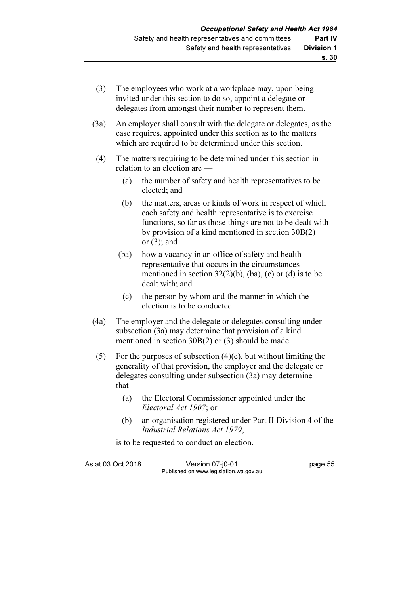- (3) The employees who work at a workplace may, upon being invited under this section to do so, appoint a delegate or delegates from amongst their number to represent them.
- (3a) An employer shall consult with the delegate or delegates, as the case requires, appointed under this section as to the matters which are required to be determined under this section.
- (4) The matters requiring to be determined under this section in relation to an election are —
	- (a) the number of safety and health representatives to be elected; and
	- (b) the matters, areas or kinds of work in respect of which each safety and health representative is to exercise functions, so far as those things are not to be dealt with by provision of a kind mentioned in section 30B(2) or  $(3)$ ; and
	- (ba) how a vacancy in an office of safety and health representative that occurs in the circumstances mentioned in section  $32(2)(b)$ , (ba), (c) or (d) is to be dealt with; and
		- (c) the person by whom and the manner in which the election is to be conducted.
- (4a) The employer and the delegate or delegates consulting under subsection (3a) may determine that provision of a kind mentioned in section 30B(2) or (3) should be made.
- (5) For the purposes of subsection  $(4)(c)$ , but without limiting the generality of that provision, the employer and the delegate or delegates consulting under subsection (3a) may determine that —
	- (a) the Electoral Commissioner appointed under the Electoral Act 1907; or
	- (b) an organisation registered under Part II Division 4 of the Industrial Relations Act 1979,

is to be requested to conduct an election.

As at 03 Oct 2018 Version 07-j0-01 page 55 Published on www.legislation.wa.gov.au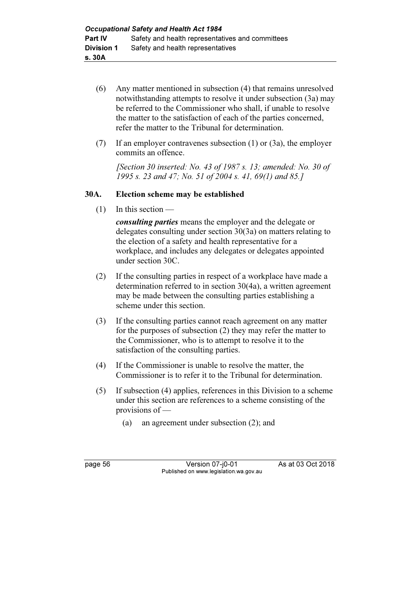- (6) Any matter mentioned in subsection (4) that remains unresolved notwithstanding attempts to resolve it under subsection (3a) may be referred to the Commissioner who shall, if unable to resolve the matter to the satisfaction of each of the parties concerned, refer the matter to the Tribunal for determination.
- (7) If an employer contravenes subsection (1) or (3a), the employer commits an offence.

[Section 30 inserted: No. 43 of 1987 s. 13: amended: No. 30 of 1995 s. 23 and 47; No. 51 of 2004 s. 41, 69(1) and 85.]

#### 30A. Election scheme may be established

 $(1)$  In this section —

consulting parties means the employer and the delegate or delegates consulting under section 30(3a) on matters relating to the election of a safety and health representative for a workplace, and includes any delegates or delegates appointed under section 30C.

- (2) If the consulting parties in respect of a workplace have made a determination referred to in section 30(4a), a written agreement may be made between the consulting parties establishing a scheme under this section.
- (3) If the consulting parties cannot reach agreement on any matter for the purposes of subsection (2) they may refer the matter to the Commissioner, who is to attempt to resolve it to the satisfaction of the consulting parties.
- (4) If the Commissioner is unable to resolve the matter, the Commissioner is to refer it to the Tribunal for determination.
- (5) If subsection (4) applies, references in this Division to a scheme under this section are references to a scheme consisting of the provisions of —
	- (a) an agreement under subsection (2); and

| page | 56 |
|------|----|
|------|----|

**Version 07-j0-01** As at 03 Oct 2018 Published on www.legislation.wa.gov.au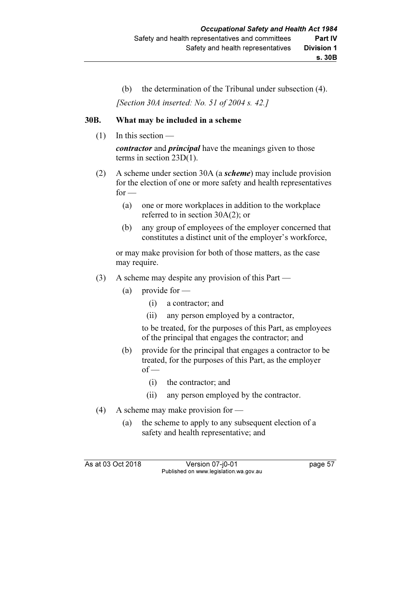(b) the determination of the Tribunal under subsection (4). [Section 30A inserted: No. 51 of 2004 s. 42.]

### 30B. What may be included in a scheme

 $(1)$  In this section —

contractor and principal have the meanings given to those terms in section 23D(1).

- (2) A scheme under section 30A (a scheme) may include provision for the election of one or more safety and health representatives  $for -$ 
	- (a) one or more workplaces in addition to the workplace referred to in section 30A(2); or
	- (b) any group of employees of the employer concerned that constitutes a distinct unit of the employer's workforce,

 or may make provision for both of those matters, as the case may require.

- (3) A scheme may despite any provision of this Part
	- (a) provide for  $-$ 
		- (i) a contractor; and
		- (ii) any person employed by a contractor,

 to be treated, for the purposes of this Part, as employees of the principal that engages the contractor; and

- (b) provide for the principal that engages a contractor to be treated, for the purposes of this Part, as the employer  $of -$ 
	- (i) the contractor; and
	- (ii) any person employed by the contractor.
- (4) A scheme may make provision for
	- (a) the scheme to apply to any subsequent election of a safety and health representative; and

As at 03 Oct 2018 Version 07-j0-01 page 57 Published on www.legislation.wa.gov.au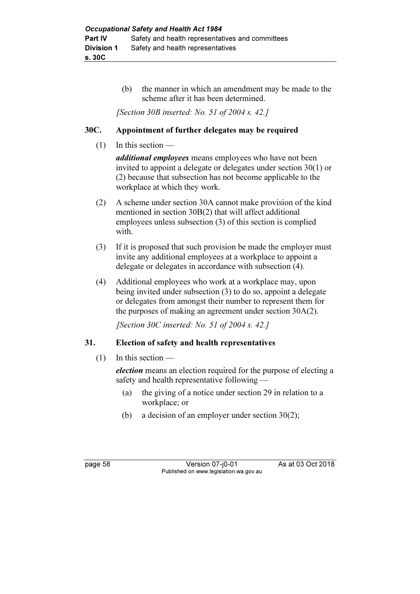(b) the manner in which an amendment may be made to the scheme after it has been determined.

[Section 30B inserted: No. 51 of 2004 s. 42.]

## 30C. Appointment of further delegates may be required

 $(1)$  In this section —

additional employees means employees who have not been invited to appoint a delegate or delegates under section 30(1) or (2) because that subsection has not become applicable to the workplace at which they work.

- (2) A scheme under section 30A cannot make provision of the kind mentioned in section 30B(2) that will affect additional employees unless subsection (3) of this section is complied with.
- (3) If it is proposed that such provision be made the employer must invite any additional employees at a workplace to appoint a delegate or delegates in accordance with subsection (4).
- (4) Additional employees who work at a workplace may, upon being invited under subsection (3) to do so, appoint a delegate or delegates from amongst their number to represent them for the purposes of making an agreement under section 30A(2).

[Section 30C inserted: No. 51 of 2004 s. 42.]

## 31. Election of safety and health representatives

(1) In this section —

election means an election required for the purpose of electing a safety and health representative following —

- (a) the giving of a notice under section 29 in relation to a workplace; or
- (b) a decision of an employer under section 30(2);

| page |  |
|------|--|
|------|--|

**Version 07-j0-01** As at 03 Oct 2018 Published on www.legislation.wa.gov.au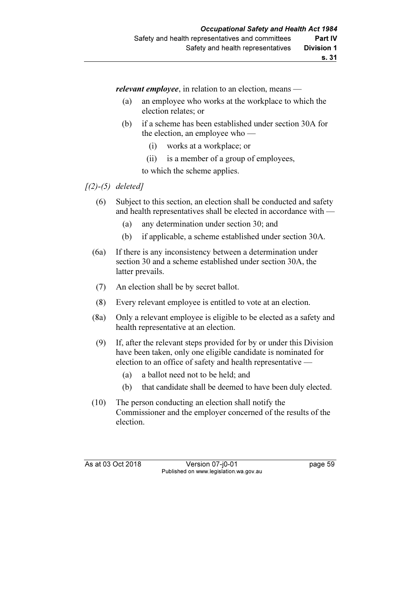s. 31

relevant employee, in relation to an election, means —

- (a) an employee who works at the workplace to which the election relates; or
- (b) if a scheme has been established under section 30A for the election, an employee who —
	- (i) works at a workplace; or
	- (ii) is a member of a group of employees,

to which the scheme applies.

## $(2)-(5)$  deleted]

- (6) Subject to this section, an election shall be conducted and safety and health representatives shall be elected in accordance with —
	- (a) any determination under section 30; and
	- (b) if applicable, a scheme established under section 30A.
- (6a) If there is any inconsistency between a determination under section 30 and a scheme established under section 30A, the latter prevails.
- (7) An election shall be by secret ballot.
- (8) Every relevant employee is entitled to vote at an election.
- (8a) Only a relevant employee is eligible to be elected as a safety and health representative at an election.
- (9) If, after the relevant steps provided for by or under this Division have been taken, only one eligible candidate is nominated for election to an office of safety and health representative —
	- (a) a ballot need not to be held; and
	- (b) that candidate shall be deemed to have been duly elected.
- (10) The person conducting an election shall notify the Commissioner and the employer concerned of the results of the election.

As at 03 Oct 2018 Version 07-j0-01 page 59 Published on www.legislation.wa.gov.au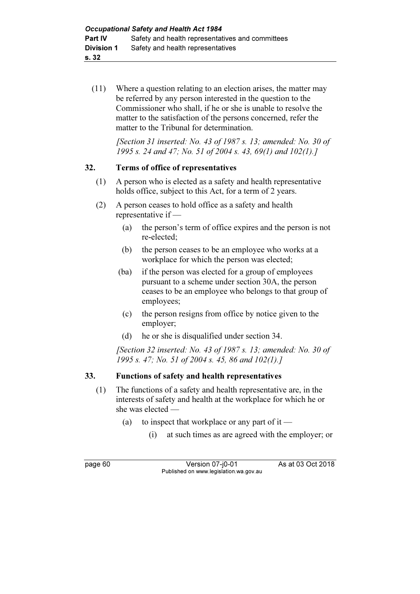(11) Where a question relating to an election arises, the matter may be referred by any person interested in the question to the Commissioner who shall, if he or she is unable to resolve the matter to the satisfaction of the persons concerned, refer the matter to the Tribunal for determination.

> [Section 31 inserted: No. 43 of 1987 s. 13; amended: No. 30 of 1995 s. 24 and 47; No. 51 of 2004 s. 43, 69(1) and 102(1).]

#### 32. Terms of office of representatives

- (1) A person who is elected as a safety and health representative holds office, subject to this Act, for a term of 2 years.
- (2) A person ceases to hold office as a safety and health representative if —
	- (a) the person's term of office expires and the person is not re-elected;
	- (b) the person ceases to be an employee who works at a workplace for which the person was elected;
	- (ba) if the person was elected for a group of employees pursuant to a scheme under section 30A, the person ceases to be an employee who belongs to that group of employees;
	- (c) the person resigns from office by notice given to the employer;
	- (d) he or she is disqualified under section 34.

[Section 32 inserted: No. 43 of 1987 s. 13; amended: No. 30 of 1995 s. 47; No. 51 of 2004 s. 45, 86 and 102(1).]

## 33. Functions of safety and health representatives

- (1) The functions of a safety and health representative are, in the interests of safety and health at the workplace for which he or she was elected —
	- (a) to inspect that workplace or any part of it
		- (i) at such times as are agreed with the employer; or

page 60 Version 07-j0-01 As at 03 Oct 2018 Published on www.legislation.wa.gov.au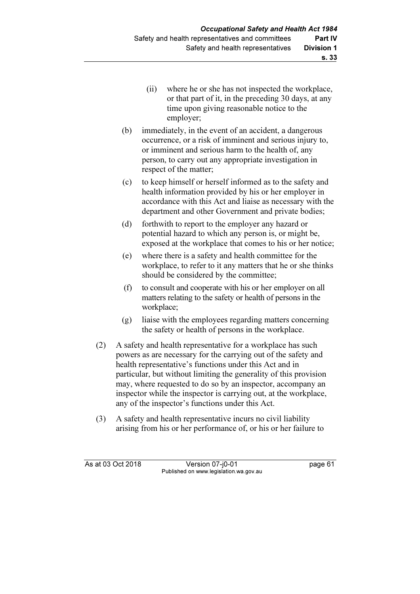- (ii) where he or she has not inspected the workplace, or that part of it, in the preceding 30 days, at any time upon giving reasonable notice to the employer;
- (b) immediately, in the event of an accident, a dangerous occurrence, or a risk of imminent and serious injury to, or imminent and serious harm to the health of, any person, to carry out any appropriate investigation in respect of the matter;
- (c) to keep himself or herself informed as to the safety and health information provided by his or her employer in accordance with this Act and liaise as necessary with the department and other Government and private bodies;
- (d) forthwith to report to the employer any hazard or potential hazard to which any person is, or might be, exposed at the workplace that comes to his or her notice;
- (e) where there is a safety and health committee for the workplace, to refer to it any matters that he or she thinks should be considered by the committee;
- (f) to consult and cooperate with his or her employer on all matters relating to the safety or health of persons in the workplace;
- (g) liaise with the employees regarding matters concerning the safety or health of persons in the workplace.
- (2) A safety and health representative for a workplace has such powers as are necessary for the carrying out of the safety and health representative's functions under this Act and in particular, but without limiting the generality of this provision may, where requested to do so by an inspector, accompany an inspector while the inspector is carrying out, at the workplace, any of the inspector's functions under this Act.
- (3) A safety and health representative incurs no civil liability arising from his or her performance of, or his or her failure to

As at 03 Oct 2018 Version 07-j0-01 page 61 Published on www.legislation.wa.gov.au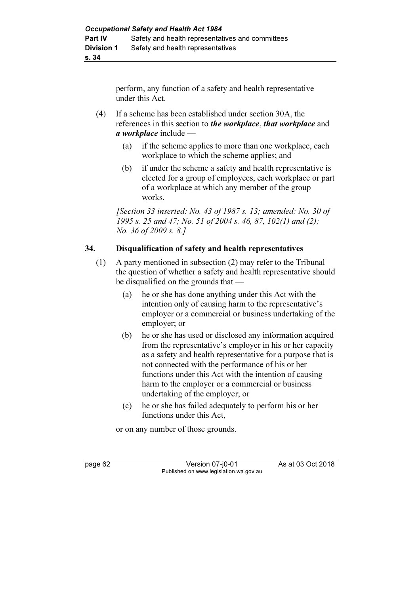perform, any function of a safety and health representative under this Act.

- (4) If a scheme has been established under section 30A, the references in this section to *the workplace*, *that workplace* and a workplace include -
	- (a) if the scheme applies to more than one workplace, each workplace to which the scheme applies; and
	- (b) if under the scheme a safety and health representative is elected for a group of employees, each workplace or part of a workplace at which any member of the group works.

[Section 33 inserted: No. 43 of 1987 s. 13; amended: No. 30 of 1995 s. 25 and 47; No. 51 of 2004 s. 46, 87, 102(1) and (2); No. 36 of 2009 s. 8.]

## 34. Disqualification of safety and health representatives

- (1) A party mentioned in subsection (2) may refer to the Tribunal the question of whether a safety and health representative should be disqualified on the grounds that —
	- (a) he or she has done anything under this Act with the intention only of causing harm to the representative's employer or a commercial or business undertaking of the employer; or
	- (b) he or she has used or disclosed any information acquired from the representative's employer in his or her capacity as a safety and health representative for a purpose that is not connected with the performance of his or her functions under this Act with the intention of causing harm to the employer or a commercial or business undertaking of the employer; or
	- (c) he or she has failed adequately to perform his or her functions under this Act,

or on any number of those grounds.

page 62 Version 07-j0-01 As at 03 Oct 2018 Published on www.legislation.wa.gov.au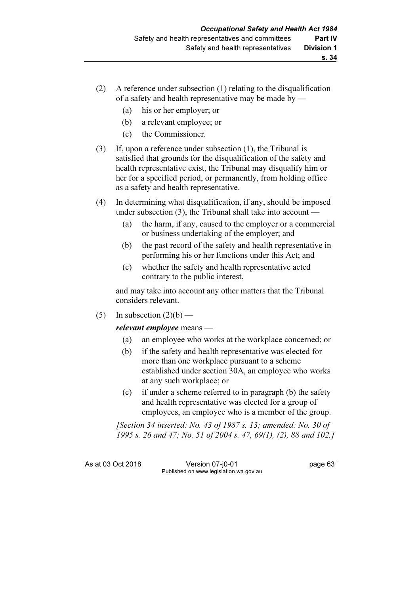- (2) A reference under subsection (1) relating to the disqualification of a safety and health representative may be made by —
	- (a) his or her employer; or
	- (b) a relevant employee; or
	- (c) the Commissioner.
- (3) If, upon a reference under subsection (1), the Tribunal is satisfied that grounds for the disqualification of the safety and health representative exist, the Tribunal may disqualify him or her for a specified period, or permanently, from holding office as a safety and health representative.
- (4) In determining what disqualification, if any, should be imposed under subsection (3), the Tribunal shall take into account —
	- (a) the harm, if any, caused to the employer or a commercial or business undertaking of the employer; and
	- (b) the past record of the safety and health representative in performing his or her functions under this Act; and
	- (c) whether the safety and health representative acted contrary to the public interest,

 and may take into account any other matters that the Tribunal considers relevant.

(5) In subsection  $(2)(b)$  —

relevant employee means —

- (a) an employee who works at the workplace concerned; or
- (b) if the safety and health representative was elected for more than one workplace pursuant to a scheme established under section 30A, an employee who works at any such workplace; or
- (c) if under a scheme referred to in paragraph (b) the safety and health representative was elected for a group of employees, an employee who is a member of the group.

[Section 34 inserted: No. 43 of 1987 s. 13; amended: No. 30 of 1995 s. 26 and 47; No. 51 of 2004 s. 47, 69(1), (2), 88 and 102.]

As at 03 Oct 2018 Version 07-i0-01 page 63 Published on www.legislation.wa.gov.au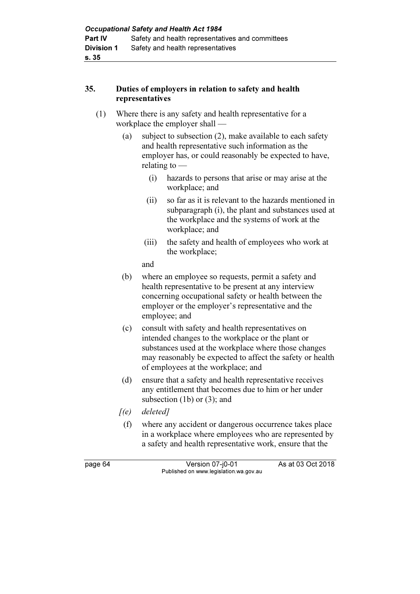# 35. Duties of employers in relation to safety and health representatives

- (1) Where there is any safety and health representative for a workplace the employer shall —
	- (a) subject to subsection (2), make available to each safety and health representative such information as the employer has, or could reasonably be expected to have, relating to —
		- (i) hazards to persons that arise or may arise at the workplace; and
		- (ii) so far as it is relevant to the hazards mentioned in subparagraph (i), the plant and substances used at the workplace and the systems of work at the workplace; and
		- (iii) the safety and health of employees who work at the workplace;

and

- (b) where an employee so requests, permit a safety and health representative to be present at any interview concerning occupational safety or health between the employer or the employer's representative and the employee; and
- (c) consult with safety and health representatives on intended changes to the workplace or the plant or substances used at the workplace where those changes may reasonably be expected to affect the safety or health of employees at the workplace; and
- (d) ensure that a safety and health representative receives any entitlement that becomes due to him or her under subsection (1b) or (3); and
- $[(e)$  deleted]
	- (f) where any accident or dangerous occurrence takes place in a workplace where employees who are represented by a safety and health representative work, ensure that the

page 64 Version 07-j0-01 As at 03 Oct 2018 Published on www.legislation.wa.gov.au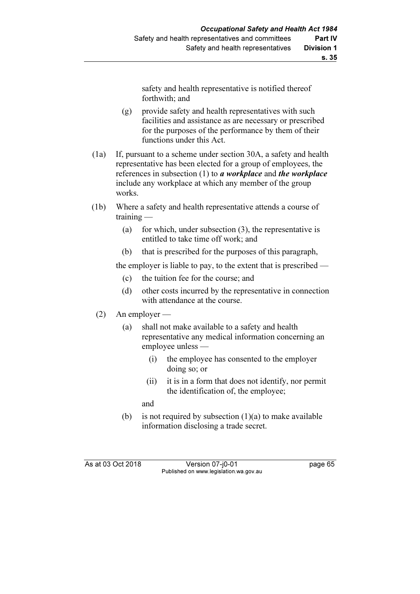s. 35

safety and health representative is notified thereof forthwith; and

- (g) provide safety and health representatives with such facilities and assistance as are necessary or prescribed for the purposes of the performance by them of their functions under this Act.
- (1a) If, pursuant to a scheme under section 30A, a safety and health representative has been elected for a group of employees, the references in subsection  $(1)$  to *a workplace* and *the workplace* include any workplace at which any member of the group works.
- (1b) Where a safety and health representative attends a course of training —
	- (a) for which, under subsection  $(3)$ , the representative is entitled to take time off work; and
	- (b) that is prescribed for the purposes of this paragraph,

the employer is liable to pay, to the extent that is prescribed —

- (c) the tuition fee for the course; and
- (d) other costs incurred by the representative in connection with attendance at the course.

# (2) An employer —

- (a) shall not make available to a safety and health representative any medical information concerning an employee unless —
	- (i) the employee has consented to the employer doing so; or
	- (ii) it is in a form that does not identify, nor permit the identification of, the employee;

and

(b) is not required by subsection  $(1)(a)$  to make available information disclosing a trade secret.

As at 03 Oct 2018 Version 07-j0-01 page 65 Published on www.legislation.wa.gov.au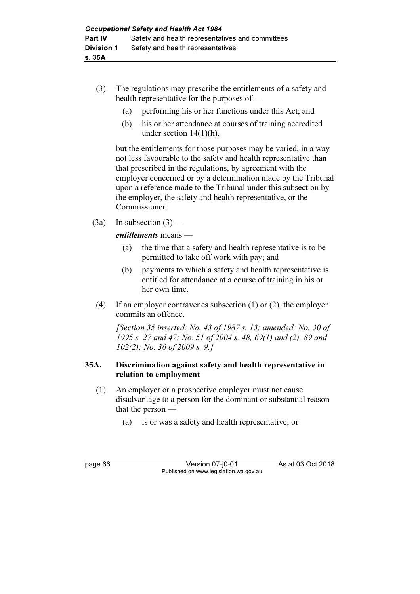- (3) The regulations may prescribe the entitlements of a safety and health representative for the purposes of —
	- (a) performing his or her functions under this Act; and
	- (b) his or her attendance at courses of training accredited under section 14(1)(h),

 but the entitlements for those purposes may be varied, in a way not less favourable to the safety and health representative than that prescribed in the regulations, by agreement with the employer concerned or by a determination made by the Tribunal upon a reference made to the Tribunal under this subsection by the employer, the safety and health representative, or the Commissioner.

 $(3a)$  In subsection  $(3)$  —

entitlements means —

- (a) the time that a safety and health representative is to be permitted to take off work with pay; and
- (b) payments to which a safety and health representative is entitled for attendance at a course of training in his or her own time.
- (4) If an employer contravenes subsection (1) or (2), the employer commits an offence.

[Section 35 inserted: No. 43 of 1987 s. 13; amended: No. 30 of 1995 s. 27 and 47; No. 51 of 2004 s. 48, 69(1) and (2), 89 and 102(2); No. 36 of 2009 s. 9.]

### 35A. Discrimination against safety and health representative in relation to employment

- (1) An employer or a prospective employer must not cause disadvantage to a person for the dominant or substantial reason that the person —
	- (a) is or was a safety and health representative; or

page 66 **Version 07-j0-01** As at 03 Oct 2018 Published on www.legislation.wa.gov.au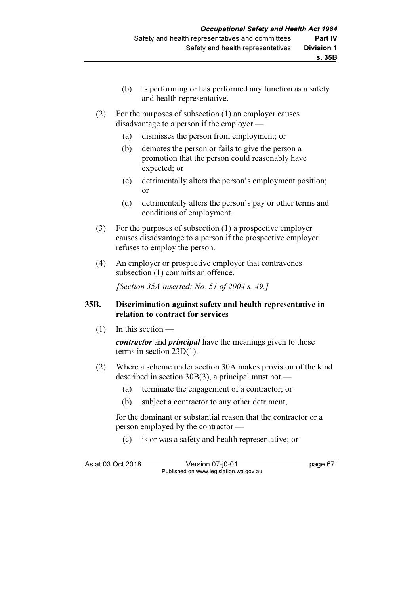- (b) is performing or has performed any function as a safety and health representative.
- (2) For the purposes of subsection (1) an employer causes disadvantage to a person if the employer —
	- (a) dismisses the person from employment; or
	- (b) demotes the person or fails to give the person a promotion that the person could reasonably have expected; or
	- (c) detrimentally alters the person's employment position; or
	- (d) detrimentally alters the person's pay or other terms and conditions of employment.
- (3) For the purposes of subsection (1) a prospective employer causes disadvantage to a person if the prospective employer refuses to employ the person.
- (4) An employer or prospective employer that contravenes subsection (1) commits an offence.

[Section 35A inserted: No. 51 of 2004 s. 49.]

### 35B. Discrimination against safety and health representative in relation to contract for services

(1) In this section —

contractor and principal have the meanings given to those terms in section 23D(1).

- (2) Where a scheme under section 30A makes provision of the kind described in section 30B(3), a principal must not —
	- (a) terminate the engagement of a contractor; or
	- (b) subject a contractor to any other detriment,

 for the dominant or substantial reason that the contractor or a person employed by the contractor —

(c) is or was a safety and health representative; or

As at 03 Oct 2018 Version 07-j0-01 page 67 Published on www.legislation.wa.gov.au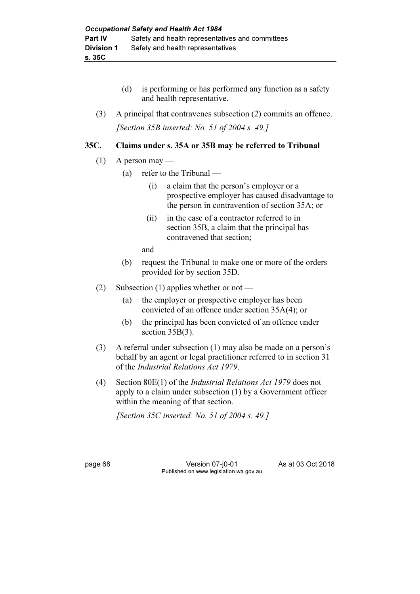- (d) is performing or has performed any function as a safety and health representative.
- (3) A principal that contravenes subsection (2) commits an offence. [Section 35B inserted: No. 51 of 2004 s. 49.]

# 35C. Claims under s. 35A or 35B may be referred to Tribunal

- $(1)$  A person may
	- (a) refer to the Tribunal
		- (i) a claim that the person's employer or a prospective employer has caused disadvantage to the person in contravention of section 35A; or
		- (ii) in the case of a contractor referred to in section 35B, a claim that the principal has contravened that section;

and

- (b) request the Tribunal to make one or more of the orders provided for by section 35D.
- (2) Subsection (1) applies whether or not
	- (a) the employer or prospective employer has been convicted of an offence under section 35A(4); or
	- (b) the principal has been convicted of an offence under section 35B(3).
- (3) A referral under subsection (1) may also be made on a person's behalf by an agent or legal practitioner referred to in section 31 of the Industrial Relations Act 1979.
- (4) Section 80E(1) of the Industrial Relations Act 1979 does not apply to a claim under subsection (1) by a Government officer within the meaning of that section.

[Section 35C inserted: No. 51 of 2004 s. 49.]

page 68 Version 07-j0-01 As at 03 Oct 2018 Published on www.legislation.wa.gov.au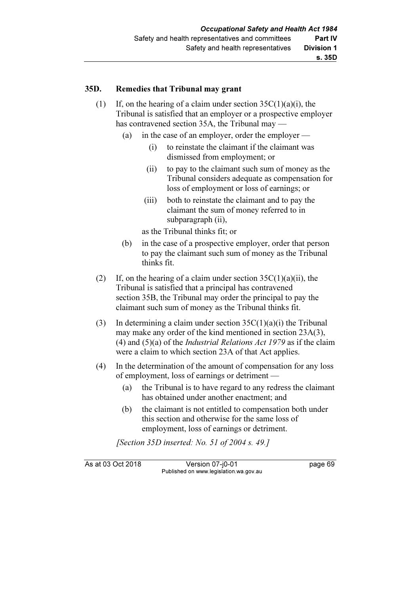#### 35D. Remedies that Tribunal may grant

- (1) If, on the hearing of a claim under section  $35C(1)(a)(i)$ , the Tribunal is satisfied that an employer or a prospective employer has contravened section 35A, the Tribunal may —
	- (a) in the case of an employer, order the employer
		- (i) to reinstate the claimant if the claimant was dismissed from employment; or
		- (ii) to pay to the claimant such sum of money as the Tribunal considers adequate as compensation for loss of employment or loss of earnings; or
		- (iii) both to reinstate the claimant and to pay the claimant the sum of money referred to in subparagraph (ii),

as the Tribunal thinks fit; or

- (b) in the case of a prospective employer, order that person to pay the claimant such sum of money as the Tribunal thinks fit.
- (2) If, on the hearing of a claim under section  $35C(1)(a)(ii)$ , the Tribunal is satisfied that a principal has contravened section 35B, the Tribunal may order the principal to pay the claimant such sum of money as the Tribunal thinks fit.
- (3) In determining a claim under section  $35C(1)(a)(i)$  the Tribunal may make any order of the kind mentioned in section 23A(3), (4) and  $(5)(a)$  of the *Industrial Relations Act 1979* as if the claim were a claim to which section 23A of that Act applies.
- (4) In the determination of the amount of compensation for any loss of employment, loss of earnings or detriment —
	- (a) the Tribunal is to have regard to any redress the claimant has obtained under another enactment; and
	- (b) the claimant is not entitled to compensation both under this section and otherwise for the same loss of employment, loss of earnings or detriment.

[Section 35D inserted: No. 51 of 2004 s. 49.]

As at 03 Oct 2018 Version 07-j0-01 page 69 Published on www.legislation.wa.gov.au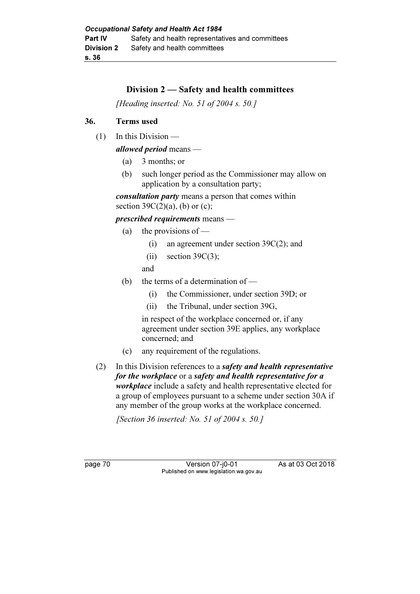# Division 2 — Safety and health committees

[Heading inserted: No. 51 of 2004 s. 50.]

### 36. Terms used

(1) In this Division —

allowed period means —

- (a) 3 months; or
- (b) such longer period as the Commissioner may allow on application by a consultation party;

consultation party means a person that comes within section  $39C(2)(a)$ , (b) or (c);

#### prescribed requirements means —

- (a) the provisions of  $-$ 
	- (i) an agreement under section 39C(2); and
	- (ii) section  $39C(3)$ ;

and

- (b) the terms of a determination of
	- (i) the Commissioner, under section 39D; or
	- (ii) the Tribunal, under section 39G,

 in respect of the workplace concerned or, if any agreement under section 39E applies, any workplace concerned; and

- (c) any requirement of the regulations.
- (2) In this Division references to a *safety and health representative* for the workplace or a safety and health representative for a workplace include a safety and health representative elected for a group of employees pursuant to a scheme under section 30A if any member of the group works at the workplace concerned.

[Section 36 inserted: No. 51 of 2004 s. 50.]

page 70 Version 07-j0-01 As at 03 Oct 2018 Published on www.legislation.wa.gov.au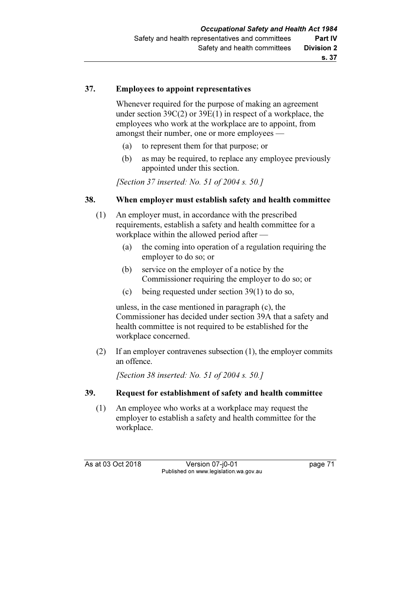#### 37. Employees to appoint representatives

 Whenever required for the purpose of making an agreement under section 39C(2) or 39E(1) in respect of a workplace, the employees who work at the workplace are to appoint, from amongst their number, one or more employees -

- (a) to represent them for that purpose; or
- (b) as may be required, to replace any employee previously appointed under this section.

[Section 37 inserted: No. 51 of 2004 s. 50.]

#### 38. When employer must establish safety and health committee

- (1) An employer must, in accordance with the prescribed requirements, establish a safety and health committee for a workplace within the allowed period after —
	- (a) the coming into operation of a regulation requiring the employer to do so; or
	- (b) service on the employer of a notice by the Commissioner requiring the employer to do so; or
	- (c) being requested under section 39(1) to do so,

 unless, in the case mentioned in paragraph (c), the Commissioner has decided under section 39A that a safety and health committee is not required to be established for the workplace concerned.

 (2) If an employer contravenes subsection (1), the employer commits an offence.

[Section 38 inserted: No. 51 of 2004 s. 50.]

#### 39. Request for establishment of safety and health committee

 (1) An employee who works at a workplace may request the employer to establish a safety and health committee for the workplace.

As at 03 Oct 2018 Version 07-j0-01 page 71 Published on www.legislation.wa.gov.au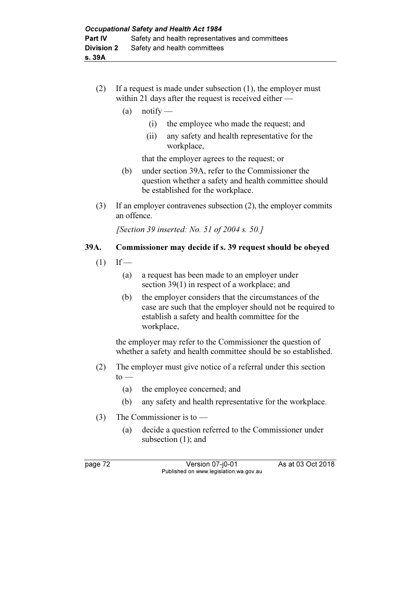- (2) If a request is made under subsection (1), the employer must within 21 days after the request is received either —
	- $(a)$  notify
		- (i) the employee who made the request; and
		- (ii) any safety and health representative for the workplace,

that the employer agrees to the request; or

- (b) under section 39A, refer to the Commissioner the question whether a safety and health committee should be established for the workplace.
- (3) If an employer contravenes subsection (2), the employer commits an offence.

[Section 39 inserted: No. 51 of 2004 s. 50.]

### 39A. Commissioner may decide if s. 39 request should be obeyed

- $(1)$  If
	- (a) a request has been made to an employer under section 39(1) in respect of a workplace; and
	- (b) the employer considers that the circumstances of the case are such that the employer should not be required to establish a safety and health committee for the workplace,

 the employer may refer to the Commissioner the question of whether a safety and health committee should be so established.

- (2) The employer must give notice of a referral under this section  $to -$ 
	- (a) the employee concerned; and
	- (b) any safety and health representative for the workplace.
- (3) The Commissioner is to
	- (a) decide a question referred to the Commissioner under subsection (1); and

page 72 Version 07-j0-01 As at 03 Oct 2018 Published on www.legislation.wa.gov.au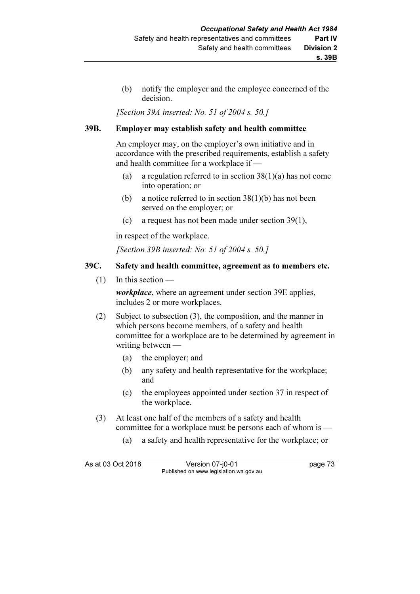(b) notify the employer and the employee concerned of the decision.

[Section 39A inserted: No. 51 of 2004 s. 50.]

# 39B. Employer may establish safety and health committee

 An employer may, on the employer's own initiative and in accordance with the prescribed requirements, establish a safety and health committee for a workplace if —

- (a) a regulation referred to in section  $38(1)(a)$  has not come into operation; or
- (b) a notice referred to in section 38(1)(b) has not been served on the employer; or
- (c) a request has not been made under section 39(1),

in respect of the workplace.

[Section 39B inserted: No. 51 of 2004 s. 50.]

### 39C. Safety and health committee, agreement as to members etc.

(1) In this section —

*workplace*, where an agreement under section 39E applies, includes 2 or more workplaces.

- (2) Subject to subsection (3), the composition, and the manner in which persons become members, of a safety and health committee for a workplace are to be determined by agreement in writing between —
	- (a) the employer; and
	- (b) any safety and health representative for the workplace; and
	- (c) the employees appointed under section 37 in respect of the workplace.
- (3) At least one half of the members of a safety and health committee for a workplace must be persons each of whom is —
	- (a) a safety and health representative for the workplace; or

As at 03 Oct 2018 Version 07-j0-01 page 73 Published on www.legislation.wa.gov.au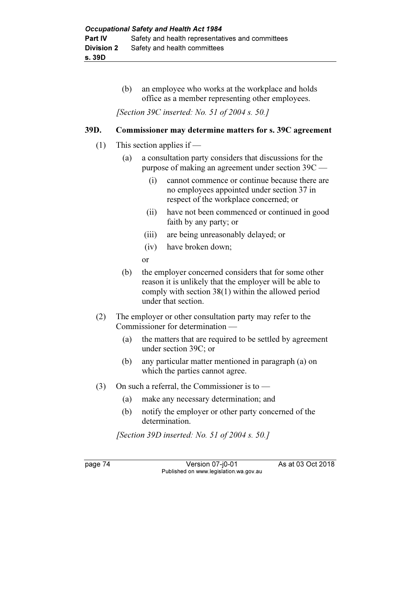#### (b) an employee who works at the workplace and holds office as a member representing other employees.

[Section 39C inserted: No. 51 of 2004 s. 50.]

### 39D. Commissioner may determine matters for s. 39C agreement

- (1) This section applies if
	- (a) a consultation party considers that discussions for the purpose of making an agreement under section 39C —
		- (i) cannot commence or continue because there are no employees appointed under section 37 in respect of the workplace concerned; or
		- (ii) have not been commenced or continued in good faith by any party; or
		- (iii) are being unreasonably delayed; or
		- (iv) have broken down;

or

- (b) the employer concerned considers that for some other reason it is unlikely that the employer will be able to comply with section 38(1) within the allowed period under that section.
- (2) The employer or other consultation party may refer to the Commissioner for determination —
	- (a) the matters that are required to be settled by agreement under section 39C; or
	- (b) any particular matter mentioned in paragraph (a) on which the parties cannot agree.
- (3) On such a referral, the Commissioner is to  $-$ 
	- (a) make any necessary determination; and
	- (b) notify the employer or other party concerned of the determination.

[Section 39D inserted: No. 51 of 2004 s. 50.]

page 74 Version 07-j0-01 As at 03 Oct 2018 Published on www.legislation.wa.gov.au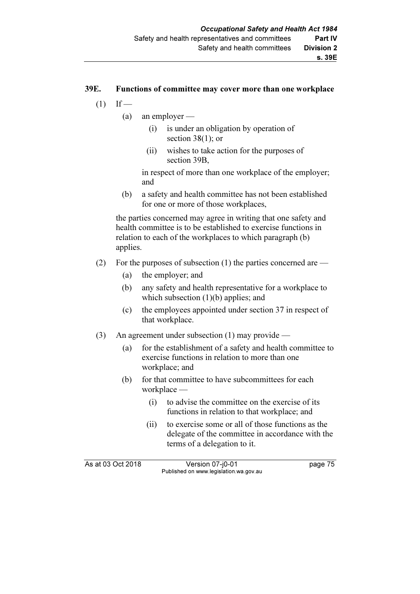### 39E. Functions of committee may cover more than one workplace

- $(1)$  If
	- (a) an employer
		- (i) is under an obligation by operation of section  $38(1)$ ; or
		- (ii) wishes to take action for the purposes of section 39B,

 in respect of more than one workplace of the employer; and

 (b) a safety and health committee has not been established for one or more of those workplaces,

 the parties concerned may agree in writing that one safety and health committee is to be established to exercise functions in relation to each of the workplaces to which paragraph (b) applies.

- (2) For the purposes of subsection (1) the parties concerned are
	- (a) the employer; and
	- (b) any safety and health representative for a workplace to which subsection (1)(b) applies; and
	- (c) the employees appointed under section 37 in respect of that workplace.
- (3) An agreement under subsection (1) may provide
	- (a) for the establishment of a safety and health committee to exercise functions in relation to more than one workplace; and
	- (b) for that committee to have subcommittees for each workplace —
		- (i) to advise the committee on the exercise of its functions in relation to that workplace; and
		- (ii) to exercise some or all of those functions as the delegate of the committee in accordance with the terms of a delegation to it.

As at 03 Oct 2018 Version 07-j0-01 page 75 Published on www.legislation.wa.gov.au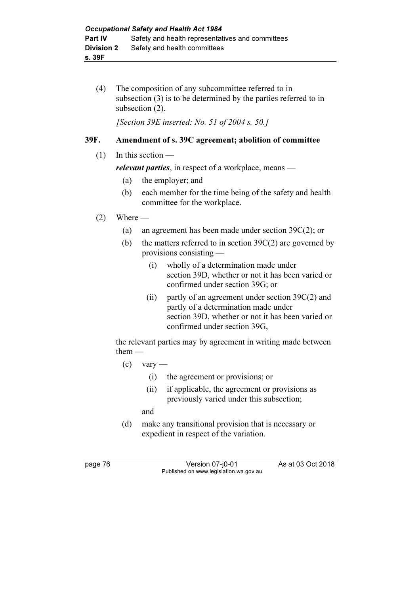(4) The composition of any subcommittee referred to in subsection (3) is to be determined by the parties referred to in subsection (2).

[Section 39E inserted: No. 51 of 2004 s. 50.]

# 39F. Amendment of s. 39C agreement; abolition of committee

# (1) In this section —

relevant parties, in respect of a workplace, means —

- (a) the employer; and
- (b) each member for the time being of the safety and health committee for the workplace.

### $(2)$  Where —

- (a) an agreement has been made under section 39C(2); or
- (b) the matters referred to in section 39C(2) are governed by provisions consisting —
	- (i) wholly of a determination made under section 39D, whether or not it has been varied or confirmed under section 39G; or
	- (ii) partly of an agreement under section 39C(2) and partly of a determination made under section 39D, whether or not it has been varied or confirmed under section 39G,

 the relevant parties may by agreement in writing made between them —

- $\text{(c)}$  vary
	- (i) the agreement or provisions; or
	- (ii) if applicable, the agreement or provisions as previously varied under this subsection;

and

 (d) make any transitional provision that is necessary or expedient in respect of the variation.

page 76 Version 07-j0-01 As at 03 Oct 2018 Published on www.legislation.wa.gov.au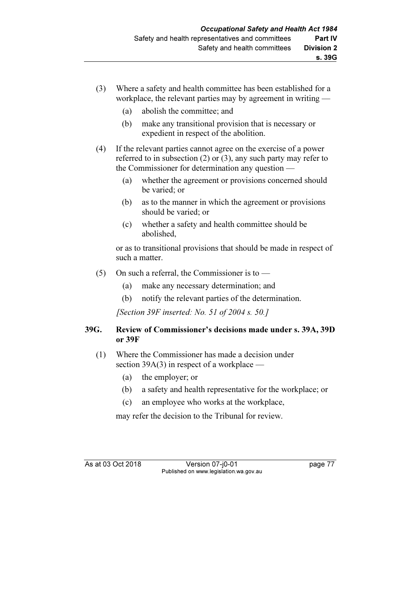- (3) Where a safety and health committee has been established for a workplace, the relevant parties may by agreement in writing —
	- (a) abolish the committee; and
	- (b) make any transitional provision that is necessary or expedient in respect of the abolition.
- (4) If the relevant parties cannot agree on the exercise of a power referred to in subsection (2) or (3), any such party may refer to the Commissioner for determination any question —
	- (a) whether the agreement or provisions concerned should be varied; or
	- (b) as to the manner in which the agreement or provisions should be varied; or
	- (c) whether a safety and health committee should be abolished,

 or as to transitional provisions that should be made in respect of such a matter.

- (5) On such a referral, the Commissioner is to  $-$ 
	- (a) make any necessary determination; and
	- (b) notify the relevant parties of the determination.

[Section 39F inserted: No. 51 of 2004 s. 50.]

### 39G. Review of Commissioner's decisions made under s. 39A, 39D or 39F

- (1) Where the Commissioner has made a decision under section 39A(3) in respect of a workplace —
	- (a) the employer; or
	- (b) a safety and health representative for the workplace; or
	- (c) an employee who works at the workplace,

may refer the decision to the Tribunal for review.

As at 03 Oct 2018 Version 07-j0-01 page 77 Published on www.legislation.wa.gov.au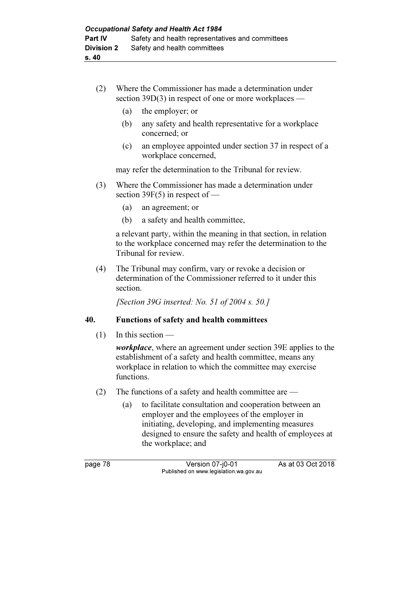- (2) Where the Commissioner has made a determination under section 39D(3) in respect of one or more workplaces —
	- (a) the employer; or
	- (b) any safety and health representative for a workplace concerned; or
	- (c) an employee appointed under section 37 in respect of a workplace concerned,

may refer the determination to the Tribunal for review.

- (3) Where the Commissioner has made a determination under section 39F(5) in respect of —
	- (a) an agreement; or
	- (b) a safety and health committee,

 a relevant party, within the meaning in that section, in relation to the workplace concerned may refer the determination to the Tribunal for review.

 (4) The Tribunal may confirm, vary or revoke a decision or determination of the Commissioner referred to it under this section.

[Section 39G inserted: No. 51 of 2004 s. 50.]

#### 40. Functions of safety and health committees

 $(1)$  In this section —

*workplace*, where an agreement under section 39E applies to the establishment of a safety and health committee, means any workplace in relation to which the committee may exercise functions.

- (2) The functions of a safety and health committee are
	- (a) to facilitate consultation and cooperation between an employer and the employees of the employer in initiating, developing, and implementing measures designed to ensure the safety and health of employees at the workplace; and

page 78 Version 07-j0-01 As at 03 Oct 2018 Published on www.legislation.wa.gov.au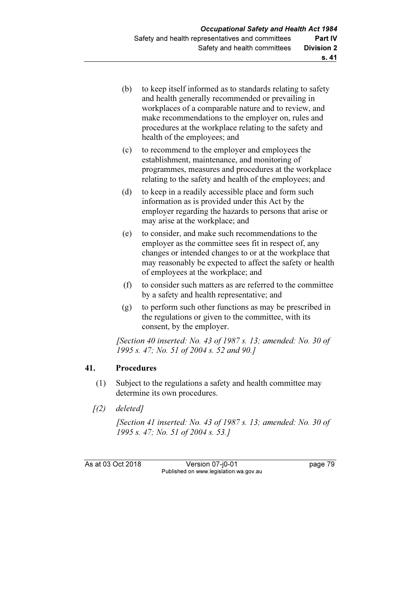- (b) to keep itself informed as to standards relating to safety and health generally recommended or prevailing in workplaces of a comparable nature and to review, and make recommendations to the employer on, rules and procedures at the workplace relating to the safety and health of the employees; and
- (c) to recommend to the employer and employees the establishment, maintenance, and monitoring of programmes, measures and procedures at the workplace relating to the safety and health of the employees; and
- (d) to keep in a readily accessible place and form such information as is provided under this Act by the employer regarding the hazards to persons that arise or may arise at the workplace; and
- (e) to consider, and make such recommendations to the employer as the committee sees fit in respect of, any changes or intended changes to or at the workplace that may reasonably be expected to affect the safety or health of employees at the workplace; and
- (f) to consider such matters as are referred to the committee by a safety and health representative; and
- (g) to perform such other functions as may be prescribed in the regulations or given to the committee, with its consent, by the employer.

[Section 40 inserted: No. 43 of 1987 s. 13; amended: No. 30 of 1995 s. 47; No. 51 of 2004 s. 52 and 90.]

# 41. Procedures

- (1) Subject to the regulations a safety and health committee may determine its own procedures.
- $(2)$  deleted]

 [Section 41 inserted: No. 43 of 1987 s. 13; amended: No. 30 of 1995 s. 47; No. 51 of 2004 s. 53.]

As at 03 Oct 2018 Version 07-j0-01 page 79 Published on www.legislation.wa.gov.au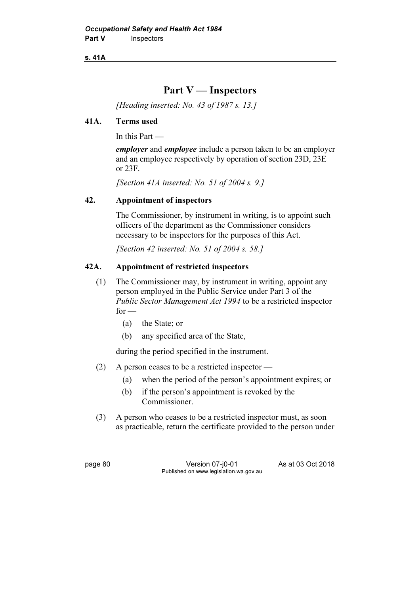s. 41A

# Part V — Inspectors

[Heading inserted: No. 43 of 1987 s. 13.]

# 41A. Terms used

In this Part —

employer and employee include a person taken to be an employer and an employee respectively by operation of section 23D, 23E or 23F.

[Section 41A inserted: No. 51 of 2004 s.  $9.1$ ]

### 42. Appointment of inspectors

 The Commissioner, by instrument in writing, is to appoint such officers of the department as the Commissioner considers necessary to be inspectors for the purposes of this Act.

[Section 42 inserted: No. 51 of 2004 s. 58.]

## 42A. Appointment of restricted inspectors

- (1) The Commissioner may, by instrument in writing, appoint any person employed in the Public Service under Part 3 of the Public Sector Management Act 1994 to be a restricted inspector  $for -$ 
	- (a) the State; or
	- (b) any specified area of the State,

during the period specified in the instrument.

- (2) A person ceases to be a restricted inspector
	- (a) when the period of the person's appointment expires; or
	- (b) if the person's appointment is revoked by the Commissioner.
- (3) A person who ceases to be a restricted inspector must, as soon as practicable, return the certificate provided to the person under

page 80 Version 07-j0-01 As at 03 Oct 2018 Published on www.legislation.wa.gov.au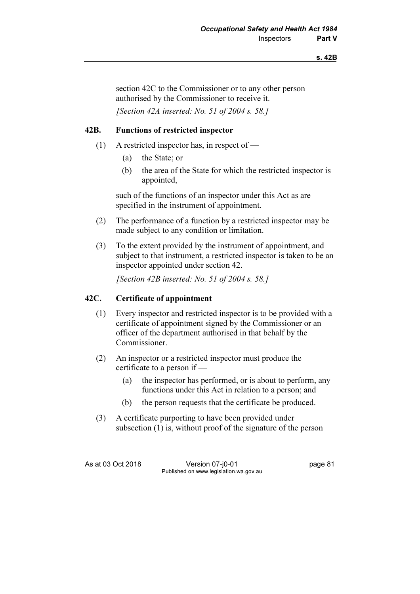s. 42B

section 42C to the Commissioner or to any other person authorised by the Commissioner to receive it. [Section 42A inserted: No. 51 of 2004 s. 58.]

### 42B. Functions of restricted inspector

- (1) A restricted inspector has, in respect of
	- (a) the State; or
	- (b) the area of the State for which the restricted inspector is appointed,

 such of the functions of an inspector under this Act as are specified in the instrument of appointment.

- (2) The performance of a function by a restricted inspector may be made subject to any condition or limitation.
- (3) To the extent provided by the instrument of appointment, and subject to that instrument, a restricted inspector is taken to be an inspector appointed under section 42.

[Section 42B inserted: No. 51 of 2004 s. 58.]

#### 42C. Certificate of appointment

- (1) Every inspector and restricted inspector is to be provided with a certificate of appointment signed by the Commissioner or an officer of the department authorised in that behalf by the Commissioner.
- (2) An inspector or a restricted inspector must produce the certificate to a person if —
	- (a) the inspector has performed, or is about to perform, any functions under this Act in relation to a person; and
	- (b) the person requests that the certificate be produced.
- (3) A certificate purporting to have been provided under subsection (1) is, without proof of the signature of the person

As at 03 Oct 2018 Version 07-j0-01 page 81 Published on www.legislation.wa.gov.au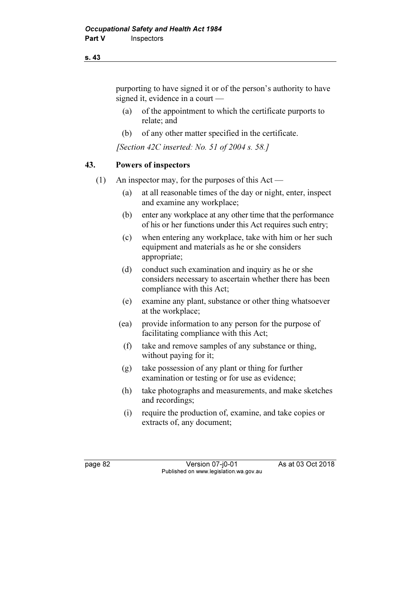#### s. 43

purporting to have signed it or of the person's authority to have signed it, evidence in a court —

- (a) of the appointment to which the certificate purports to relate; and
- (b) of any other matter specified in the certificate.

[Section 42C inserted: No. 51 of 2004 s. 58.]

# 43. Powers of inspectors

- (1) An inspector may, for the purposes of this Act
	- (a) at all reasonable times of the day or night, enter, inspect and examine any workplace;
	- (b) enter any workplace at any other time that the performance of his or her functions under this Act requires such entry;
	- (c) when entering any workplace, take with him or her such equipment and materials as he or she considers appropriate;
	- (d) conduct such examination and inquiry as he or she considers necessary to ascertain whether there has been compliance with this Act;
	- (e) examine any plant, substance or other thing whatsoever at the workplace;
	- (ea) provide information to any person for the purpose of facilitating compliance with this Act;
		- (f) take and remove samples of any substance or thing, without paying for it;
	- (g) take possession of any plant or thing for further examination or testing or for use as evidence;
	- (h) take photographs and measurements, and make sketches and recordings;
	- (i) require the production of, examine, and take copies or extracts of, any document;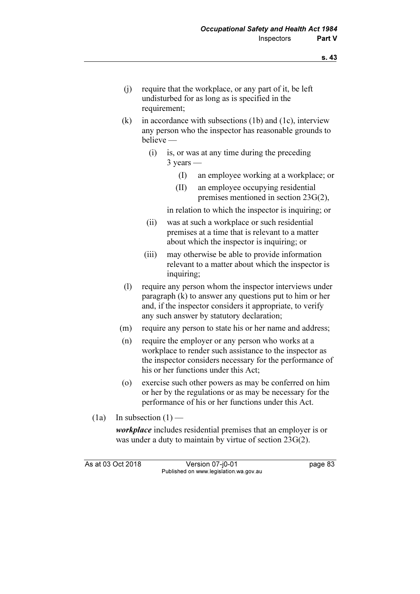- (j) require that the workplace, or any part of it, be left undisturbed for as long as is specified in the requirement;
- (k) in accordance with subsections (1b) and (1c), interview any person who the inspector has reasonable grounds to believe —
	- (i) is, or was at any time during the preceding 3 years —
		- (I) an employee working at a workplace; or
		- (II) an employee occupying residential premises mentioned in section 23G(2),

in relation to which the inspector is inquiring; or

- (ii) was at such a workplace or such residential premises at a time that is relevant to a matter about which the inspector is inquiring; or
- (iii) may otherwise be able to provide information relevant to a matter about which the inspector is inquiring;
- (l) require any person whom the inspector interviews under paragraph (k) to answer any questions put to him or her and, if the inspector considers it appropriate, to verify any such answer by statutory declaration;
- (m) require any person to state his or her name and address;
- (n) require the employer or any person who works at a workplace to render such assistance to the inspector as the inspector considers necessary for the performance of his or her functions under this Act;
- (o) exercise such other powers as may be conferred on him or her by the regulations or as may be necessary for the performance of his or her functions under this Act.
- $(1a)$  In subsection  $(1)$  —

*workplace* includes residential premises that an employer is or was under a duty to maintain by virtue of section 23G(2).

As at 03 Oct 2018 Version 07-j0-01 page 83 Published on www.legislation.wa.gov.au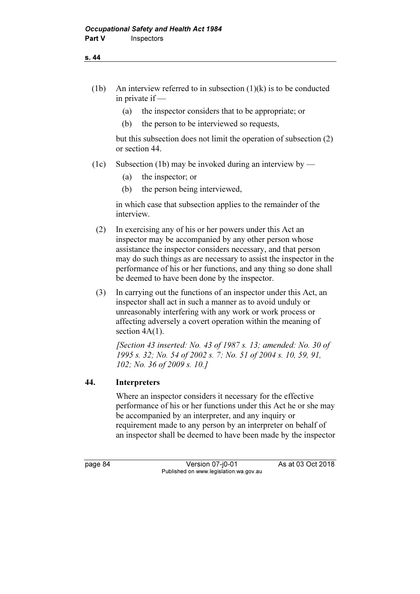- (1b) An interview referred to in subsection  $(1)(k)$  is to be conducted in private if —
	- (a) the inspector considers that to be appropriate; or
	- (b) the person to be interviewed so requests,

 but this subsection does not limit the operation of subsection (2) or section 44.

- (1c) Subsection (1b) may be invoked during an interview by
	- (a) the inspector; or
	- (b) the person being interviewed,

 in which case that subsection applies to the remainder of the interview.

- (2) In exercising any of his or her powers under this Act an inspector may be accompanied by any other person whose assistance the inspector considers necessary, and that person may do such things as are necessary to assist the inspector in the performance of his or her functions, and any thing so done shall be deemed to have been done by the inspector.
- (3) In carrying out the functions of an inspector under this Act, an inspector shall act in such a manner as to avoid unduly or unreasonably interfering with any work or work process or affecting adversely a covert operation within the meaning of section  $4A(1)$ .

[Section 43 inserted: No. 43 of 1987 s. 13; amended: No. 30 of 1995 s. 32; No. 54 of 2002 s. 7; No. 51 of 2004 s. 10, 59, 91, 102; No. 36 of 2009 s. 10.]

# 44. Interpreters

 Where an inspector considers it necessary for the effective performance of his or her functions under this Act he or she may be accompanied by an interpreter, and any inquiry or requirement made to any person by an interpreter on behalf of an inspector shall be deemed to have been made by the inspector

page 84 Version 07-j0-01 As at 03 Oct 2018 Published on www.legislation.wa.gov.au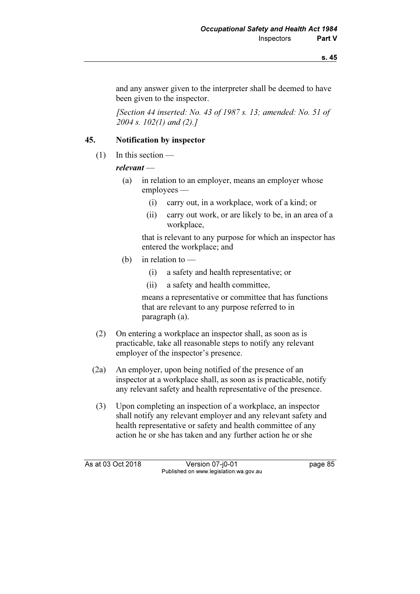and any answer given to the interpreter shall be deemed to have been given to the inspector.

[Section 44 inserted: No. 43 of 1987 s. 13; amended: No. 51 of 2004 s. 102(1) and (2).]

# 45. Notification by inspector

(1) In this section —

relevant —

- (a) in relation to an employer, means an employer whose employees —
	- (i) carry out, in a workplace, work of a kind; or
	- (ii) carry out work, or are likely to be, in an area of a workplace,

 that is relevant to any purpose for which an inspector has entered the workplace; and

- (b) in relation to  $-$ 
	- (i) a safety and health representative; or
	- (ii) a safety and health committee,

 means a representative or committee that has functions that are relevant to any purpose referred to in paragraph (a).

- (2) On entering a workplace an inspector shall, as soon as is practicable, take all reasonable steps to notify any relevant employer of the inspector's presence.
- (2a) An employer, upon being notified of the presence of an inspector at a workplace shall, as soon as is practicable, notify any relevant safety and health representative of the presence.
- (3) Upon completing an inspection of a workplace, an inspector shall notify any relevant employer and any relevant safety and health representative or safety and health committee of any action he or she has taken and any further action he or she

As at 03 Oct 2018 Version 07-j0-01 page 85 Published on www.legislation.wa.gov.au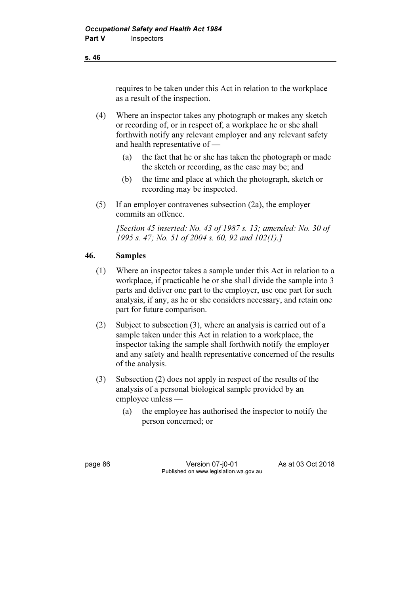#### s. 46

requires to be taken under this Act in relation to the workplace as a result of the inspection.

- (4) Where an inspector takes any photograph or makes any sketch or recording of, or in respect of, a workplace he or she shall forthwith notify any relevant employer and any relevant safety and health representative of —
	- (a) the fact that he or she has taken the photograph or made the sketch or recording, as the case may be; and
	- (b) the time and place at which the photograph, sketch or recording may be inspected.
- (5) If an employer contravenes subsection (2a), the employer commits an offence.

[Section 45 inserted: No. 43 of 1987 s. 13; amended: No. 30 of 1995 s. 47; No. 51 of 2004 s. 60, 92 and 102(1).]

#### 46. Samples

- (1) Where an inspector takes a sample under this Act in relation to a workplace, if practicable he or she shall divide the sample into 3 parts and deliver one part to the employer, use one part for such analysis, if any, as he or she considers necessary, and retain one part for future comparison.
- (2) Subject to subsection (3), where an analysis is carried out of a sample taken under this Act in relation to a workplace, the inspector taking the sample shall forthwith notify the employer and any safety and health representative concerned of the results of the analysis.
- (3) Subsection (2) does not apply in respect of the results of the analysis of a personal biological sample provided by an employee unless —
	- (a) the employee has authorised the inspector to notify the person concerned; or

page 86 Version 07-j0-01 As at 03 Oct 2018 Published on www.legislation.wa.gov.au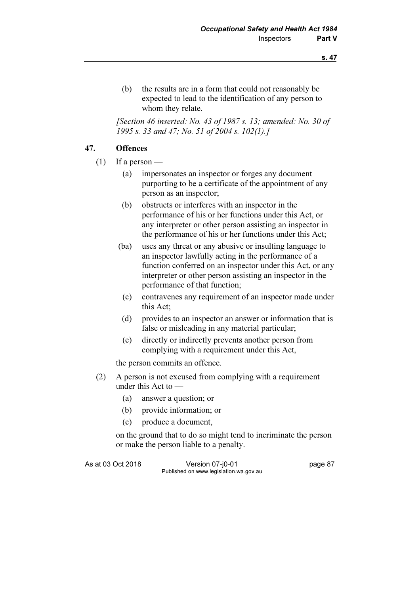(b) the results are in a form that could not reasonably be expected to lead to the identification of any person to whom they relate.

[Section 46 inserted: No. 43 of 1987 s. 13; amended: No. 30 of 1995 s. 33 and 47; No. 51 of 2004 s. 102(1).]

#### 47. Offences

 $(1)$  If a person —

- (a) impersonates an inspector or forges any document purporting to be a certificate of the appointment of any person as an inspector;
- (b) obstructs or interferes with an inspector in the performance of his or her functions under this Act, or any interpreter or other person assisting an inspector in the performance of his or her functions under this Act;
- (ba) uses any threat or any abusive or insulting language to an inspector lawfully acting in the performance of a function conferred on an inspector under this Act, or any interpreter or other person assisting an inspector in the performance of that function;
	- (c) contravenes any requirement of an inspector made under this Act;
	- (d) provides to an inspector an answer or information that is false or misleading in any material particular;
	- (e) directly or indirectly prevents another person from complying with a requirement under this Act,

the person commits an offence.

- (2) A person is not excused from complying with a requirement under this Act to —
	- (a) answer a question; or
	- (b) provide information; or
	- (c) produce a document,

 on the ground that to do so might tend to incriminate the person or make the person liable to a penalty.

As at 03 Oct 2018 Version 07-i0-01 page 87 Published on www.legislation.wa.gov.au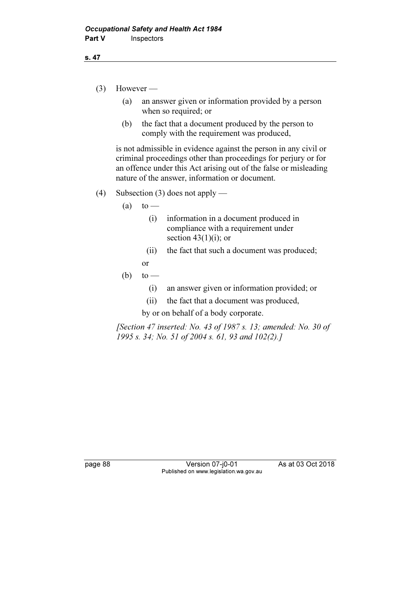- (a) an answer given or information provided by a person when so required; or
- (b) the fact that a document produced by the person to comply with the requirement was produced,

 is not admissible in evidence against the person in any civil or criminal proceedings other than proceedings for perjury or for an offence under this Act arising out of the false or misleading nature of the answer, information or document.

# (4) Subsection (3) does not apply —

 $(a)$  to —

- (i) information in a document produced in compliance with a requirement under section  $43(1)(i)$ ; or
- (ii) the fact that such a document was produced;
- or
- (b) to
	- (i) an answer given or information provided; or
	- (ii) the fact that a document was produced,

by or on behalf of a body corporate.

[Section 47 inserted: No. 43 of 1987 s. 13; amended: No. 30 of 1995 s. 34; No. 51 of 2004 s. 61, 93 and 102(2).]

page 88 Version 07-j0-01 As at 03 Oct 2018 Published on www.legislation.wa.gov.au

s. 47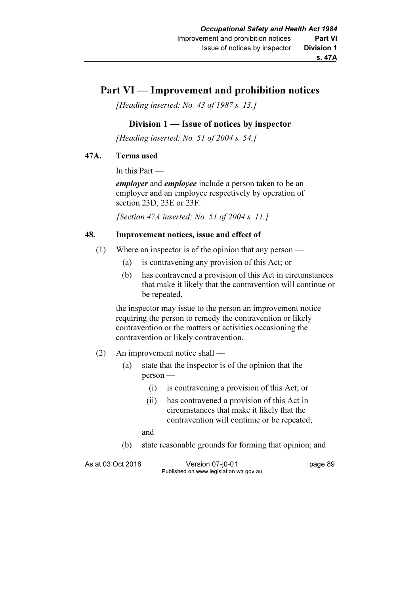# Part VI — Improvement and prohibition notices

[Heading inserted: No. 43 of 1987 s. 13.]

# Division 1 — Issue of notices by inspector

[Heading inserted: No. 51 of 2004 s. 54.]

#### 47A. Terms used

In this Part —

employer and employee include a person taken to be an employer and an employee respectively by operation of section 23D, 23E or 23F.

[Section 47A inserted: No. 51 of 2004 s. 11.]

### 48. Improvement notices, issue and effect of

- (1) Where an inspector is of the opinion that any person
	- (a) is contravening any provision of this Act; or
	- (b) has contravened a provision of this Act in circumstances that make it likely that the contravention will continue or be repeated,

 the inspector may issue to the person an improvement notice requiring the person to remedy the contravention or likely contravention or the matters or activities occasioning the contravention or likely contravention.

- (2) An improvement notice shall
	- (a) state that the inspector is of the opinion that the person —
		- (i) is contravening a provision of this Act; or
		- (ii) has contravened a provision of this Act in circumstances that make it likely that the contravention will continue or be repeated;

and

(b) state reasonable grounds for forming that opinion; and

As at 03 Oct 2018 Version 07-i0-01 page 89 Published on www.legislation.wa.gov.au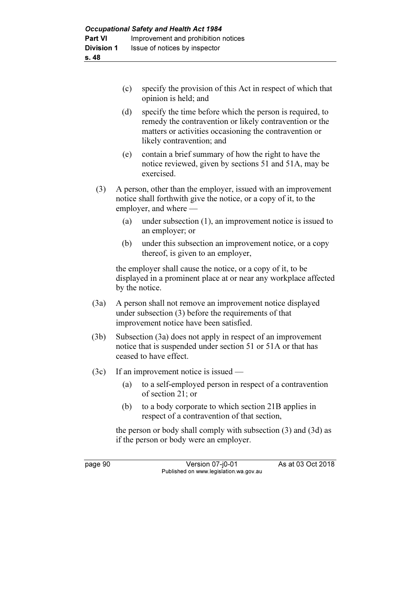- (c) specify the provision of this Act in respect of which that opinion is held; and
- (d) specify the time before which the person is required, to remedy the contravention or likely contravention or the matters or activities occasioning the contravention or likely contravention; and
- (e) contain a brief summary of how the right to have the notice reviewed, given by sections 51 and 51A, may be exercised.
- (3) A person, other than the employer, issued with an improvement notice shall forthwith give the notice, or a copy of it, to the employer, and where —
	- (a) under subsection (1), an improvement notice is issued to an employer; or
	- (b) under this subsection an improvement notice, or a copy thereof, is given to an employer,

 the employer shall cause the notice, or a copy of it, to be displayed in a prominent place at or near any workplace affected by the notice.

- (3a) A person shall not remove an improvement notice displayed under subsection (3) before the requirements of that improvement notice have been satisfied.
- (3b) Subsection (3a) does not apply in respect of an improvement notice that is suspended under section 51 or 51A or that has ceased to have effect.
- (3c) If an improvement notice is issued
	- (a) to a self-employed person in respect of a contravention of section 21; or
	- (b) to a body corporate to which section 21B applies in respect of a contravention of that section,

 the person or body shall comply with subsection (3) and (3d) as if the person or body were an employer.

page 90 **Version 07-j0-01** As at 03 Oct 2018 Published on www.legislation.wa.gov.au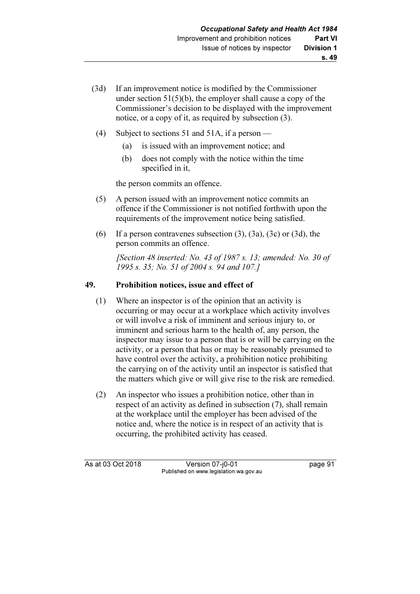- (3d) If an improvement notice is modified by the Commissioner under section 51(5)(b), the employer shall cause a copy of the Commissioner's decision to be displayed with the improvement notice, or a copy of it, as required by subsection (3).
- (4) Subject to sections 51 and 51A, if a person
	- (a) is issued with an improvement notice; and
	- (b) does not comply with the notice within the time specified in it,

the person commits an offence.

- (5) A person issued with an improvement notice commits an offence if the Commissioner is not notified forthwith upon the requirements of the improvement notice being satisfied.
- (6) If a person contravenes subsection  $(3)$ ,  $(3a)$ ,  $(3c)$  or  $(3d)$ , the person commits an offence.

 [Section 48 inserted: No. 43 of 1987 s. 13; amended: No. 30 of 1995 s. 35; No. 51 of 2004 s. 94 and 107.]

#### 49. Prohibition notices, issue and effect of

- (1) Where an inspector is of the opinion that an activity is occurring or may occur at a workplace which activity involves or will involve a risk of imminent and serious injury to, or imminent and serious harm to the health of, any person, the inspector may issue to a person that is or will be carrying on the activity, or a person that has or may be reasonably presumed to have control over the activity, a prohibition notice prohibiting the carrying on of the activity until an inspector is satisfied that the matters which give or will give rise to the risk are remedied.
- (2) An inspector who issues a prohibition notice, other than in respect of an activity as defined in subsection (7), shall remain at the workplace until the employer has been advised of the notice and, where the notice is in respect of an activity that is occurring, the prohibited activity has ceased.

As at 03 Oct 2018 Version 07-j0-01 page 91 Published on www.legislation.wa.gov.au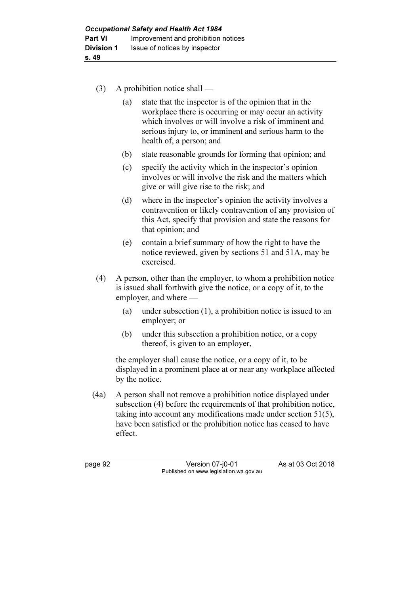- (3) A prohibition notice shall
	- (a) state that the inspector is of the opinion that in the workplace there is occurring or may occur an activity which involves or will involve a risk of imminent and serious injury to, or imminent and serious harm to the health of, a person; and
	- (b) state reasonable grounds for forming that opinion; and
	- (c) specify the activity which in the inspector's opinion involves or will involve the risk and the matters which give or will give rise to the risk; and
	- (d) where in the inspector's opinion the activity involves a contravention or likely contravention of any provision of this Act, specify that provision and state the reasons for that opinion; and
	- (e) contain a brief summary of how the right to have the notice reviewed, given by sections 51 and 51A, may be exercised.
- (4) A person, other than the employer, to whom a prohibition notice is issued shall forthwith give the notice, or a copy of it, to the employer, and where —
	- (a) under subsection (1), a prohibition notice is issued to an employer; or
	- (b) under this subsection a prohibition notice, or a copy thereof, is given to an employer,

 the employer shall cause the notice, or a copy of it, to be displayed in a prominent place at or near any workplace affected by the notice.

 (4a) A person shall not remove a prohibition notice displayed under subsection (4) before the requirements of that prohibition notice, taking into account any modifications made under section 51(5), have been satisfied or the prohibition notice has ceased to have effect.

page 92 Version 07-j0-01 As at 03 Oct 2018 Published on www.legislation.wa.gov.au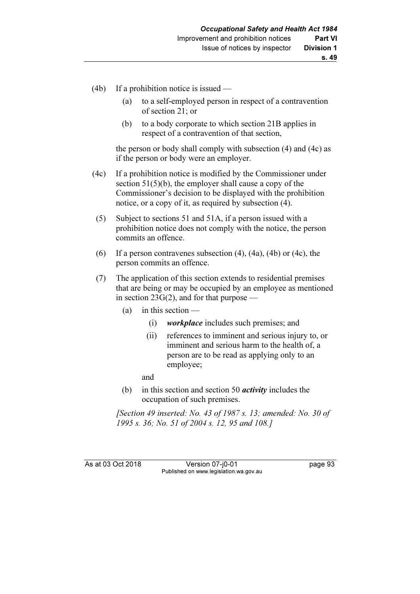- (4b) If a prohibition notice is issued
	- (a) to a self-employed person in respect of a contravention of section 21; or
	- (b) to a body corporate to which section 21B applies in respect of a contravention of that section,

 the person or body shall comply with subsection (4) and (4c) as if the person or body were an employer.

- (4c) If a prohibition notice is modified by the Commissioner under section 51(5)(b), the employer shall cause a copy of the Commissioner's decision to be displayed with the prohibition notice, or a copy of it, as required by subsection (4).
- (5) Subject to sections 51 and 51A, if a person issued with a prohibition notice does not comply with the notice, the person commits an offence.
- (6) If a person contravenes subsection  $(4)$ ,  $(4a)$ ,  $(4b)$  or  $(4c)$ , the person commits an offence.
- (7) The application of this section extends to residential premises that are being or may be occupied by an employee as mentioned in section  $23G(2)$ , and for that purpose —
	- (a) in this section  $-$ 
		- (i) workplace includes such premises; and
		- (ii) references to imminent and serious injury to, or imminent and serious harm to the health of, a person are to be read as applying only to an employee;

#### and

(b) in this section and section 50 *activity* includes the occupation of such premises.

[Section 49 inserted: No. 43 of 1987 s. 13; amended: No. 30 of 1995 s. 36; No. 51 of 2004 s. 12, 95 and 108.]

As at 03 Oct 2018 Version 07-j0-01 page 93 Published on www.legislation.wa.gov.au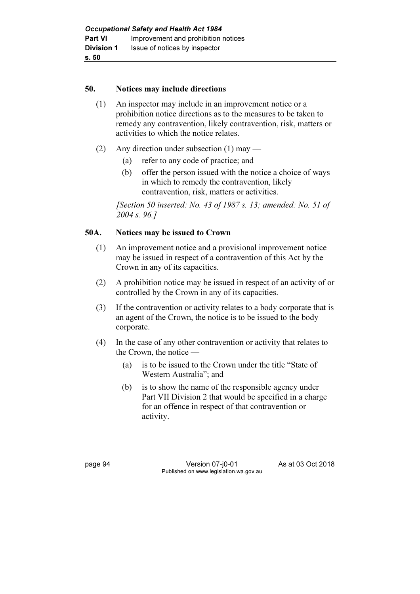#### 50. Notices may include directions

- (1) An inspector may include in an improvement notice or a prohibition notice directions as to the measures to be taken to remedy any contravention, likely contravention, risk, matters or activities to which the notice relates.
- (2) Any direction under subsection (1) may
	- (a) refer to any code of practice; and
	- (b) offer the person issued with the notice a choice of ways in which to remedy the contravention, likely contravention, risk, matters or activities.

[Section 50 inserted: No. 43 of 1987 s. 13; amended: No. 51 of 2004 s. 96.]

### 50A. Notices may be issued to Crown

- (1) An improvement notice and a provisional improvement notice may be issued in respect of a contravention of this Act by the Crown in any of its capacities.
- (2) A prohibition notice may be issued in respect of an activity of or controlled by the Crown in any of its capacities.
- (3) If the contravention or activity relates to a body corporate that is an agent of the Crown, the notice is to be issued to the body corporate.
- (4) In the case of any other contravention or activity that relates to the Crown, the notice —
	- (a) is to be issued to the Crown under the title "State of Western Australia"; and
	- (b) is to show the name of the responsible agency under Part VII Division 2 that would be specified in a charge for an offence in respect of that contravention or activity.

page 94 Version 07-j0-01 As at 03 Oct 2018 Published on www.legislation.wa.gov.au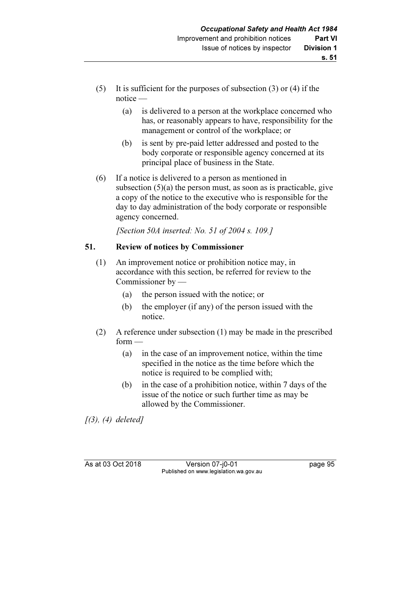- (5) It is sufficient for the purposes of subsection (3) or (4) if the notice —
	- (a) is delivered to a person at the workplace concerned who has, or reasonably appears to have, responsibility for the management or control of the workplace; or
	- (b) is sent by pre-paid letter addressed and posted to the body corporate or responsible agency concerned at its principal place of business in the State.
- (6) If a notice is delivered to a person as mentioned in subsection  $(5)(a)$  the person must, as soon as is practicable, give a copy of the notice to the executive who is responsible for the day to day administration of the body corporate or responsible agency concerned.

[Section 50A inserted: No. 51 of 2004 s. 109.]

# 51. Review of notices by Commissioner

- (1) An improvement notice or prohibition notice may, in accordance with this section, be referred for review to the Commissioner by —
	- (a) the person issued with the notice; or
	- (b) the employer (if any) of the person issued with the notice.
- (2) A reference under subsection (1) may be made in the prescribed  $form$  —
	- (a) in the case of an improvement notice, within the time specified in the notice as the time before which the notice is required to be complied with;
	- (b) in the case of a prohibition notice, within 7 days of the issue of the notice or such further time as may be allowed by the Commissioner.

 $[(3), (4)$  deleted]

As at 03 Oct 2018 Version 07-j0-01 page 95 Published on www.legislation.wa.gov.au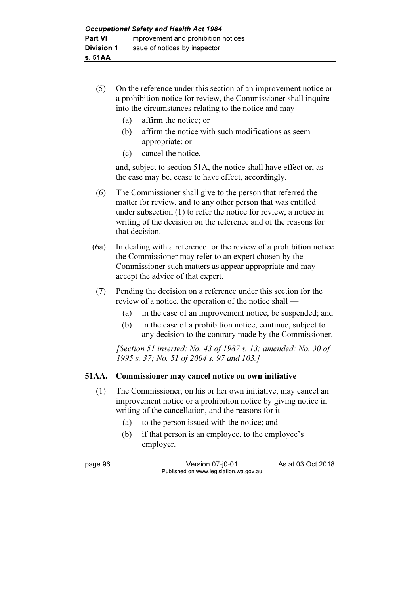- (5) On the reference under this section of an improvement notice or a prohibition notice for review, the Commissioner shall inquire into the circumstances relating to the notice and may —
	- (a) affirm the notice; or
	- (b) affirm the notice with such modifications as seem appropriate; or
	- (c) cancel the notice,

 and, subject to section 51A, the notice shall have effect or, as the case may be, cease to have effect, accordingly.

- (6) The Commissioner shall give to the person that referred the matter for review, and to any other person that was entitled under subsection (1) to refer the notice for review, a notice in writing of the decision on the reference and of the reasons for that decision.
- (6a) In dealing with a reference for the review of a prohibition notice the Commissioner may refer to an expert chosen by the Commissioner such matters as appear appropriate and may accept the advice of that expert.
- (7) Pending the decision on a reference under this section for the review of a notice, the operation of the notice shall —
	- (a) in the case of an improvement notice, be suspended; and
	- (b) in the case of a prohibition notice, continue, subject to any decision to the contrary made by the Commissioner.

[Section 51 inserted: No. 43 of 1987 s. 13; amended: No. 30 of 1995 s. 37; No. 51 of 2004 s. 97 and 103.]

# 51AA. Commissioner may cancel notice on own initiative

- (1) The Commissioner, on his or her own initiative, may cancel an improvement notice or a prohibition notice by giving notice in writing of the cancellation, and the reasons for it —
	- (a) to the person issued with the notice; and
	- (b) if that person is an employee, to the employee's employer.

page 96 Version 07-j0-01 As at 03 Oct 2018 Published on www.legislation.wa.gov.au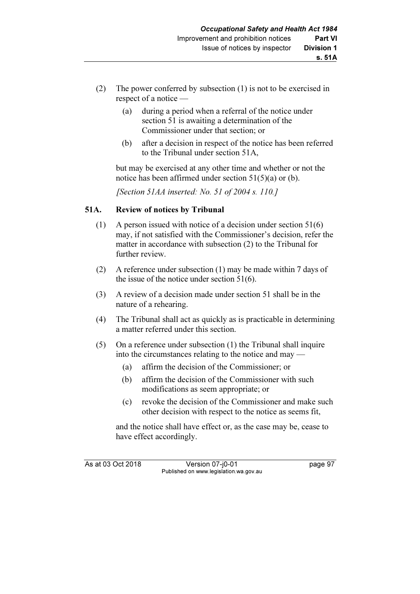- (2) The power conferred by subsection (1) is not to be exercised in respect of a notice —
	- (a) during a period when a referral of the notice under section 51 is awaiting a determination of the Commissioner under that section; or
	- (b) after a decision in respect of the notice has been referred to the Tribunal under section 51A,

 but may be exercised at any other time and whether or not the notice has been affirmed under section 51(5)(a) or (b).

[Section 51AA inserted: No. 51 of 2004 s. 110.]

# 51A. Review of notices by Tribunal

- (1) A person issued with notice of a decision under section 51(6) may, if not satisfied with the Commissioner's decision, refer the matter in accordance with subsection (2) to the Tribunal for further review.
- (2) A reference under subsection (1) may be made within 7 days of the issue of the notice under section 51(6).
- (3) A review of a decision made under section 51 shall be in the nature of a rehearing.
- (4) The Tribunal shall act as quickly as is practicable in determining a matter referred under this section.
- (5) On a reference under subsection (1) the Tribunal shall inquire into the circumstances relating to the notice and may —
	- (a) affirm the decision of the Commissioner; or
	- (b) affirm the decision of the Commissioner with such modifications as seem appropriate; or
	- (c) revoke the decision of the Commissioner and make such other decision with respect to the notice as seems fit,

 and the notice shall have effect or, as the case may be, cease to have effect accordingly.

As at 03 Oct 2018 Version 07-i0-01 page 97 Published on www.legislation.wa.gov.au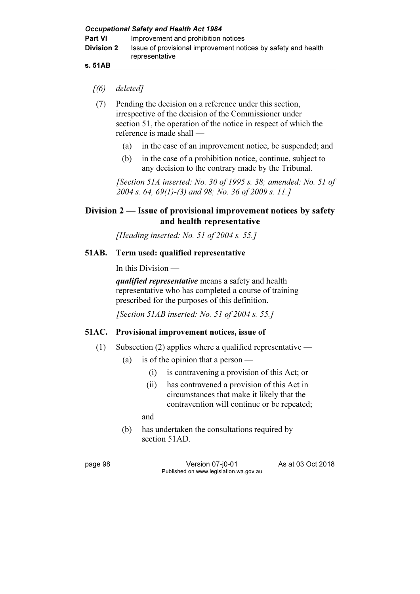s. 51AB

- $(6)$  deleted]
- (7) Pending the decision on a reference under this section, irrespective of the decision of the Commissioner under section 51, the operation of the notice in respect of which the reference is made shall —
	- (a) in the case of an improvement notice, be suspended; and
	- (b) in the case of a prohibition notice, continue, subject to any decision to the contrary made by the Tribunal.

[Section 51A inserted: No. 30 of 1995 s. 38; amended: No. 51 of 2004 s. 64, 69(1)-(3) and 98; No. 36 of 2009 s. 11.]

# Division  $2$  — Issue of provisional improvement notices by safety and health representative

[Heading inserted: No. 51 of 2004 s. 55.]

# 51AB. Term used: qualified representative

In this Division —

qualified representative means a safety and health representative who has completed a course of training prescribed for the purposes of this definition.

[Section 51AB inserted: No. 51 of 2004 s. 55.]

# 51AC. Provisional improvement notices, issue of

- (1) Subsection (2) applies where a qualified representative
	- (a) is of the opinion that a person
		- (i) is contravening a provision of this Act; or
		- (ii) has contravened a provision of this Act in circumstances that make it likely that the contravention will continue or be repeated;

and

 (b) has undertaken the consultations required by section 51AD.

page 98 Version 07-j0-01 As at 03 Oct 2018 Published on www.legislation.wa.gov.au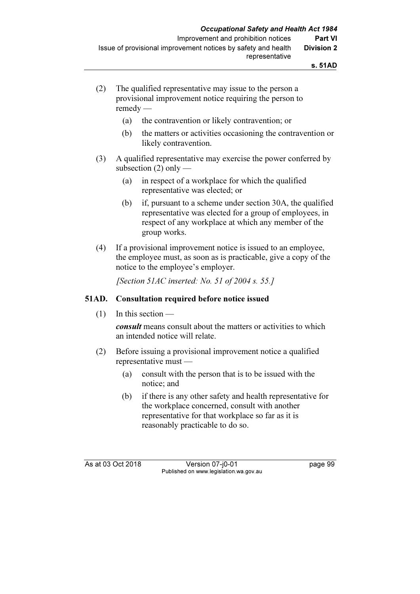- (2) The qualified representative may issue to the person a provisional improvement notice requiring the person to remedy —
	- (a) the contravention or likely contravention; or
	- (b) the matters or activities occasioning the contravention or likely contravention.
- (3) A qualified representative may exercise the power conferred by subsection  $(2)$  only —
	- (a) in respect of a workplace for which the qualified representative was elected; or
	- (b) if, pursuant to a scheme under section 30A, the qualified representative was elected for a group of employees, in respect of any workplace at which any member of the group works.
- (4) If a provisional improvement notice is issued to an employee, the employee must, as soon as is practicable, give a copy of the notice to the employee's employer.

[Section 51AC inserted: No. 51 of 2004 s. 55.]

#### 51AD. Consultation required before notice issued

 $(1)$  In this section —

consult means consult about the matters or activities to which an intended notice will relate.

- (2) Before issuing a provisional improvement notice a qualified representative must —
	- (a) consult with the person that is to be issued with the notice; and
	- (b) if there is any other safety and health representative for the workplace concerned, consult with another representative for that workplace so far as it is reasonably practicable to do so.

As at 03 Oct 2018 Version 07-j0-01 page 99 Published on www.legislation.wa.gov.au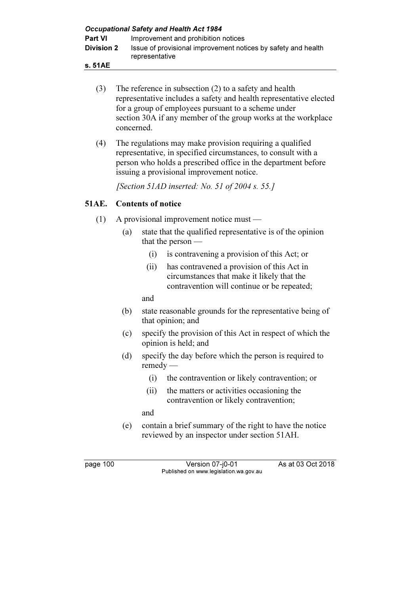| <b>Occupational Safety and Health Act 1984</b> |                                                                                 |  |
|------------------------------------------------|---------------------------------------------------------------------------------|--|
| <b>Part VI</b>                                 | Improvement and prohibition notices                                             |  |
| <b>Division 2</b>                              | Issue of provisional improvement notices by safety and health<br>representative |  |
| A EANE                                         |                                                                                 |  |

- s. 51AE
	- (3) The reference in subsection (2) to a safety and health representative includes a safety and health representative elected for a group of employees pursuant to a scheme under section 30A if any member of the group works at the workplace concerned.
	- (4) The regulations may make provision requiring a qualified representative, in specified circumstances, to consult with a person who holds a prescribed office in the department before issuing a provisional improvement notice.

[Section 51AD inserted: No. 51 of 2004 s. 55.]

# 51AE. Contents of notice

- (1) A provisional improvement notice must
	- (a) state that the qualified representative is of the opinion that the person —
		- (i) is contravening a provision of this Act; or
		- (ii) has contravened a provision of this Act in circumstances that make it likely that the contravention will continue or be repeated;

and

- (b) state reasonable grounds for the representative being of that opinion; and
- (c) specify the provision of this Act in respect of which the opinion is held; and
- (d) specify the day before which the person is required to remedy —
	- (i) the contravention or likely contravention; or
	- (ii) the matters or activities occasioning the contravention or likely contravention;

and

 (e) contain a brief summary of the right to have the notice reviewed by an inspector under section 51AH.

page 100 Version 07-j0-01 As at 03 Oct 2018 Published on www.legislation.wa.gov.au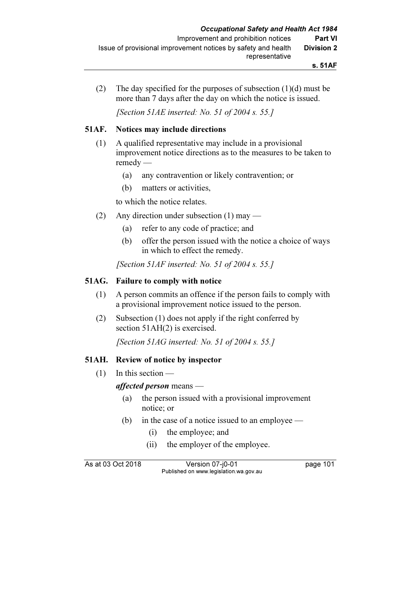(2) The day specified for the purposes of subsection  $(1)(d)$  must be more than 7 days after the day on which the notice is issued.

[Section 51AE inserted: No. 51 of 2004 s. 55.]

#### 51AF. Notices may include directions

- (1) A qualified representative may include in a provisional improvement notice directions as to the measures to be taken to remedy —
	- (a) any contravention or likely contravention; or
	- (b) matters or activities,

to which the notice relates.

- (2) Any direction under subsection (1) may
	- (a) refer to any code of practice; and
	- (b) offer the person issued with the notice a choice of ways in which to effect the remedy.

[Section 51AF inserted: No. 51 of 2004 s. 55.]

#### 51AG. Failure to comply with notice

- (1) A person commits an offence if the person fails to comply with a provisional improvement notice issued to the person.
- (2) Subsection (1) does not apply if the right conferred by section 51AH(2) is exercised.

[Section 51AG inserted: No. 51 of 2004 s. 55.]

#### 51AH. Review of notice by inspector

(1) In this section —

#### affected person means -

- (a) the person issued with a provisional improvement notice; or
- (b) in the case of a notice issued to an employee
	- (i) the employee; and
	- (ii) the employer of the employee.

As at 03 Oct 2018 Version 07-j0-01 page 101 Published on www.legislation.wa.gov.au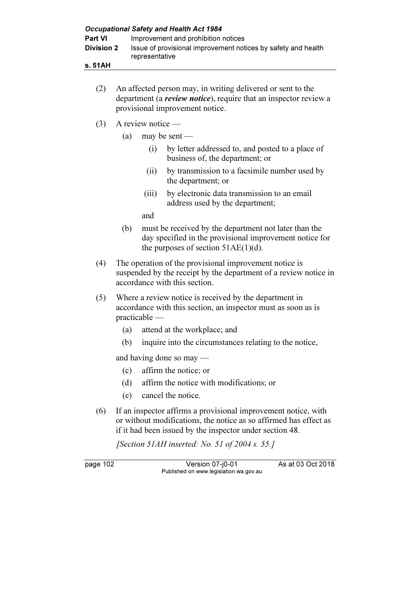s. 51AH

| An affected person may, in writing delivered or sent to the              |
|--------------------------------------------------------------------------|
| department (a <i>review notice</i> ), require that an inspector review a |
| provisional improvement notice.                                          |

- (3) A review notice
	- (a) may be sent
		- (i) by letter addressed to, and posted to a place of business of, the department; or
		- (ii) by transmission to a facsimile number used by the department; or
		- (iii) by electronic data transmission to an email address used by the department;

and

- (b) must be received by the department not later than the day specified in the provisional improvement notice for the purposes of section  $51AE(1)(d)$ .
- (4) The operation of the provisional improvement notice is suspended by the receipt by the department of a review notice in accordance with this section.
- (5) Where a review notice is received by the department in accordance with this section, an inspector must as soon as is practicable —
	- (a) attend at the workplace; and
	- (b) inquire into the circumstances relating to the notice,

and having done so may —

- (c) affirm the notice; or
- (d) affirm the notice with modifications; or
- (e) cancel the notice.
- (6) If an inspector affirms a provisional improvement notice, with or without modifications, the notice as so affirmed has effect as if it had been issued by the inspector under section 48.

[Section 51AH inserted: No. 51 of 2004 s. 55.]

page 102 Version 07-j0-01 As at 03 Oct 2018 Published on www.legislation.wa.gov.au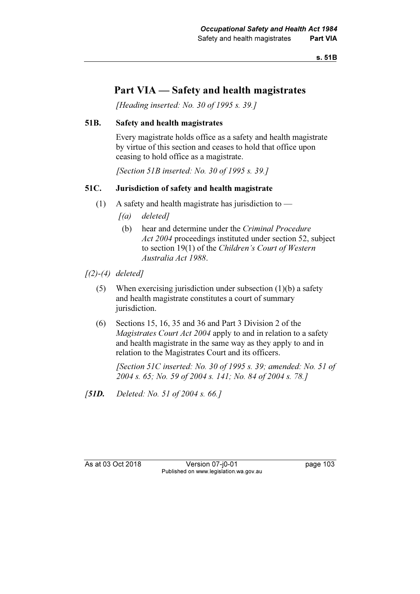s. 51B

# Part VIA — Safety and health magistrates

[Heading inserted: No. 30 of 1995 s. 39.]

#### 51B. Safety and health magistrates

 Every magistrate holds office as a safety and health magistrate by virtue of this section and ceases to hold that office upon ceasing to hold office as a magistrate.

[Section 51B inserted: No. 30 of 1995 s. 39.]

# 51C. Jurisdiction of safety and health magistrate

- (1) A safety and health magistrate has jurisdiction to
	- $[(a)$  deleted]
	- (b) hear and determine under the Criminal Procedure Act 2004 proceedings instituted under section 52, subject to section 19(1) of the Children's Court of Western Australia Act 1988.

 $(2)-(4)$  deleted]

- (5) When exercising jurisdiction under subsection (1)(b) a safety and health magistrate constitutes a court of summary jurisdiction.
- (6) Sections 15, 16, 35 and 36 and Part 3 Division 2 of the Magistrates Court Act 2004 apply to and in relation to a safety and health magistrate in the same way as they apply to and in relation to the Magistrates Court and its officers.

 [Section 51C inserted: No. 30 of 1995 s. 39; amended: No. 51 of 2004 s. 65; No. 59 of 2004 s. 141; No. 84 of 2004 s. 78.]

[51D. Deleted: No. 51 of 2004 s. 66.]

As at 03 Oct 2018 Version 07-j0-01 page 103 Published on www.legislation.wa.gov.au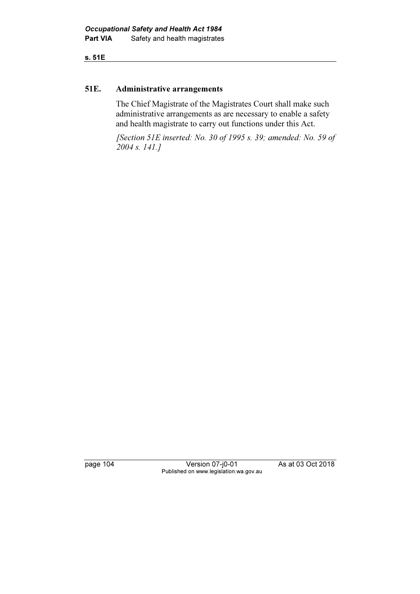#### s. 51E

#### 51E. Administrative arrangements

 The Chief Magistrate of the Magistrates Court shall make such administrative arrangements as are necessary to enable a safety and health magistrate to carry out functions under this Act.

 [Section 51E inserted: No. 30 of 1995 s. 39; amended: No. 59 of 2004 s. 141.]

page 104 Version 07-j0-01 As at 03 Oct 2018 Published on www.legislation.wa.gov.au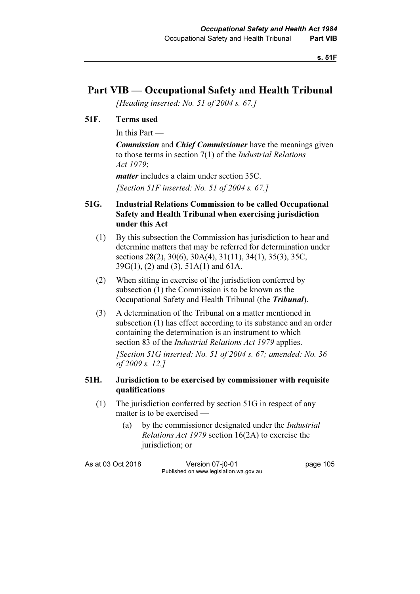s. 51F

# Part VIB — Occupational Safety and Health Tribunal

[Heading inserted: No. 51 of 2004 s. 67.]

# 51F. Terms used

In this Part —

**Commission and Chief Commissioner** have the meanings given to those terms in section 7(1) of the Industrial Relations Act 1979;

matter includes a claim under section 35C.

[Section 51F inserted: No. 51 of 2004 s. 67.]

# 51G. Industrial Relations Commission to be called Occupational Safety and Health Tribunal when exercising jurisdiction under this Act

- (1) By this subsection the Commission has jurisdiction to hear and determine matters that may be referred for determination under sections 28(2), 30(6), 30A(4), 31(11), 34(1), 35(3), 35C, 39G(1), (2) and (3), 51A(1) and 61A.
- (2) When sitting in exercise of the jurisdiction conferred by subsection (1) the Commission is to be known as the Occupational Safety and Health Tribunal (the Tribunal).
- (3) A determination of the Tribunal on a matter mentioned in subsection (1) has effect according to its substance and an order containing the determination is an instrument to which section 83 of the *Industrial Relations Act 1979* applies.

[Section 51G inserted: No. 51 of 2004 s. 67; amended: No. 36] of 2009 s. 12.]

## 51H. Jurisdiction to be exercised by commissioner with requisite qualifications

- (1) The jurisdiction conferred by section 51G in respect of any matter is to be exercised —
	- (a) by the commissioner designated under the Industrial Relations Act 1979 section 16(2A) to exercise the jurisdiction; or

As at 03 Oct 2018 Version 07-j0-01 page 105 Published on www.legislation.wa.gov.au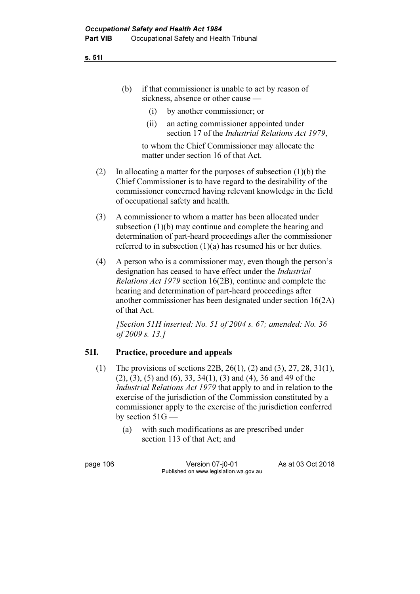s. 51I

- (b) if that commissioner is unable to act by reason of sickness, absence or other cause —
	- (i) by another commissioner; or
	- (ii) an acting commissioner appointed under section 17 of the Industrial Relations Act 1979,

 to whom the Chief Commissioner may allocate the matter under section 16 of that Act.

- (2) In allocating a matter for the purposes of subsection (1)(b) the Chief Commissioner is to have regard to the desirability of the commissioner concerned having relevant knowledge in the field of occupational safety and health.
- (3) A commissioner to whom a matter has been allocated under subsection (1)(b) may continue and complete the hearing and determination of part-heard proceedings after the commissioner referred to in subsection (1)(a) has resumed his or her duties.
- (4) A person who is a commissioner may, even though the person's designation has ceased to have effect under the Industrial Relations Act 1979 section 16(2B), continue and complete the hearing and determination of part-heard proceedings after another commissioner has been designated under section 16(2A) of that Act.

[Section 51H inserted: No. 51 of 2004 s. 67; amended: No. 36 of 2009 s. 13.]

# 51I. Practice, procedure and appeals

- (1) The provisions of sections 22B, 26(1), (2) and (3), 27, 28, 31(1), (2), (3), (5) and (6), 33, 34(1), (3) and (4), 36 and 49 of the Industrial Relations Act 1979 that apply to and in relation to the exercise of the jurisdiction of the Commission constituted by a commissioner apply to the exercise of the jurisdiction conferred by section 51G —
	- (a) with such modifications as are prescribed under section 113 of that Act; and

page 106 Version 07-j0-01 As at 03 Oct 2018 Published on www.legislation.wa.gov.au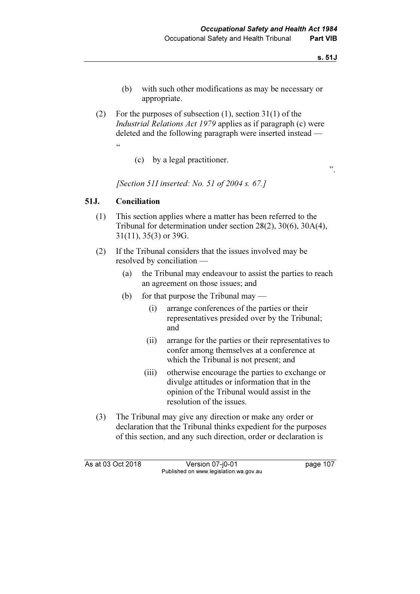- (b) with such other modifications as may be necessary or appropriate.
- (2) For the purposes of subsection (1), section 31(1) of the Industrial Relations Act 1979 applies as if paragraph (c) were deleted and the following paragraph were inserted instead —
- "
- (c) by a legal practitioner.

".

[Section 51I inserted: No. 51 of 2004 s. 67.]

## 51J. Conciliation

- (1) This section applies where a matter has been referred to the Tribunal for determination under section 28(2), 30(6), 30A(4), 31(11), 35(3) or 39G.
- (2) If the Tribunal considers that the issues involved may be resolved by conciliation —
	- (a) the Tribunal may endeavour to assist the parties to reach an agreement on those issues; and
	- (b) for that purpose the Tribunal may
		- (i) arrange conferences of the parties or their representatives presided over by the Tribunal; and
		- (ii) arrange for the parties or their representatives to confer among themselves at a conference at which the Tribunal is not present; and
		- (iii) otherwise encourage the parties to exchange or divulge attitudes or information that in the opinion of the Tribunal would assist in the resolution of the issues.
- (3) The Tribunal may give any direction or make any order or declaration that the Tribunal thinks expedient for the purposes of this section, and any such direction, order or declaration is

As at 03 Oct 2018 Version 07-j0-01 page 107 Published on www.legislation.wa.gov.au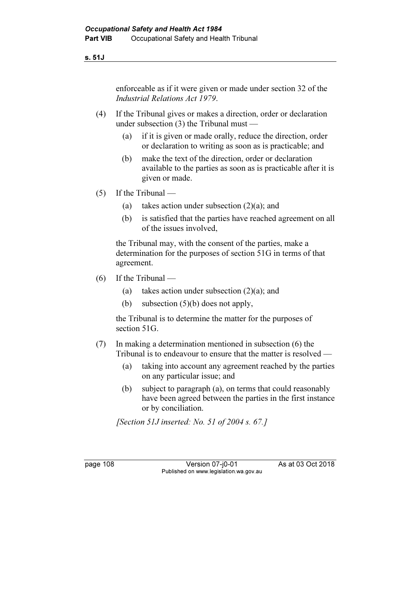#### s. 51J

enforceable as if it were given or made under section 32 of the Industrial Relations Act 1979.

- (4) If the Tribunal gives or makes a direction, order or declaration under subsection (3) the Tribunal must —
	- (a) if it is given or made orally, reduce the direction, order or declaration to writing as soon as is practicable; and
	- (b) make the text of the direction, order or declaration available to the parties as soon as is practicable after it is given or made.
- (5) If the Tribunal
	- (a) takes action under subsection (2)(a); and
	- (b) is satisfied that the parties have reached agreement on all of the issues involved,

 the Tribunal may, with the consent of the parties, make a determination for the purposes of section 51G in terms of that agreement.

- (6) If the Tribunal
	- (a) takes action under subsection (2)(a); and
	- (b) subsection (5)(b) does not apply,

 the Tribunal is to determine the matter for the purposes of section 51G.

- (7) In making a determination mentioned in subsection (6) the Tribunal is to endeavour to ensure that the matter is resolved —
	- (a) taking into account any agreement reached by the parties on any particular issue; and
	- (b) subject to paragraph (a), on terms that could reasonably have been agreed between the parties in the first instance or by conciliation.

[Section 51J inserted: No. 51 of 2004 s.  $67.$ ]

page 108 Version 07-j0-01 As at 03 Oct 2018 Published on www.legislation.wa.gov.au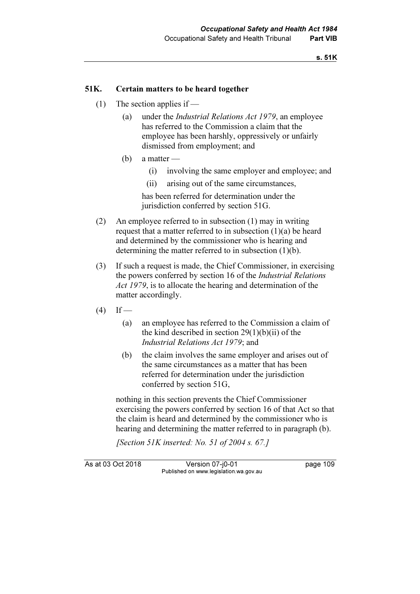#### 51K. Certain matters to be heard together

- (1) The section applies if
	- (a) under the Industrial Relations Act 1979, an employee has referred to the Commission a claim that the employee has been harshly, oppressively or unfairly dismissed from employment; and
	- (b) a matter
		- (i) involving the same employer and employee; and
		- (ii) arising out of the same circumstances,

 has been referred for determination under the jurisdiction conferred by section 51G.

- (2) An employee referred to in subsection (1) may in writing request that a matter referred to in subsection (1)(a) be heard and determined by the commissioner who is hearing and determining the matter referred to in subsection (1)(b).
- (3) If such a request is made, the Chief Commissioner, in exercising the powers conferred by section 16 of the Industrial Relations Act 1979, is to allocate the hearing and determination of the matter accordingly.
- $(4)$  If
	- (a) an employee has referred to the Commission a claim of the kind described in section  $29(1)(b)(ii)$  of the Industrial Relations Act 1979; and
	- (b) the claim involves the same employer and arises out of the same circumstances as a matter that has been referred for determination under the jurisdiction conferred by section 51G,

 nothing in this section prevents the Chief Commissioner exercising the powers conferred by section 16 of that Act so that the claim is heard and determined by the commissioner who is hearing and determining the matter referred to in paragraph (b).

[Section 51K inserted: No. 51 of 2004 s. 67.]

As at 03 Oct 2018 Version 07-j0-01 page 109 Published on www.legislation.wa.gov.au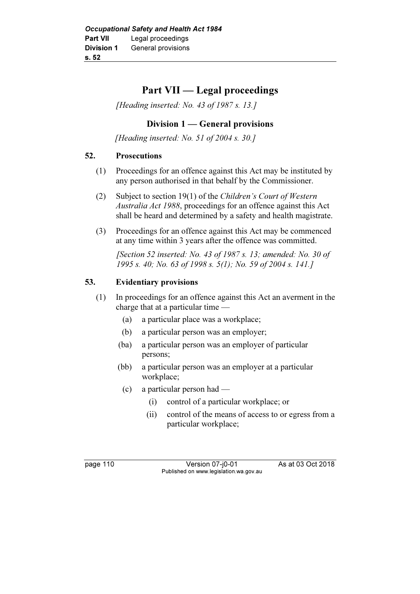# Part VII — Legal proceedings

[Heading inserted: No. 43 of 1987 s. 13.]

# Division 1 — General provisions

[Heading inserted: No. 51 of 2004 s. 30.]

## 52. Prosecutions

- (1) Proceedings for an offence against this Act may be instituted by any person authorised in that behalf by the Commissioner.
- (2) Subject to section 19(1) of the Children's Court of Western Australia Act 1988, proceedings for an offence against this Act shall be heard and determined by a safety and health magistrate.
- (3) Proceedings for an offence against this Act may be commenced at any time within 3 years after the offence was committed.

[Section 52 inserted: No. 43 of 1987 s. 13; amended: No. 30 of 1995 s. 40; No. 63 of 1998 s. 5(1); No. 59 of 2004 s. 141.]

## 53. Evidentiary provisions

- (1) In proceedings for an offence against this Act an averment in the charge that at a particular time —
	- (a) a particular place was a workplace;
	- (b) a particular person was an employer;
	- (ba) a particular person was an employer of particular persons;
	- (bb) a particular person was an employer at a particular workplace;
		- (c) a particular person had
			- (i) control of a particular workplace; or
			- (ii) control of the means of access to or egress from a particular workplace;

page 110 Version 07-j0-01 As at 03 Oct 2018 Published on www.legislation.wa.gov.au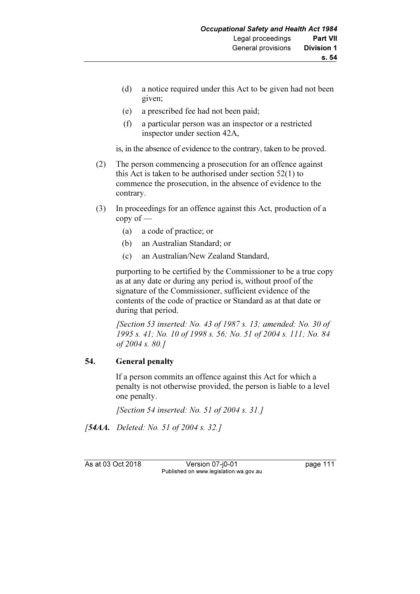- (d) a notice required under this Act to be given had not been given;
- (e) a prescribed fee had not been paid;
- (f) a particular person was an inspector or a restricted inspector under section 42A,

is, in the absence of evidence to the contrary, taken to be proved.

- (2) The person commencing a prosecution for an offence against this Act is taken to be authorised under section 52(1) to commence the prosecution, in the absence of evidence to the contrary.
- (3) In proceedings for an offence against this Act, production of a copy of —
	- (a) a code of practice; or
	- (b) an Australian Standard; or
	- (c) an Australian/New Zealand Standard,

 purporting to be certified by the Commissioner to be a true copy as at any date or during any period is, without proof of the signature of the Commissioner, sufficient evidence of the contents of the code of practice or Standard as at that date or during that period.

[Section 53 inserted: No. 43 of 1987 s. 13; amended: No. 30 of 1995 s. 41; No. 10 of 1998 s. 56; No. 51 of 2004 s. 111; No. 84 of 2004 s. 80.]

# 54. General penalty

 If a person commits an offence against this Act for which a penalty is not otherwise provided, the person is liable to a level one penalty.

[Section 54 inserted: No. 51 of 2004 s. 31.]

[**54AA.** Deleted: No. 51 of 2004 s. 32.]

As at 03 Oct 2018 Version 07-j0-01 page 111 Published on www.legislation.wa.gov.au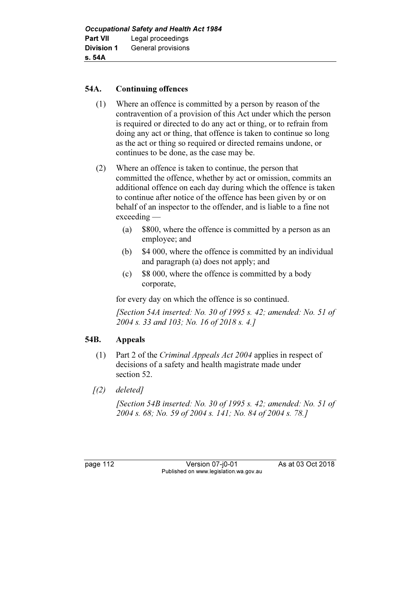## 54A. Continuing offences

- (1) Where an offence is committed by a person by reason of the contravention of a provision of this Act under which the person is required or directed to do any act or thing, or to refrain from doing any act or thing, that offence is taken to continue so long as the act or thing so required or directed remains undone, or continues to be done, as the case may be.
- (2) Where an offence is taken to continue, the person that committed the offence, whether by act or omission, commits an additional offence on each day during which the offence is taken to continue after notice of the offence has been given by or on behalf of an inspector to the offender, and is liable to a fine not exceeding —
	- (a) \$800, where the offence is committed by a person as an employee; and
	- (b) \$4 000, where the offence is committed by an individual and paragraph (a) does not apply; and
	- (c) \$8 000, where the offence is committed by a body corporate,

for every day on which the offence is so continued.

 [Section 54A inserted: No. 30 of 1995 s. 42; amended: No. 51 of 2004 s. 33 and 103; No. 16 of 2018 s. 4.]

# 54B. Appeals

- (1) Part 2 of the Criminal Appeals Act 2004 applies in respect of decisions of a safety and health magistrate made under section 52.
- $(1)$  deletedl

[Section 54B inserted: No. 30 of 1995 s. 42; amended: No. 51 of 2004 s. 68; No. 59 of 2004 s. 141; No. 84 of 2004 s. 78.]

page 112 Version 07-j0-01 As at 03 Oct 2018 Published on www.legislation.wa.gov.au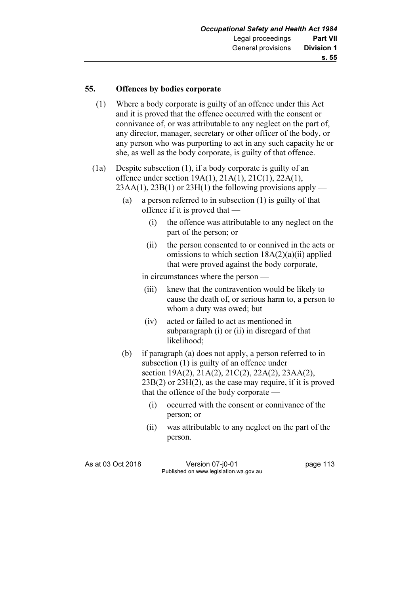#### 55. Offences by bodies corporate

- (1) Where a body corporate is guilty of an offence under this Act and it is proved that the offence occurred with the consent or connivance of, or was attributable to any neglect on the part of, any director, manager, secretary or other officer of the body, or any person who was purporting to act in any such capacity he or she, as well as the body corporate, is guilty of that offence.
- (1a) Despite subsection (1), if a body corporate is guilty of an offence under section 19A(1), 21A(1), 21C(1), 22A(1),  $23AA(1)$ ,  $23B(1)$  or  $23H(1)$  the following provisions apply —
	- (a) a person referred to in subsection (1) is guilty of that offence if it is proved that —
		- (i) the offence was attributable to any neglect on the part of the person; or
		- (ii) the person consented to or connived in the acts or omissions to which section  $18A(2)(a)(ii)$  applied that were proved against the body corporate,

in circumstances where the person —

- (iii) knew that the contravention would be likely to cause the death of, or serious harm to, a person to whom a duty was owed; but
- (iv) acted or failed to act as mentioned in subparagraph (i) or (ii) in disregard of that likelihood;
- (b) if paragraph (a) does not apply, a person referred to in subsection (1) is guilty of an offence under section 19A(2), 21A(2), 21C(2), 22A(2), 23AA(2), 23B(2) or 23H(2), as the case may require, if it is proved that the offence of the body corporate —
	- (i) occurred with the consent or connivance of the person; or
	- (ii) was attributable to any neglect on the part of the person.

As at 03 Oct 2018 Version 07-j0-01 page 113 Published on www.legislation.wa.gov.au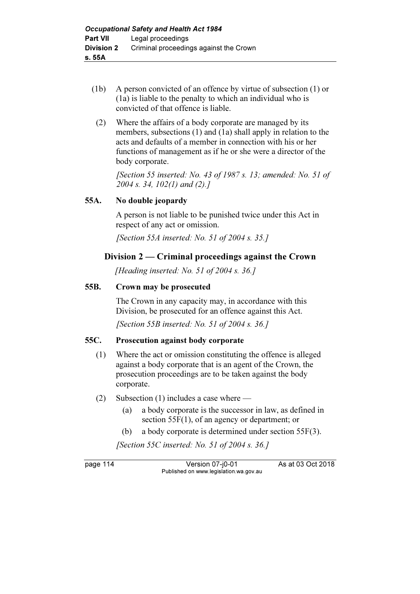- (1b) A person convicted of an offence by virtue of subsection (1) or (1a) is liable to the penalty to which an individual who is convicted of that offence is liable.
	- (2) Where the affairs of a body corporate are managed by its members, subsections (1) and (1a) shall apply in relation to the acts and defaults of a member in connection with his or her functions of management as if he or she were a director of the body corporate.

[Section 55 inserted: No. 43 of 1987 s. 13; amended: No. 51 of 2004 s. 34, 102(1) and (2).]

## 55A. No double jeopardy

 A person is not liable to be punished twice under this Act in respect of any act or omission.

[Section 55A inserted: No. 51 of 2004 s. 35.]

# Division 2 — Criminal proceedings against the Crown

[Heading inserted: No. 51 of 2004 s. 36.]

## 55B. Crown may be prosecuted

 The Crown in any capacity may, in accordance with this Division, be prosecuted for an offence against this Act.

[Section 55B inserted: No. 51 of 2004 s. 36.]

#### 55C. Prosecution against body corporate

- (1) Where the act or omission constituting the offence is alleged against a body corporate that is an agent of the Crown, the prosecution proceedings are to be taken against the body corporate.
- (2) Subsection (1) includes a case where
	- (a) a body corporate is the successor in law, as defined in section 55F(1), of an agency or department; or
	- (b) a body corporate is determined under section 55F(3).

[Section 55C inserted: No. 51 of 2004 s. 36.]

page 114 Version 07-j0-01 As at 03 Oct 2018 Published on www.legislation.wa.gov.au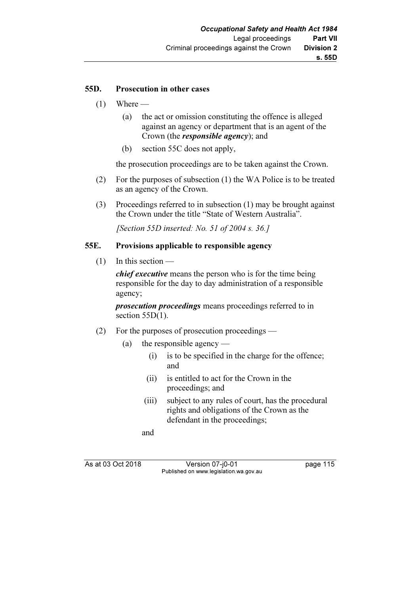#### 55D. Prosecution in other cases

- $(1)$  Where
	- (a) the act or omission constituting the offence is alleged against an agency or department that is an agent of the Crown (the responsible agency); and
	- (b) section 55C does not apply,

the prosecution proceedings are to be taken against the Crown.

- (2) For the purposes of subsection (1) the WA Police is to be treated as an agency of the Crown.
- (3) Proceedings referred to in subsection (1) may be brought against the Crown under the title "State of Western Australia".

[Section 55D inserted: No. 51 of 2004 s. 36.]

## 55E. Provisions applicable to responsible agency

(1) In this section —

chief executive means the person who is for the time being responsible for the day to day administration of a responsible agency;

prosecution proceedings means proceedings referred to in section  $55D(1)$ .

- (2) For the purposes of prosecution proceedings
	- (a) the responsible agency
		- (i) is to be specified in the charge for the offence; and
		- (ii) is entitled to act for the Crown in the proceedings; and
		- (iii) subject to any rules of court, has the procedural rights and obligations of the Crown as the defendant in the proceedings;

and

As at 03 Oct 2018 Version 07-j0-01 page 115 Published on www.legislation.wa.gov.au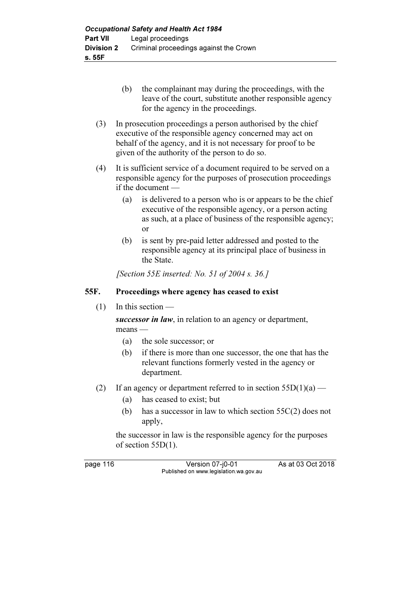- (b) the complainant may during the proceedings, with the leave of the court, substitute another responsible agency for the agency in the proceedings.
- (3) In prosecution proceedings a person authorised by the chief executive of the responsible agency concerned may act on behalf of the agency, and it is not necessary for proof to be given of the authority of the person to do so.
- (4) It is sufficient service of a document required to be served on a responsible agency for the purposes of prosecution proceedings if the document —
	- (a) is delivered to a person who is or appears to be the chief executive of the responsible agency, or a person acting as such, at a place of business of the responsible agency; or
	- (b) is sent by pre-paid letter addressed and posted to the responsible agency at its principal place of business in the State.

[Section 55E inserted: No. 51 of 2004 s. 36.]

#### 55F. Proceedings where agency has ceased to exist

(1) In this section —

successor in law, in relation to an agency or department, means —

- (a) the sole successor; or
- (b) if there is more than one successor, the one that has the relevant functions formerly vested in the agency or department.
- (2) If an agency or department referred to in section  $55D(1)(a)$ 
	- (a) has ceased to exist; but
	- (b) has a successor in law to which section 55C(2) does not apply,

 the successor in law is the responsible agency for the purposes of section 55D(1).

page 116 Version 07-j0-01 As at 03 Oct 2018 Published on www.legislation.wa.gov.au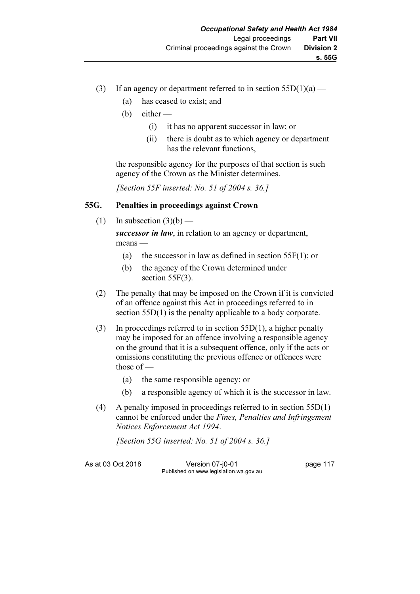- (3) If an agency or department referred to in section  $55D(1)(a)$ 
	- (a) has ceased to exist; and
	- $(b)$  either
		- (i) it has no apparent successor in law; or
		- (ii) there is doubt as to which agency or department has the relevant functions,

 the responsible agency for the purposes of that section is such agency of the Crown as the Minister determines.

[Section 55F inserted: No. 51 of 2004 s. 36.]

#### 55G. Penalties in proceedings against Crown

(1) In subsection  $(3)(b)$  —

successor in law, in relation to an agency or department, means —

- (a) the successor in law as defined in section 55F(1); or
- (b) the agency of the Crown determined under section 55F(3).
- (2) The penalty that may be imposed on the Crown if it is convicted of an offence against this Act in proceedings referred to in section 55D(1) is the penalty applicable to a body corporate.
- (3) In proceedings referred to in section 55D(1), a higher penalty may be imposed for an offence involving a responsible agency on the ground that it is a subsequent offence, only if the acts or omissions constituting the previous offence or offences were those of —
	- (a) the same responsible agency; or
	- (b) a responsible agency of which it is the successor in law.
- (4) A penalty imposed in proceedings referred to in section 55D(1) cannot be enforced under the Fines, Penalties and Infringement Notices Enforcement Act 1994.

[Section 55G inserted: No. 51 of 2004 s. 36.]

As at 03 Oct 2018 Version 07-j0-01 page 117 Published on www.legislation.wa.gov.au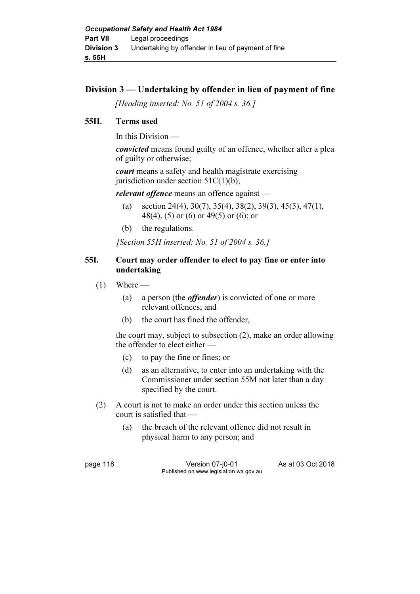# Division 3 — Undertaking by offender in lieu of payment of fine

[Heading inserted: No. 51 of 2004 s. 36.]

# 55H. Terms used

In this Division —

convicted means found guilty of an offence, whether after a plea of guilty or otherwise;

court means a safety and health magistrate exercising jurisdiction under section  $51C(1)(b)$ ;

relevant offence means an offence against —

- (a) section 24(4), 30(7), 35(4), 38(2), 39(3), 45(5), 47(1), 48(4), (5) or (6) or 49(5) or (6); or
- (b) the regulations.

[Section 55H inserted: No. 51 of 2004 s. 36.]

#### 55I. Court may order offender to elect to pay fine or enter into undertaking

- $(1)$  Where
	- (a) a person (the offender) is convicted of one or more relevant offences; and
	- (b) the court has fined the offender,

 the court may, subject to subsection (2), make an order allowing the offender to elect either —

- (c) to pay the fine or fines; or
- (d) as an alternative, to enter into an undertaking with the Commissioner under section 55M not later than a day specified by the court.
- (2) A court is not to make an order under this section unless the court is satisfied that —
	- (a) the breach of the relevant offence did not result in physical harm to any person; and

page 118 Version 07-j0-01 As at 03 Oct 2018 Published on www.legislation.wa.gov.au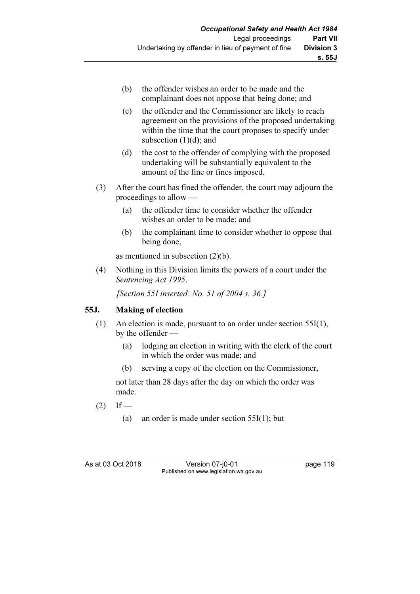- (b) the offender wishes an order to be made and the complainant does not oppose that being done; and
- (c) the offender and the Commissioner are likely to reach agreement on the provisions of the proposed undertaking within the time that the court proposes to specify under subsection  $(1)(d)$ ; and
- (d) the cost to the offender of complying with the proposed undertaking will be substantially equivalent to the amount of the fine or fines imposed.
- (3) After the court has fined the offender, the court may adjourn the proceedings to allow —
	- (a) the offender time to consider whether the offender wishes an order to be made; and
	- (b) the complainant time to consider whether to oppose that being done,

as mentioned in subsection (2)(b).

 (4) Nothing in this Division limits the powers of a court under the Sentencing Act 1995.

[Section 55I inserted: No. 51 of 2004 s. 36.]

# 55J. Making of election

- (1) An election is made, pursuant to an order under section 55I(1), by the offender —
	- (a) lodging an election in writing with the clerk of the court in which the order was made; and
	- (b) serving a copy of the election on the Commissioner,

 not later than 28 days after the day on which the order was made.

- $(2)$  If
	- (a) an order is made under section 55I(1); but

As at 03 Oct 2018 Version 07-j0-01 page 119 Published on www.legislation.wa.gov.au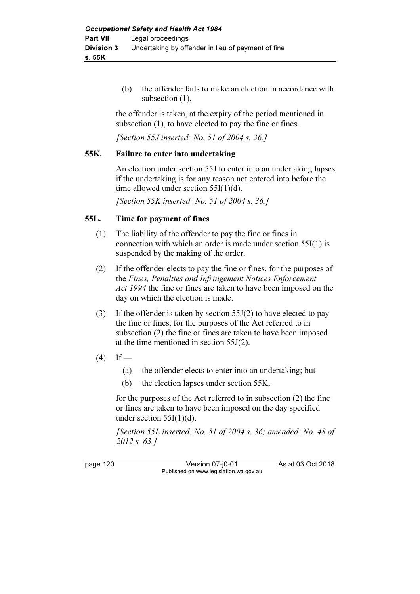(b) the offender fails to make an election in accordance with subsection (1),

 the offender is taken, at the expiry of the period mentioned in subsection (1), to have elected to pay the fine or fines.

[Section 55J inserted: No. 51 of 2004 s. 36.]

# 55K. Failure to enter into undertaking

 An election under section 55J to enter into an undertaking lapses if the undertaking is for any reason not entered into before the time allowed under section  $55I(1)(d)$ .

[Section 55K inserted: No. 51 of 2004 s. 36.]

## 55L. Time for payment of fines

- (1) The liability of the offender to pay the fine or fines in connection with which an order is made under section 55I(1) is suspended by the making of the order.
- (2) If the offender elects to pay the fine or fines, for the purposes of the Fines, Penalties and Infringement Notices Enforcement Act 1994 the fine or fines are taken to have been imposed on the day on which the election is made.
- (3) If the offender is taken by section  $55J(2)$  to have elected to pay the fine or fines, for the purposes of the Act referred to in subsection (2) the fine or fines are taken to have been imposed at the time mentioned in section 55J(2).
- $(4)$  If
	- (a) the offender elects to enter into an undertaking; but
	- (b) the election lapses under section 55K,

 for the purposes of the Act referred to in subsection (2) the fine or fines are taken to have been imposed on the day specified under section 55I(1)(d).

[Section 55L inserted: No. 51 of 2004 s. 36; amended: No. 48 of 2012 s. 63.]

page 120 **Version 07-j0-01** As at 03 Oct 2018 Published on www.legislation.wa.gov.au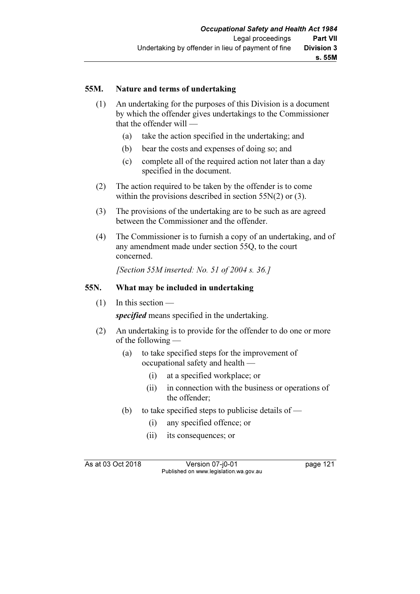#### 55M. Nature and terms of undertaking

- (1) An undertaking for the purposes of this Division is a document by which the offender gives undertakings to the Commissioner that the offender will —
	- (a) take the action specified in the undertaking; and
	- (b) bear the costs and expenses of doing so; and
	- (c) complete all of the required action not later than a day specified in the document.
- (2) The action required to be taken by the offender is to come within the provisions described in section 55N(2) or (3).
- (3) The provisions of the undertaking are to be such as are agreed between the Commissioner and the offender.
- (4) The Commissioner is to furnish a copy of an undertaking, and of any amendment made under section 55Q, to the court concerned.

[Section 55M inserted: No. 51 of 2004 s. 36.]

## 55N. What may be included in undertaking

(1) In this section —

specified means specified in the undertaking.

- (2) An undertaking is to provide for the offender to do one or more of the following —
	- (a) to take specified steps for the improvement of occupational safety and health —
		- (i) at a specified workplace; or
		- (ii) in connection with the business or operations of the offender;
	- (b) to take specified steps to publicise details of  $-$ 
		- (i) any specified offence; or
		- (ii) its consequences; or

As at 03 Oct 2018 Version 07-j0-01 page 121 Published on www.legislation.wa.gov.au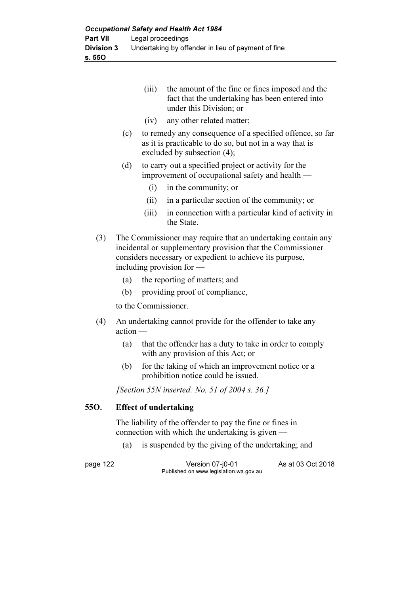| (iii) the amount of the fine or fines imposed and the |
|-------------------------------------------------------|
| fact that the undertaking has been entered into       |
| under this Division; or                               |

- (iv) any other related matter;
- (c) to remedy any consequence of a specified offence, so far as it is practicable to do so, but not in a way that is excluded by subsection (4);
- (d) to carry out a specified project or activity for the improvement of occupational safety and health —
	- (i) in the community; or
	- (ii) in a particular section of the community; or
	- (iii) in connection with a particular kind of activity in the State.
- (3) The Commissioner may require that an undertaking contain any incidental or supplementary provision that the Commissioner considers necessary or expedient to achieve its purpose, including provision for —
	- (a) the reporting of matters; and
	- (b) providing proof of compliance,

to the Commissioner.

- (4) An undertaking cannot provide for the offender to take any action —
	- (a) that the offender has a duty to take in order to comply with any provision of this Act; or
	- (b) for the taking of which an improvement notice or a prohibition notice could be issued.

[Section 55N inserted: No. 51 of 2004 s. 36.]

# 55O. Effect of undertaking

 The liability of the offender to pay the fine or fines in connection with which the undertaking is given —

(a) is suspended by the giving of the undertaking; and

page 122 Version 07-j0-01 As at 03 Oct 2018 Published on www.legislation.wa.gov.au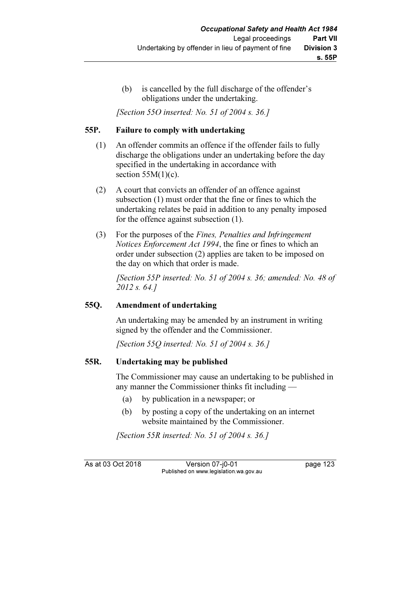(b) is cancelled by the full discharge of the offender's obligations under the undertaking.

[Section 55O inserted: No. 51 of 2004 s. 36.]

# 55P. Failure to comply with undertaking

- (1) An offender commits an offence if the offender fails to fully discharge the obligations under an undertaking before the day specified in the undertaking in accordance with section  $55M(1)(c)$ .
- (2) A court that convicts an offender of an offence against subsection (1) must order that the fine or fines to which the undertaking relates be paid in addition to any penalty imposed for the offence against subsection (1).
- (3) For the purposes of the Fines, Penalties and Infringement Notices Enforcement Act 1994, the fine or fines to which an order under subsection (2) applies are taken to be imposed on the day on which that order is made.

 [Section 55P inserted: No. 51 of 2004 s. 36; amended: No. 48 of 2012 s. 64.]

# 55Q. Amendment of undertaking

 An undertaking may be amended by an instrument in writing signed by the offender and the Commissioner.

[Section 55*O* inserted: No. 51 of 2004 s. 36.]

# 55R. Undertaking may be published

 The Commissioner may cause an undertaking to be published in any manner the Commissioner thinks fit including —

- (a) by publication in a newspaper; or
- (b) by posting a copy of the undertaking on an internet website maintained by the Commissioner.

[Section 55R inserted: No. 51 of 2004 s. 36.]

As at 03 Oct 2018 Version 07-j0-01 page 123 Published on www.legislation.wa.gov.au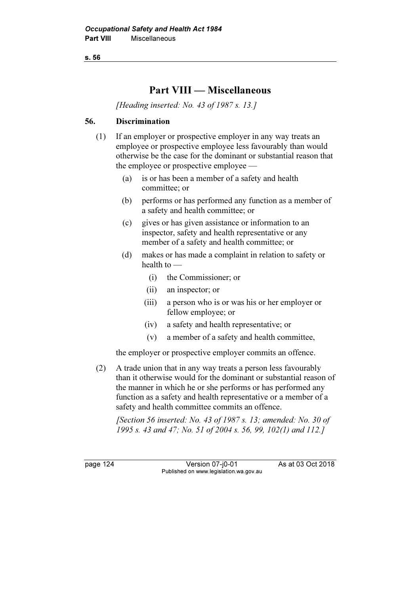s. 56

# Part VIII — Miscellaneous

[Heading inserted: No. 43 of 1987 s. 13.]

# 56. Discrimination

- (1) If an employer or prospective employer in any way treats an employee or prospective employee less favourably than would otherwise be the case for the dominant or substantial reason that the employee or prospective employee —
	- (a) is or has been a member of a safety and health committee; or
	- (b) performs or has performed any function as a member of a safety and health committee; or
	- (c) gives or has given assistance or information to an inspector, safety and health representative or any member of a safety and health committee; or
	- (d) makes or has made a complaint in relation to safety or health to —
		- (i) the Commissioner; or
		- (ii) an inspector; or
		- (iii) a person who is or was his or her employer or fellow employee; or
		- (iv) a safety and health representative; or
		- (v) a member of a safety and health committee,

the employer or prospective employer commits an offence.

 (2) A trade union that in any way treats a person less favourably than it otherwise would for the dominant or substantial reason of the manner in which he or she performs or has performed any function as a safety and health representative or a member of a safety and health committee commits an offence.

[Section 56 inserted: No. 43 of 1987 s. 13; amended: No. 30 of 1995 s. 43 and 47; No. 51 of 2004 s. 56, 99, 102(1) and 112.]

page 124 Version 07-j0-01 As at 03 Oct 2018 Published on www.legislation.wa.gov.au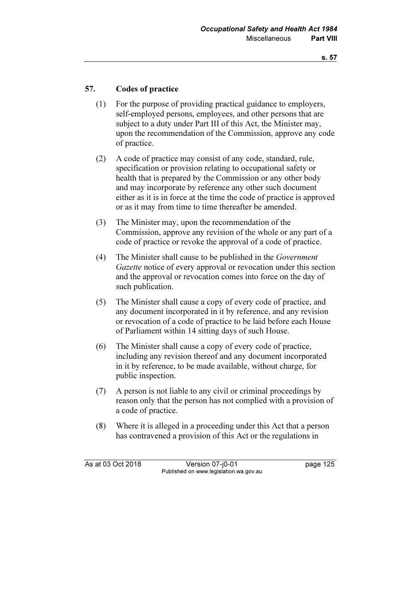# 57. Codes of practice

- (1) For the purpose of providing practical guidance to employers, self-employed persons, employees, and other persons that are subject to a duty under Part III of this Act, the Minister may, upon the recommendation of the Commission, approve any code of practice.
- (2) A code of practice may consist of any code, standard, rule, specification or provision relating to occupational safety or health that is prepared by the Commission or any other body and may incorporate by reference any other such document either as it is in force at the time the code of practice is approved or as it may from time to time thereafter be amended.
- (3) The Minister may, upon the recommendation of the Commission, approve any revision of the whole or any part of a code of practice or revoke the approval of a code of practice.
- (4) The Minister shall cause to be published in the Government Gazette notice of every approval or revocation under this section and the approval or revocation comes into force on the day of such publication.
- (5) The Minister shall cause a copy of every code of practice, and any document incorporated in it by reference, and any revision or revocation of a code of practice to be laid before each House of Parliament within 14 sitting days of such House.
- (6) The Minister shall cause a copy of every code of practice, including any revision thereof and any document incorporated in it by reference, to be made available, without charge, for public inspection.
- (7) A person is not liable to any civil or criminal proceedings by reason only that the person has not complied with a provision of a code of practice.
- (8) Where it is alleged in a proceeding under this Act that a person has contravened a provision of this Act or the regulations in

As at 03 Oct 2018 Version 07-j0-01 page 125 Published on www.legislation.wa.gov.au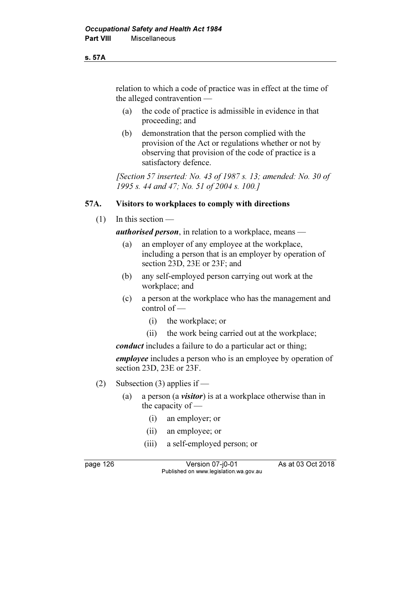#### s. 57A

relation to which a code of practice was in effect at the time of the alleged contravention —

- (a) the code of practice is admissible in evidence in that proceeding; and
- (b) demonstration that the person complied with the provision of the Act or regulations whether or not by observing that provision of the code of practice is a satisfactory defence.

[Section 57 inserted: No. 43 of 1987 s. 13; amended: No. 30 of 1995 s. 44 and 47; No. 51 of 2004 s. 100.]

#### 57A. Visitors to workplaces to comply with directions

(1) In this section —

*authorised person*, in relation to a workplace, means —

- (a) an employer of any employee at the workplace, including a person that is an employer by operation of section 23D, 23E or 23F; and
- (b) any self-employed person carrying out work at the workplace; and
- (c) a person at the workplace who has the management and control of —
	- (i) the workplace; or
	- (ii) the work being carried out at the workplace;

conduct includes a failure to do a particular act or thing;

employee includes a person who is an employee by operation of section 23D, 23E or 23F.

- (2) Subsection (3) applies if
	- (a) a person (a visitor) is at a workplace otherwise than in the capacity of —
		- (i) an employer; or
		- (ii) an employee; or
		- (iii) a self-employed person; or

page 126 Version 07-j0-01 As at 03 Oct 2018 Published on www.legislation.wa.gov.au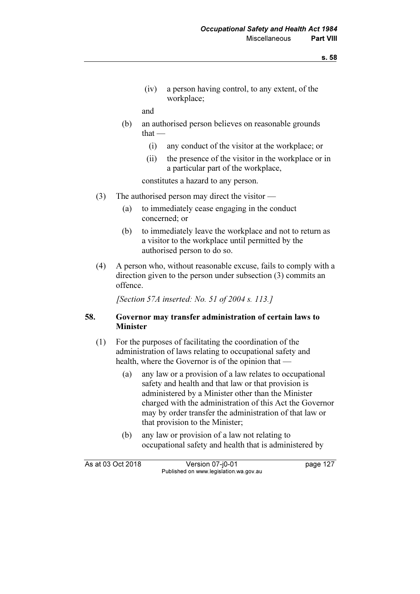(iv) a person having control, to any extent, of the workplace;

and

- (b) an authorised person believes on reasonable grounds that —
	- (i) any conduct of the visitor at the workplace; or
	- (ii) the presence of the visitor in the workplace or in a particular part of the workplace,

constitutes a hazard to any person.

- (3) The authorised person may direct the visitor
	- (a) to immediately cease engaging in the conduct concerned; or
	- (b) to immediately leave the workplace and not to return as a visitor to the workplace until permitted by the authorised person to do so.
- (4) A person who, without reasonable excuse, fails to comply with a direction given to the person under subsection (3) commits an offence.

[Section 57A inserted: No. 51 of 2004 s. 113.]

#### 58. Governor may transfer administration of certain laws to Minister

- (1) For the purposes of facilitating the coordination of the administration of laws relating to occupational safety and health, where the Governor is of the opinion that —
	- (a) any law or a provision of a law relates to occupational safety and health and that law or that provision is administered by a Minister other than the Minister charged with the administration of this Act the Governor may by order transfer the administration of that law or that provision to the Minister;
	- (b) any law or provision of a law not relating to occupational safety and health that is administered by

| As at 03 Oct 2018 | Version 07-j0-01                       | page 127 |
|-------------------|----------------------------------------|----------|
|                   | Published on www.legislation.wa.gov.au |          |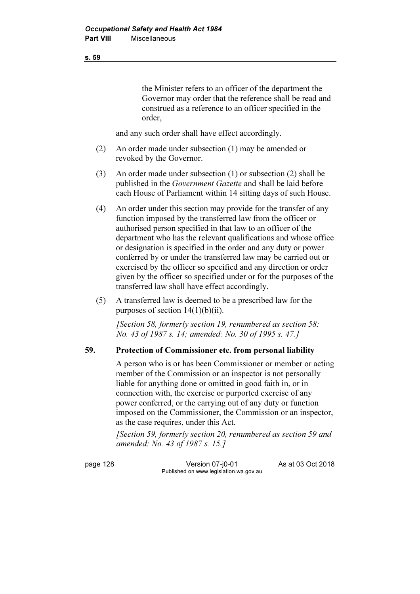the Minister refers to an officer of the department the Governor may order that the reference shall be read and construed as a reference to an officer specified in the order,

and any such order shall have effect accordingly.

- (2) An order made under subsection (1) may be amended or revoked by the Governor.
- (3) An order made under subsection (1) or subsection (2) shall be published in the Government Gazette and shall be laid before each House of Parliament within 14 sitting days of such House.
- (4) An order under this section may provide for the transfer of any function imposed by the transferred law from the officer or authorised person specified in that law to an officer of the department who has the relevant qualifications and whose office or designation is specified in the order and any duty or power conferred by or under the transferred law may be carried out or exercised by the officer so specified and any direction or order given by the officer so specified under or for the purposes of the transferred law shall have effect accordingly.
- (5) A transferred law is deemed to be a prescribed law for the purposes of section  $14(1)(b)(ii)$ .

[Section 58, formerly section 19, renumbered as section 58: No. 43 of 1987 s. 14; amended: No. 30 of 1995 s. 47.]

#### 59. Protection of Commissioner etc. from personal liability

 A person who is or has been Commissioner or member or acting member of the Commission or an inspector is not personally liable for anything done or omitted in good faith in, or in connection with, the exercise or purported exercise of any power conferred, or the carrying out of any duty or function imposed on the Commissioner, the Commission or an inspector, as the case requires, under this Act.

 [Section 59, formerly section 20, renumbered as section 59 and amended: No. 43 of 1987 s. 15.]

page 128 Version 07-j0-01 As at 03 Oct 2018 Published on www.legislation.wa.gov.au

s. 59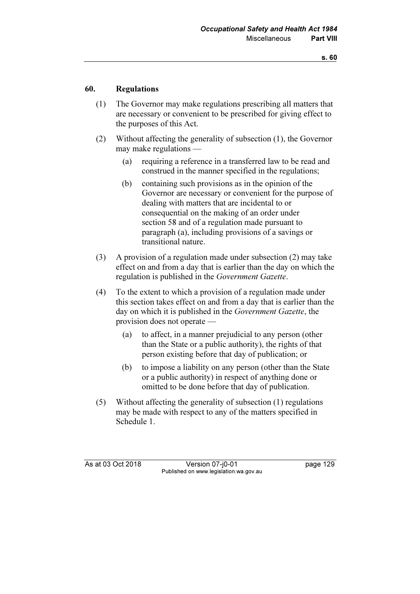#### 60. Regulations

- (1) The Governor may make regulations prescribing all matters that are necessary or convenient to be prescribed for giving effect to the purposes of this Act.
- (2) Without affecting the generality of subsection (1), the Governor may make regulations —
	- (a) requiring a reference in a transferred law to be read and construed in the manner specified in the regulations;
	- (b) containing such provisions as in the opinion of the Governor are necessary or convenient for the purpose of dealing with matters that are incidental to or consequential on the making of an order under section 58 and of a regulation made pursuant to paragraph (a), including provisions of a savings or transitional nature.
- (3) A provision of a regulation made under subsection (2) may take effect on and from a day that is earlier than the day on which the regulation is published in the Government Gazette.
- (4) To the extent to which a provision of a regulation made under this section takes effect on and from a day that is earlier than the day on which it is published in the Government Gazette, the provision does not operate —
	- (a) to affect, in a manner prejudicial to any person (other than the State or a public authority), the rights of that person existing before that day of publication; or
	- (b) to impose a liability on any person (other than the State or a public authority) in respect of anything done or omitted to be done before that day of publication.
- (5) Without affecting the generality of subsection (1) regulations may be made with respect to any of the matters specified in Schedule 1.

As at 03 Oct 2018 Version 07-j0-01 page 129 Published on www.legislation.wa.gov.au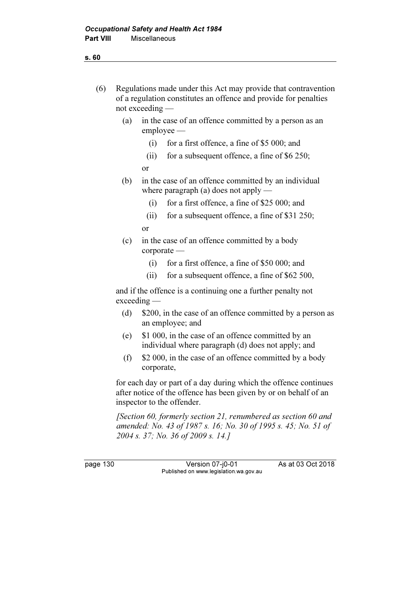s. 60

| Regulations made under this Act may provide that contravention   |
|------------------------------------------------------------------|
| of a regulation constitutes an offence and provide for penalties |
| $\cot$ exceeding —                                               |

- (a) in the case of an offence committed by a person as an employee —
	- (i) for a first offence, a fine of \$5 000; and
	- (ii) for a subsequent offence, a fine of \$6 250;

or

- (b) in the case of an offence committed by an individual where paragraph (a) does not apply —
	- (i) for a first offence, a fine of \$25 000; and
	- (ii) for a subsequent offence, a fine of \$31 250;

or

- (c) in the case of an offence committed by a body corporate —
	- (i) for a first offence, a fine of \$50 000; and
	- (ii) for a subsequent offence, a fine of \$62 500,

 and if the offence is a continuing one a further penalty not exceeding —

- (d) \$200, in the case of an offence committed by a person as an employee; and
- (e) \$1 000, in the case of an offence committed by an individual where paragraph (d) does not apply; and
- (f) \$2 000, in the case of an offence committed by a body corporate,

 for each day or part of a day during which the offence continues after notice of the offence has been given by or on behalf of an inspector to the offender.

 [Section 60, formerly section 21, renumbered as section 60 and amended: No. 43 of 1987 s. 16; No. 30 of 1995 s. 45; No. 51 of 2004 s. 37; No. 36 of 2009 s. 14.]

page 130 Version 07-j0-01 As at 03 Oct 2018 Published on www.legislation.wa.gov.au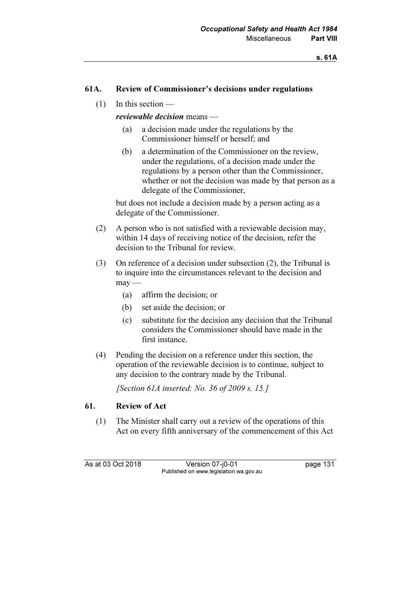#### 61A. Review of Commissioner's decisions under regulations

(1) In this section —

# reviewable decision means —

- (a) a decision made under the regulations by the Commissioner himself or herself; and
- (b) a determination of the Commissioner on the review, under the regulations, of a decision made under the regulations by a person other than the Commissioner, whether or not the decision was made by that person as a delegate of the Commissioner,

 but does not include a decision made by a person acting as a delegate of the Commissioner.

- (2) A person who is not satisfied with a reviewable decision may, within 14 days of receiving notice of the decision, refer the decision to the Tribunal for review.
- (3) On reference of a decision under subsection (2), the Tribunal is to inquire into the circumstances relevant to the decision and  $m$ ay —
	- (a) affirm the decision; or
	- (b) set aside the decision; or
	- (c) substitute for the decision any decision that the Tribunal considers the Commissioner should have made in the first instance.
- (4) Pending the decision on a reference under this section, the operation of the reviewable decision is to continue, subject to any decision to the contrary made by the Tribunal.

[Section 61A inserted: No. 36 of 2009 s. 15.]

# 61. Review of Act

 (1) The Minister shall carry out a review of the operations of this Act on every fifth anniversary of the commencement of this Act

As at 03 Oct 2018 Version 07-j0-01 page 131 Published on www.legislation.wa.gov.au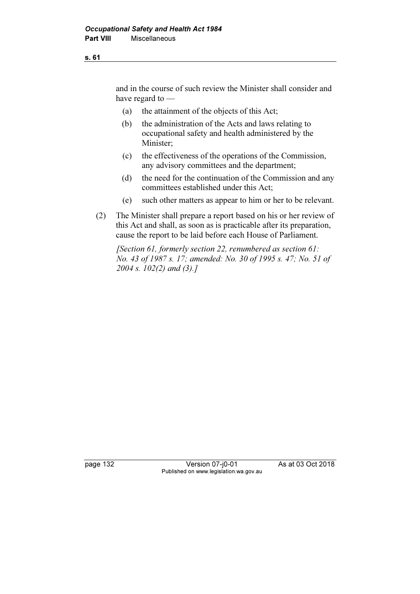# and in the course of such review the Minister shall consider and have regard to —

- (a) the attainment of the objects of this Act;
- (b) the administration of the Acts and laws relating to occupational safety and health administered by the Minister;
- (c) the effectiveness of the operations of the Commission, any advisory committees and the department;
- (d) the need for the continuation of the Commission and any committees established under this Act;
- (e) such other matters as appear to him or her to be relevant.
- (2) The Minister shall prepare a report based on his or her review of this Act and shall, as soon as is practicable after its preparation, cause the report to be laid before each House of Parliament.

[Section 61, formerly section 22, renumbered as section 61: No. 43 of 1987 s. 17; amended: No. 30 of 1995 s. 47; No. 51 of 2004 s. 102(2) and (3).]

s. 61

page 132 Version 07-j0-01 As at 03 Oct 2018 Published on www.legislation.wa.gov.au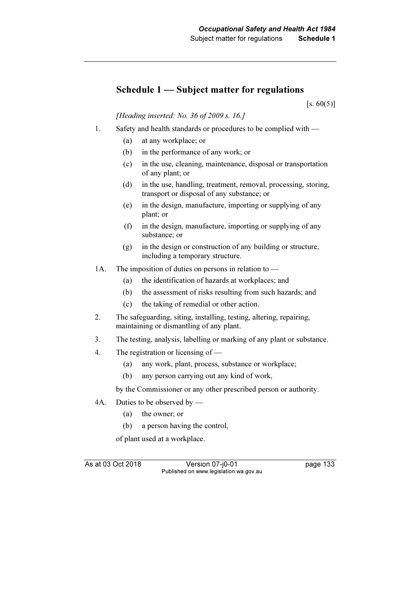# Schedule 1 — Subject matter for regulations

 $[s. 60(5)]$ 

[Heading inserted: No. 36 of 2009 s. 16.]

- 1. Safety and health standards or procedures to be complied with
	- (a) at any workplace; or
	- (b) in the performance of any work; or
	- (c) in the use, cleaning, maintenance, disposal or transportation of any plant; or
	- (d) in the use, handling, treatment, removal, processing, storing, transport or disposal of any substance; or
	- (e) in the design, manufacture, importing or supplying of any plant; or
	- (f) in the design, manufacture, importing or supplying of any substance; or
	- (g) in the design or construction of any building or structure, including a temporary structure.
- 1A. The imposition of duties on persons in relation to
	- (a) the identification of hazards at workplaces; and
	- (b) the assessment of risks resulting from such hazards; and
	- (c) the taking of remedial or other action.
- 2. The safeguarding, siting, installing, testing, altering, repairing, maintaining or dismantling of any plant.
- 3. The testing, analysis, labelling or marking of any plant or substance.
- 4. The registration or licensing of
	- (a) any work, plant, process, substance or workplace;
	- (b) any person carrying out any kind of work,

by the Commissioner or any other prescribed person or authority.

- 4A. Duties to be observed by
	- (a) the owner; or
	- (b) a person having the control,

of plant used at a workplace.

As at 03 Oct 2018 Version 07-j0-01 page 133 Published on www.legislation.wa.gov.au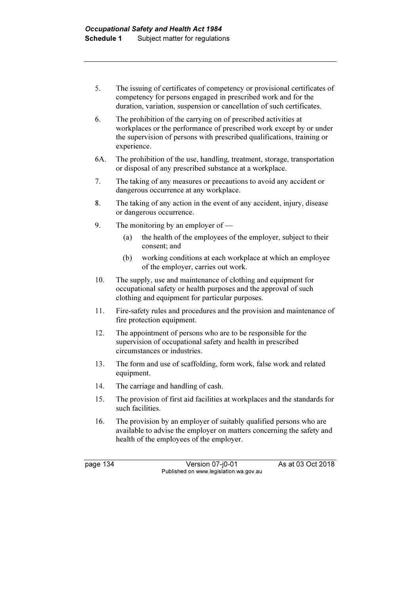- 5. The issuing of certificates of competency or provisional certificates of competency for persons engaged in prescribed work and for the duration, variation, suspension or cancellation of such certificates.
- 6. The prohibition of the carrying on of prescribed activities at workplaces or the performance of prescribed work except by or under the supervision of persons with prescribed qualifications, training or experience.
- 6A. The prohibition of the use, handling, treatment, storage, transportation or disposal of any prescribed substance at a workplace.
- 7. The taking of any measures or precautions to avoid any accident or dangerous occurrence at any workplace.
- 8. The taking of any action in the event of any accident, injury, disease or dangerous occurrence.
- 9. The monitoring by an employer of
	- (a) the health of the employees of the employer, subject to their consent; and
	- (b) working conditions at each workplace at which an employee of the employer, carries out work.
- 10. The supply, use and maintenance of clothing and equipment for occupational safety or health purposes and the approval of such clothing and equipment for particular purposes.
- 11. Fire-safety rules and procedures and the provision and maintenance of fire protection equipment.
- 12. The appointment of persons who are to be responsible for the supervision of occupational safety and health in prescribed circumstances or industries.
- 13. The form and use of scaffolding, form work, false work and related equipment.
- 14. The carriage and handling of cash.
- 15. The provision of first aid facilities at workplaces and the standards for such facilities.
- 16. The provision by an employer of suitably qualified persons who are available to advise the employer on matters concerning the safety and health of the employees of the employer.

page 134 Version 07-j0-01 As at 03 Oct 2018 Published on www.legislation.wa.gov.au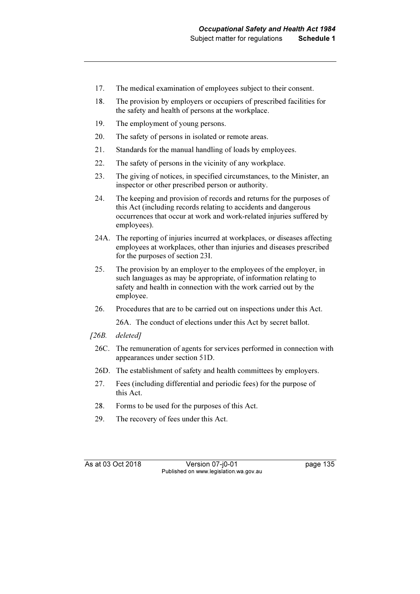- 17. The medical examination of employees subject to their consent.
- 18. The provision by employers or occupiers of prescribed facilities for the safety and health of persons at the workplace.
- 19. The employment of young persons.
- 20. The safety of persons in isolated or remote areas.
- 21. Standards for the manual handling of loads by employees.
- 22. The safety of persons in the vicinity of any workplace.
- 23. The giving of notices, in specified circumstances, to the Minister, an inspector or other prescribed person or authority.
- 24. The keeping and provision of records and returns for the purposes of this Act (including records relating to accidents and dangerous occurrences that occur at work and work-related injuries suffered by employees).
- 24A. The reporting of injuries incurred at workplaces, or diseases affecting employees at workplaces, other than injuries and diseases prescribed for the purposes of section 23I.
- 25. The provision by an employer to the employees of the employer, in such languages as may be appropriate, of information relating to safety and health in connection with the work carried out by the employee.
- 26. Procedures that are to be carried out on inspections under this Act.

26A. The conduct of elections under this Act by secret ballot.

- [26B. deleted]
- 26C. The remuneration of agents for services performed in connection with appearances under section 51D.
- 26D. The establishment of safety and health committees by employers.
- 27. Fees (including differential and periodic fees) for the purpose of this Act.
- 28. Forms to be used for the purposes of this Act.
- 29. The recovery of fees under this Act.

As at 03 Oct 2018 Version 07-j0-01 page 135 Published on www.legislation.wa.gov.au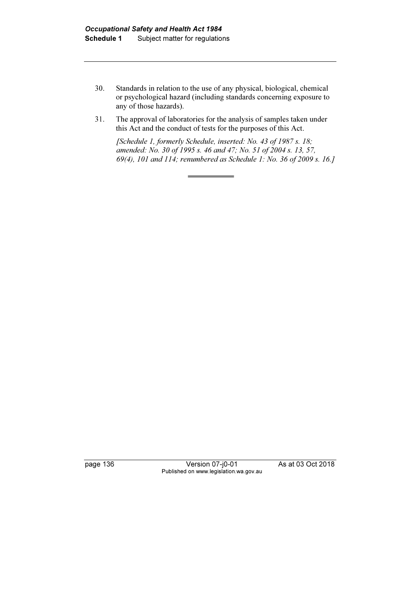- 30. Standards in relation to the use of any physical, biological, chemical or psychological hazard (including standards concerning exposure to any of those hazards).
- 31. The approval of laboratories for the analysis of samples taken under this Act and the conduct of tests for the purposes of this Act.

 [Schedule 1, formerly Schedule, inserted: No. 43 of 1987 s. 18; amended: No. 30 of 1995 s. 46 and 47; No. 51 of 2004 s. 13, 57, 69(4), 101 and 114; renumbered as Schedule 1: No. 36 of 2009 s. 16.]

page 136 Version 07-j0-01 As at 03 Oct 2018 Published on www.legislation.wa.gov.au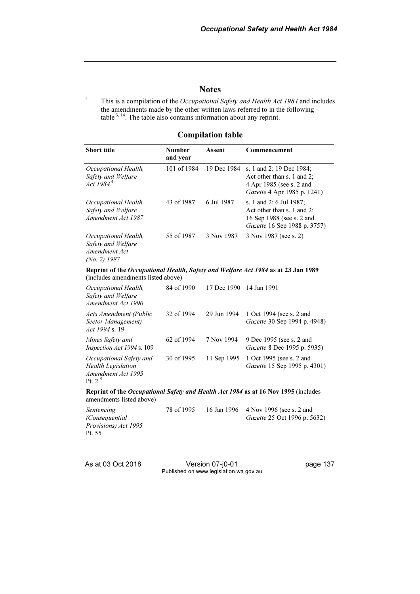## **Notes**

This is a compilation of the Occupational Safety and Health Act 1984 and includes the amendments made by the other written laws referred to in the following table  $3, 14$ . The table also contains information about any reprint.

## Compilation table

| <b>Short title</b>                                                                                                      | <b>Number</b><br>and year | Assent      | Commencement                                                                                                       |
|-------------------------------------------------------------------------------------------------------------------------|---------------------------|-------------|--------------------------------------------------------------------------------------------------------------------|
| Occupational Health,<br>Safety and Welfare<br>Act $1984^4$                                                              | 101 of 1984               | 19 Dec 1984 | s. 1 and 2: 19 Dec 1984;<br>Act other than s. 1 and 2;<br>4 Apr 1985 (see s. 2 and<br>Gazette 4 Apr 1985 p. 1241)  |
| Occupational Health,<br>Safety and Welfare<br>Amendment Act 1987                                                        | 43 of 1987                | 6 Jul 1987  | s. 1 and 2: 6 Jul 1987;<br>Act other than s. 1 and 2:<br>16 Sep 1988 (see s. 2 and<br>Gazette 16 Sep 1988 p. 3757) |
| Occupational Health,<br>Safety and Welfare<br>Amendment Act<br>$(No. 2)$ 1987                                           | 55 of 1987                | 3 Nov 1987  | 3 Nov 1987 (see s. 2)                                                                                              |
| Reprint of the Occupational Health, Safety and Welfare Act 1984 as at 23 Jan 1989<br>(includes amendments listed above) |                           |             |                                                                                                                    |
| Occupational Health,<br>Safety and Welfare<br>Amendment Act 1990                                                        | 84 of 1990                | 17 Dec 1990 | 14 Jan 1991                                                                                                        |
| <b>Acts Amendment (Public</b><br>Sector Management)<br>Act 1994 s. 19                                                   | 32 of 1994                | 29 Jun 1994 | 1 Oct 1994 (see s. 2 and<br>Gazette 30 Sep 1994 p. 4948)                                                           |
| Mines Safety and<br>Inspection Act 1994 s. 109                                                                          | 62 of 1994                | 7 Nov 1994  | 9 Dec 1995 (see s. 2 and<br>Gazette 8 Dec 1995 p. 5935)                                                            |
| Occupational Safety and<br><b>Health Legislation</b><br>Amendment Act 1995<br>Pt. $2^5$                                 | 30 of 1995                | 11 Sep 1995 | 1 Oct 1995 (see s. 2 and<br>Gazette 15 Sep 1995 p. 4301)                                                           |
| Reprint of the Occupational Safety and Health Act 1984 as at 16 Nov 1995 (includes<br>amendments listed above)          |                           |             |                                                                                                                    |
| Sentencing<br>(Consequential<br>Provisions) Act 1995<br>Pt. 55                                                          | 78 of 1995                | 16 Jan 1996 | 4 Nov 1996 (see s. 2 and<br>Gazette 25 Oct 1996 p. 5632)                                                           |

1

As at 03 Oct 2018 Version 07-j0-01 page 137 Published on www.legislation.wa.gov.au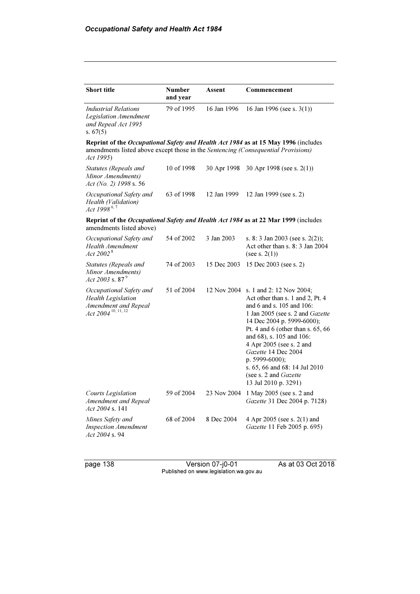| <b>Short title</b>                                                                                             | <b>Number</b><br>and year | Assent      | Commencement                                                                                                                                                                                                                                                                                                                                                                        |
|----------------------------------------------------------------------------------------------------------------|---------------------------|-------------|-------------------------------------------------------------------------------------------------------------------------------------------------------------------------------------------------------------------------------------------------------------------------------------------------------------------------------------------------------------------------------------|
| <b>Industrial Relations</b><br>Legislation Amendment<br>and Repeal Act 1995<br>s. $67(5)$                      | 79 of 1995                | 16 Jan 1996 | 16 Jan 1996 (see s. $3(1)$ )                                                                                                                                                                                                                                                                                                                                                        |
| amendments listed above except those in the Sentencing (Consequential Provisions)<br>Act 1995)                 |                           |             | Reprint of the Occupational Safety and Health Act 1984 as at 15 May 1996 (includes                                                                                                                                                                                                                                                                                                  |
| Statutes (Repeals and<br>Minor Amendments)<br>Act (No. 2) 1998 s. 56                                           | 10 of 1998                | 30 Apr 1998 | 30 Apr 1998 (see s. $2(1)$ )                                                                                                                                                                                                                                                                                                                                                        |
| Occupational Safety and<br>Health (Validation)<br>Act 1998 <sup>6,7</sup>                                      | 63 of 1998                | 12 Jan 1999 | 12 Jan 1999 (see s. 2)                                                                                                                                                                                                                                                                                                                                                              |
| Reprint of the Occupational Safety and Health Act 1984 as at 22 Mar 1999 (includes<br>amendments listed above) |                           |             |                                                                                                                                                                                                                                                                                                                                                                                     |
| Occupational Safety and<br><b>Health Amendment</b><br>Act 2002 <sup>8</sup>                                    | 54 of 2002                | 3 Jan 2003  | s. 8: 3 Jan 2003 (see s. 2(2));<br>Act other than s. 8: 3 Jan 2004<br>(see s. $2(1)$ )                                                                                                                                                                                                                                                                                              |
| Statutes (Repeals and<br>Minor Amendments)<br>Act 2003 s. 87 $^{9}$                                            | 74 of 2003                | 15 Dec 2003 | 15 Dec 2003 (see s. 2)                                                                                                                                                                                                                                                                                                                                                              |
| Occupational Safety and<br>Health Legislation<br>Amendment and Repeal<br>Act 2004 <sup>10, 11, 12</sup>        | 51 of 2004                | 12 Nov 2004 | s. 1 and 2: 12 Nov 2004;<br>Act other than s. 1 and 2, Pt. 4<br>and 6 and s. 105 and 106:<br>1 Jan 2005 (see s. 2 and Gazette<br>14 Dec 2004 p. 5999-6000);<br>Pt. 4 and 6 (other than s. 65, 66<br>and 68), s. 105 and 106:<br>4 Apr 2005 (see s. 2 and<br>Gazette 14 Dec 2004<br>p. 5999-6000);<br>s. 65, 66 and 68: 14 Jul 2010<br>(see s. 2 and Gazette<br>13 Jul 2010 p. 3291) |
| <b>Courts Legislation</b><br>Amendment and Repeal<br>Act 2004 s. 141                                           | 59 of 2004                | 23 Nov 2004 | 1 May 2005 (see s. 2 and<br>Gazette 31 Dec 2004 p. 7128)                                                                                                                                                                                                                                                                                                                            |
| Mines Safety and<br><b>Inspection Amendment</b><br>Act 2004 s. 94                                              | 68 of 2004                | 8 Dec 2004  | 4 Apr 2005 (see s. $2(1)$ and<br>Gazette 11 Feb 2005 p. 695)                                                                                                                                                                                                                                                                                                                        |

page 138 Version 07-j0-01 As at 03 Oct 2018 Published on www.legislation.wa.gov.au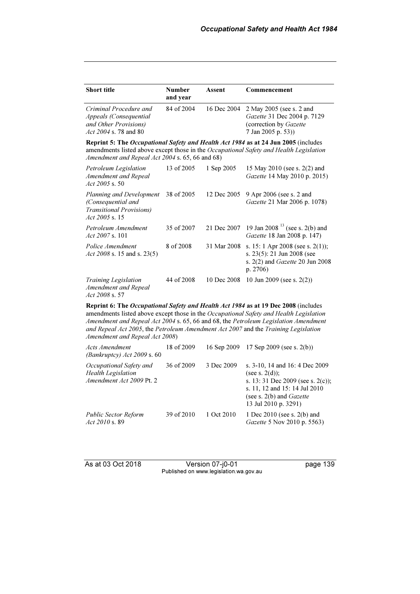| <b>Short title</b>                                                                                        | <b>Number</b><br>and year | Assent | Commencement                                                                                                        |
|-----------------------------------------------------------------------------------------------------------|---------------------------|--------|---------------------------------------------------------------------------------------------------------------------|
| Criminal Procedure and<br><i>Appeals (Consequential</i><br>and Other Provisions)<br>Act 2004 s. 78 and 80 | 84 of 2004                |        | 16 Dec 2004 2 May 2005 (see s. 2 and<br>Gazette 31 Dec 2004 p. 7129<br>(correction by Gazette<br>7 Jan 2005 p. 53)) |

Reprint 5: The Occupational Safety and Health Act 1984 as at 24 Jun 2005 (includes amendments listed above except those in the Occupational Safety and Health Legislation Amendment and Repeal Act  $2004$  s. 65, 66 and 68)

| Petroleum Legislation<br>Amendment and Repeal<br>Act $2005$ s. 50                                      | 13 of 2005 | 1 Sep 2005  | 15 May 2010 (see s. 2(2) and<br>Gazette 14 May 2010 p. 2015)                                                             |
|--------------------------------------------------------------------------------------------------------|------------|-------------|--------------------------------------------------------------------------------------------------------------------------|
| Planning and Development<br>(Consequential and<br><i>Transitional Provisions</i> )<br>Act $2005$ s. 15 | 38 of 2005 | 12 Dec 2005 | 9 Apr 2006 (see s. 2 and<br>Gazette 21 Mar 2006 p. 1078)                                                                 |
| Petroleum Amendment<br>Act 2007 s. 101                                                                 | 35 of 2007 |             | 21 Dec 2007 19 Jan 2008 <sup>13</sup> (see s. 2(b) and<br>Gazette 18 Jan 2008 p. 147)                                    |
| Police Amendment<br>Act 2008 s. 15 and s. 23(5)                                                        | 8 of 2008  | 31 Mar 2008 | s. 15: 1 Apr 2008 (see s. 2(1));<br>s. $23(5)$ : 21 Jun 2008 (see<br>s. $2(2)$ and <i>Gazette</i> 20 Jun 2008<br>p. 2706 |
| <b>Training Legislation</b><br>Amendment and Repeal<br>Act $2008$ s. 57                                | 44 of 2008 | 10 Dec 2008 | 10 Jun 2009 (see s. $2(2)$ )                                                                                             |

Reprint 6: The Occupational Safety and Health Act 1984 as at 19 Dec 2008 (includes amendments listed above except those in the Occupational Safety and Health Legislation Amendment and Repeal Act 2004 s. 65, 66 and 68, the Petroleum Legislation Amendment and Repeal Act 2005, the Petroleum Amendment Act 2007 and the Training Legislation Amendment and Repeal Act 2008)

| Acts Amendment<br>(Bankruptcy) $Act 2009 s. 60$                                  | 18 of 2009 |            | 16 Sep 2009 17 Sep 2009 (see s. 2(b))                                                                                                                                                     |
|----------------------------------------------------------------------------------|------------|------------|-------------------------------------------------------------------------------------------------------------------------------------------------------------------------------------------|
| Occupational Safety and<br><b>Health Legislation</b><br>Amendment Act 2009 Pt. 2 | 36 of 2009 | 3 Dec 2009 | s. 3-10, 14 and 16: 4 Dec 2009<br>(see s. $2(d)$ );<br>s. 13: 31 Dec 2009 (see s. $2(c)$ );<br>s. 11, 12 and 15: 14 Jul 2010<br>(see s. $2(b)$ and <i>Gazette</i><br>13 Jul 2010 p. 3291) |
| <b>Public Sector Reform</b><br>Act $2010$ s. 89                                  | 39 of 2010 | 1 Oct 2010 | 1 Dec $2010$ (see s. $2(b)$ and<br>Gazette 5 Nov 2010 p. 5563)                                                                                                                            |

As at 03 Oct 2018 Version 07-j0-01 page 139 Published on www.legislation.wa.gov.au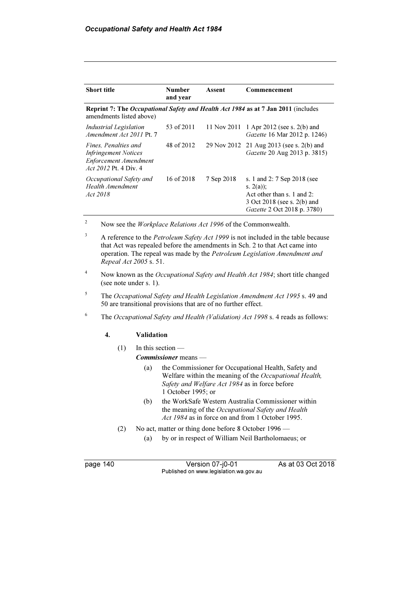| <b>Short title</b>                                                                                                   | <b>Number</b><br>and year | Assent      | Commencement                                                                                                                           |
|----------------------------------------------------------------------------------------------------------------------|---------------------------|-------------|----------------------------------------------------------------------------------------------------------------------------------------|
| <b>Reprint 7: The Occupational Safety and Health Act 1984 as at 7 Jan 2011</b> (includes<br>amendments listed above) |                           |             |                                                                                                                                        |
| Industrial Legislation<br>Amendment Act 2011 Pt. 7                                                                   | 53 of 2011                | 11 Nov 2011 | 1 Apr 2012 (see s. $2(b)$ and<br>Gazette 16 Mar 2012 p. 1246)                                                                          |
| Fines. Penalties and<br><b>Infringement Notices</b><br><b>Enforcement Amendment</b><br><i>Act 2012</i> Pt. 4 Div. 4  | 48 of 2012                |             | 29 Nov 2012 21 Aug 2013 (see s. 2(b) and<br>Gazette 20 Aug 2013 p. 3815)                                                               |
| Occupational Safety and<br>Health Amendment<br>Act 2018                                                              | 16 of 2018                | 7 Sep 2018  | s. 1 and 2: 7 Sep 2018 (see<br>s. $2(a)$ ;<br>Act other than s. 1 and 2:<br>3 Oct 2018 (see s. 2(b) and<br>Gazette 2 Oct 2018 p. 3780) |

2 Now see the Workplace Relations Act 1996 of the Commonwealth.

4 Now known as the Occupational Safety and Health Act 1984; short title changed (see note under s. 1).

5 The Occupational Safety and Health Legislation Amendment Act 1995 s. 49 and 50 are transitional provisions that are of no further effect.

6 The Occupational Safety and Health (Validation) Act 1998 s. 4 reads as follows:

#### 4. Validation

- (1) In this section
	- Commissioner means
		- (a) the Commissioner for Occupational Health, Safety and Welfare within the meaning of the *Occupational Health*, Safety and Welfare Act 1984 as in force before 1 October 1995; or
		- (b) the WorkSafe Western Australia Commissioner within the meaning of the Occupational Safety and Health Act 1984 as in force on and from 1 October 1995.
- (2) No act, matter or thing done before 8 October 1996
	- (a) by or in respect of William Neil Bartholomaeus; or

page 140 Version 07-j0-01 As at 03 Oct 2018 Published on www.legislation.wa.gov.au

<sup>3</sup> A reference to the Petroleum Safety Act 1999 is not included in the table because that Act was repealed before the amendments in Sch. 2 to that Act came into operation. The repeal was made by the Petroleum Legislation Amendment and Repeal Act 2005 s. 51.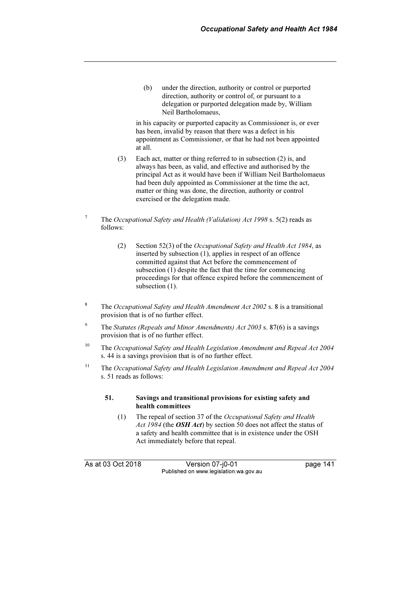(b) under the direction, authority or control or purported direction, authority or control of, or pursuant to a delegation or purported delegation made by, William Neil Bartholomaeus,

 in his capacity or purported capacity as Commissioner is, or ever has been, invalid by reason that there was a defect in his appointment as Commissioner, or that he had not been appointed at all.

- (3) Each act, matter or thing referred to in subsection (2) is, and always has been, as valid, and effective and authorised by the principal Act as it would have been if William Neil Bartholomaeus had been duly appointed as Commissioner at the time the act, matter or thing was done, the direction, authority or control exercised or the delegation made.
- The Occupational Safety and Health (Validation) Act 1998 s. 5(2) reads as follows:
	- (2) Section 52(3) of the Occupational Safety and Health Act 1984, as inserted by subsection (1), applies in respect of an offence committed against that Act before the commencement of subsection (1) despite the fact that the time for commencing proceedings for that offence expired before the commencement of subsection (1).
- 8 The Occupational Safety and Health Amendment Act 2002 s. 8 is a transitional provision that is of no further effect.
- $\overline{9}$  The Statutes (Repeals and Minor Amendments) Act 2003 s. 87(6) is a savings provision that is of no further effect.
- <sup>10</sup> The Occupational Safety and Health Legislation Amendment and Repeal Act 2004 s. 44 is a savings provision that is of no further effect.
- <sup>11</sup> The Occupational Safety and Health Legislation Amendment and Repeal Act 2004 s. 51 reads as follows:
	- 51. Savings and transitional provisions for existing safety and health committees
		- (1) The repeal of section 37 of the Occupational Safety and Health Act 1984 (the OSH Act) by section 50 does not affect the status of a safety and health committee that is in existence under the OSH Act immediately before that repeal.

7

As at 03 Oct 2018 Version 07-j0-01 page 141 Published on www.legislation.wa.gov.au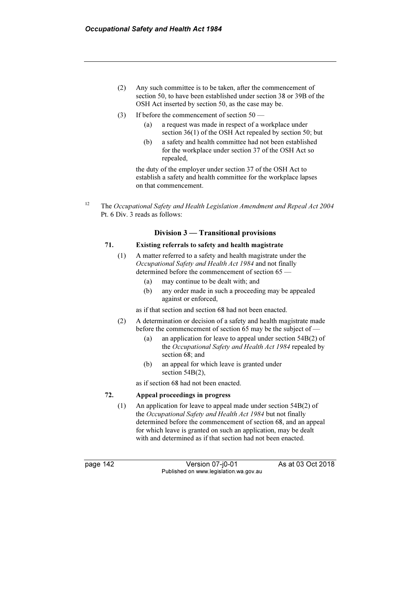- (2) Any such committee is to be taken, after the commencement of section 50, to have been established under section 38 or 39B of the OSH Act inserted by section 50, as the case may be.
- (3) If before the commencement of section 50
	- (a) a request was made in respect of a workplace under section 36(1) of the OSH Act repealed by section 50; but
	- (b) a safety and health committee had not been established for the workplace under section 37 of the OSH Act so repealed,

 the duty of the employer under section 37 of the OSH Act to establish a safety and health committee for the workplace lapses on that commencement.

<sup>12</sup> The Occupational Safety and Health Legislation Amendment and Repeal Act 2004 Pt. 6 Div. 3 reads as follows:

#### Division 3 — Transitional provisions

### 71. Existing referrals to safety and health magistrate

- (1) A matter referred to a safety and health magistrate under the Occupational Safety and Health Act 1984 and not finally determined before the commencement of section 65 —
	- (a) may continue to be dealt with; and
	- (b) any order made in such a proceeding may be appealed against or enforced,
	- as if that section and section 68 had not been enacted.
- (2) A determination or decision of a safety and health magistrate made before the commencement of section 65 may be the subject of —
	- (a) an application for leave to appeal under section 54B(2) of the Occupational Safety and Health Act 1984 repealed by section 68; and
	- (b) an appeal for which leave is granted under section 54B(2),

as if section 68 had not been enacted.

#### 72. Appeal proceedings in progress

 (1) An application for leave to appeal made under section 54B(2) of the Occupational Safety and Health Act 1984 but not finally determined before the commencement of section 68, and an appeal for which leave is granted on such an application, may be dealt with and determined as if that section had not been enacted.

page 142 Version 07-j0-01 As at 03 Oct 2018 Published on www.legislation.wa.gov.au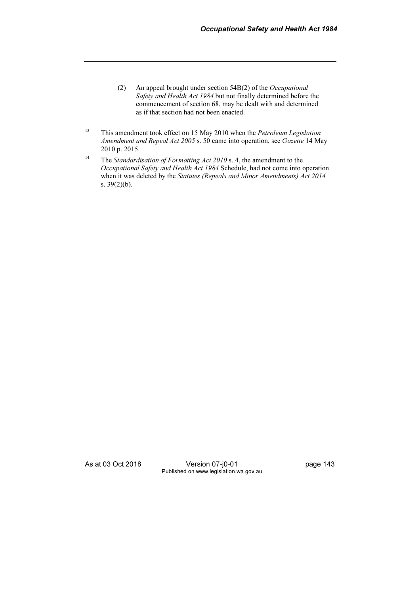- (2) An appeal brought under section 54B(2) of the Occupational Safety and Health Act 1984 but not finally determined before the commencement of section 68, may be dealt with and determined as if that section had not been enacted.
- <sup>13</sup> This amendment took effect on 15 May 2010 when the *Petroleum Legislation* Amendment and Repeal Act 2005 s. 50 came into operation, see Gazette 14 May 2010 p. 2015.
- <sup>14</sup> The Standardisation of Formatting Act 2010 s. 4, the amendment to the Occupational Safety and Health Act 1984 Schedule, had not come into operation when it was deleted by the Statutes (Repeals and Minor Amendments) Act 2014 s. 39(2)(b).

As at 03 Oct 2018 Version 07-j0-01 page 143 Published on www.legislation.wa.gov.au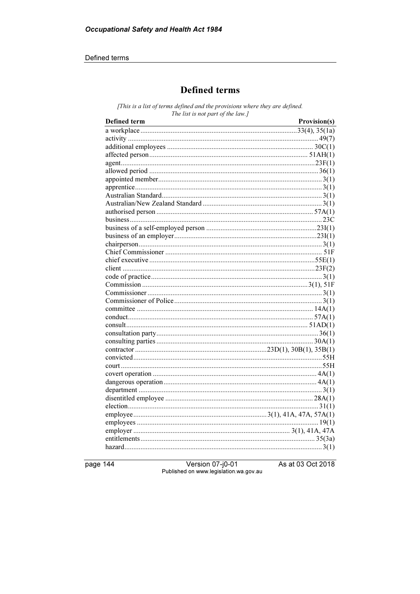#### Defined terms

# **Defined terms**

[This is a list of terms defined and the provisions where they are defined. The list is not part of the law.]

| Defined term | Provision(s) |
|--------------|--------------|
|              |              |
|              |              |
|              |              |
|              |              |
|              |              |
|              |              |
|              |              |
|              |              |
|              |              |
|              |              |
|              |              |
|              |              |
|              |              |
|              |              |
|              |              |
|              |              |
|              |              |
|              |              |
|              |              |
|              |              |
|              |              |
|              |              |
|              |              |
|              |              |
|              |              |
|              |              |
|              |              |
|              |              |
|              |              |
|              |              |
|              |              |
|              |              |
|              |              |
|              |              |
|              |              |
|              |              |
|              |              |
|              |              |
|              |              |
|              |              |
|              |              |

page 144

Version 07-j0-01<br>Published on www.legislation.wa.gov.au

As at 03 Oct 2018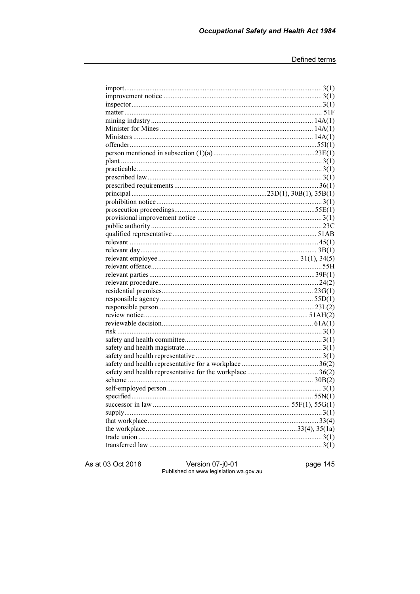As at 03 Oct 2018

Version 07-j0-01<br>Published on www.legislation.wa.gov.au

page 145